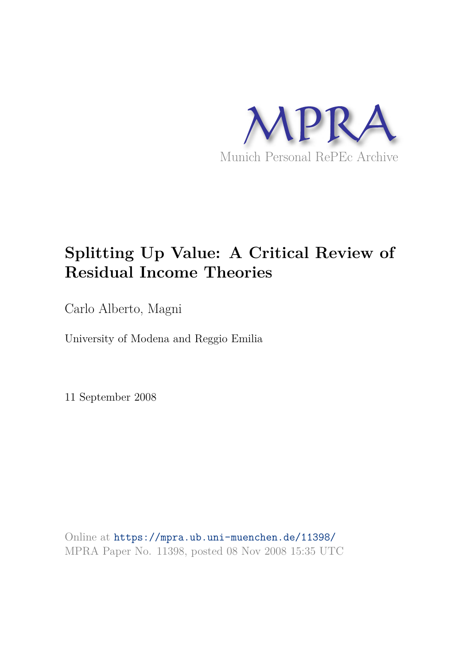

# **Splitting Up Value: A Critical Review of Residual Income Theories**

Carlo Alberto, Magni

University of Modena and Reggio Emilia

11 September 2008

Online at https://mpra.ub.uni-muenchen.de/11398/ MPRA Paper No. 11398, posted 08 Nov 2008 15:35 UTC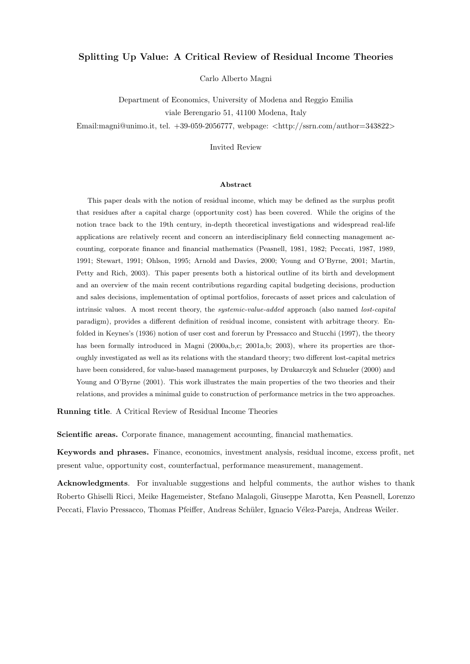## Splitting Up Value: A Critical Review of Residual Income Theories

Carlo Alberto Magni

Department of Economics, University of Modena and Reggio Emilia viale Berengario 51, 41100 Modena, Italy

Email:magni@unimo.it, tel.  $+39-059-2056777$ , webpage: <http://ssrn.com/author=343822>

Invited Review

#### Abstract

This paper deals with the notion of residual income, which may be defined as the surplus profit that residues after a capital charge (opportunity cost) has been covered. While the origins of the notion trace back to the 19th century, in-depth theoretical investigations and widespread real-life applications are relatively recent and concern an interdisciplinary field connecting management accounting, corporate finance and financial mathematics (Peasnell, 1981, 1982; Peccati, 1987, 1989, 1991; Stewart, 1991; Ohlson, 1995; Arnold and Davies, 2000; Young and O'Byrne, 2001; Martin, Petty and Rich, 2003). This paper presents both a historical outline of its birth and development and an overview of the main recent contributions regarding capital budgeting decisions, production and sales decisions, implementation of optimal portfolios, forecasts of asset prices and calculation of intrinsic values. A most recent theory, the *systemic-value-added* approach (also named *lost-capital* paradigm), provides a different definition of residual income, consistent with arbitrage theory. Enfolded in Keynes's (1936) notion of user cost and forerun by Pressacco and Stucchi (1997), the theory has been formally introduced in Magni (2000a,b,c; 2001a,b; 2003), where its properties are thoroughly investigated as well as its relations with the standard theory; two different lost-capital metrics have been considered, for value-based management purposes, by Drukarczyk and Schueler (2000) and Young and O'Byrne (2001). This work illustrates the main properties of the two theories and their relations, and provides a minimal guide to construction of performance metrics in the two approaches.

Running title. A Critical Review of Residual Income Theories

Scientific areas. Corporate finance, management accounting, financial mathematics.

Keywords and phrases. Finance, economics, investment analysis, residual income, excess profit, net present value, opportunity cost, counterfactual, performance measurement, management.

Acknowledgments. For invaluable suggestions and helpful comments, the author wishes to thank Roberto Ghiselli Ricci, Meike Hagemeister, Stefano Malagoli, Giuseppe Marotta, Ken Peasnell, Lorenzo Peccati, Flavio Pressacco, Thomas Pfeiffer, Andreas Schüler, Ignacio Vélez-Pareja, Andreas Weiler.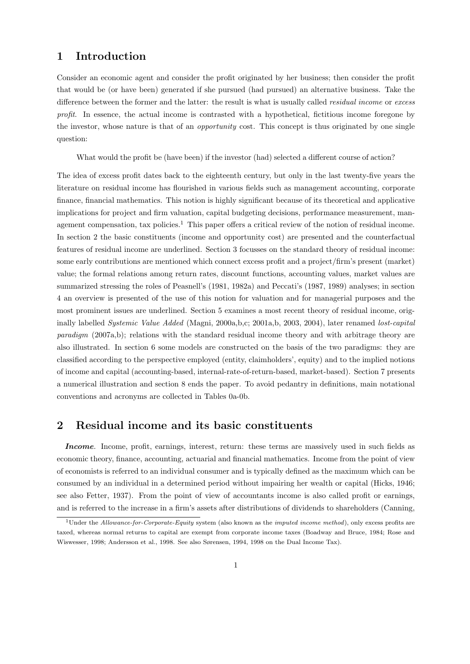# 1 Introduction

Consider an economic agent and consider the profit originated by her business; then consider the profit that would be (or have been) generated if she pursued (had pursued) an alternative business. Take the difference between the former and the latter: the result is what is usually called *residual income* or *excess* profit. In essence, the actual income is contrasted with a hypothetical, fictitious income foregone by the investor, whose nature is that of an opportunity cost. This concept is thus originated by one single question:

What would the profit be (have been) if the investor (had) selected a different course of action?

The idea of excess profit dates back to the eighteenth century, but only in the last twenty-five years the literature on residual income has flourished in various fields such as management accounting, corporate finance, financial mathematics. This notion is highly significant because of its theoretical and applicative implications for project and firm valuation, capital budgeting decisions, performance measurement, management compensation, tax policies.<sup>1</sup> This paper offers a critical review of the notion of residual income. In section 2 the basic constituents (income and opportunity cost) are presented and the counterfactual features of residual income are underlined. Section 3 focusses on the standard theory of residual income: some early contributions are mentioned which connect excess profit and a project/firm's present (market) value; the formal relations among return rates, discount functions, accounting values, market values are summarized stressing the roles of Peasnell's (1981, 1982a) and Peccati's (1987, 1989) analyses; in section 4 an overview is presented of the use of this notion for valuation and for managerial purposes and the most prominent issues are underlined. Section 5 examines a most recent theory of residual income, originally labelled Systemic Value Added (Magni, 2000a,b,c; 2001a,b, 2003, 2004), later renamed lost-capital paradigm (2007a,b); relations with the standard residual income theory and with arbitrage theory are also illustrated. In section 6 some models are constructed on the basis of the two paradigms: they are classified according to the perspective employed (entity, claimholders', equity) and to the implied notions of income and capital (accounting-based, internal-rate-of-return-based, market-based). Section 7 presents a numerical illustration and section 8 ends the paper. To avoid pedantry in definitions, main notational conventions and acronyms are collected in Tables 0a-0b.

# 2 Residual income and its basic constituents

Income. Income, profit, earnings, interest, return: these terms are massively used in such fields as economic theory, finance, accounting, actuarial and financial mathematics. Income from the point of view of economists is referred to an individual consumer and is typically defined as the maximum which can be consumed by an individual in a determined period without impairing her wealth or capital (Hicks, 1946; see also Fetter, 1937). From the point of view of accountants income is also called profit or earnings, and is referred to the increase in a firm's assets after distributions of dividends to shareholders (Canning,

<sup>&</sup>lt;sup>1</sup>Under the *Allowance-for-Corporate-Equity* system (also known as the *imputed income method*), only excess profits are taxed, whereas normal returns to capital are exempt from corporate income taxes (Boadway and Bruce, 1984; Rose and Wiswesser, 1998; Andersson et al., 1998. See also Sørensen, 1994, 1998 on the Dual Income Tax).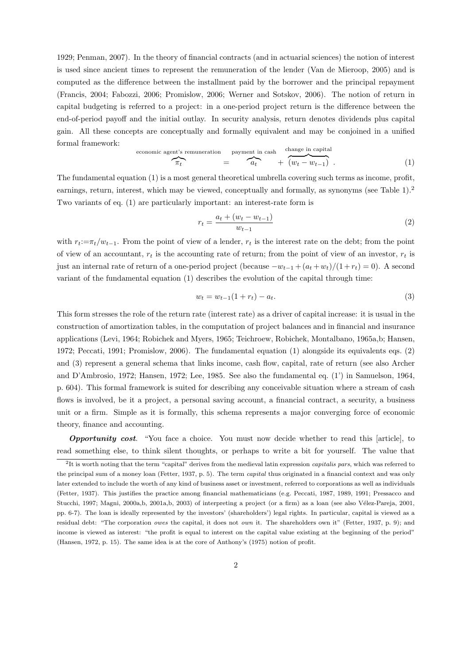1929; Penman, 2007). In the theory of financial contracts (and in actuarial sciences) the notion of interest is used since ancient times to represent the remuneration of the lender (Van de Mieroop, 2005) and is computed as the difference between the installment paid by the borrower and the principal repayment (Francis, 2004; Fabozzi, 2006; Promislow, 2006; Werner and Sotskov, 2006). The notion of return in capital budgeting is referred to a project: in a one-period project return is the difference between the end-of-period payoff and the initial outlay. In security analysis, return denotes dividends plus capital gain. All these concepts are conceptually and formally equivalent and may be conjoined in a unified formal framework:

economic agent's remuneration payment in cash 
$$
\overbrace{\pi_t}^{\text{example in capital}} + \overbrace{(w_t - w_{t-1})}^{\text{change in capital}}
$$
. (1)

The fundamental equation (1) is a most general theoretical umbrella covering such terms as income, profit, earnings, return, interest, which may be viewed, conceptually and formally, as synonyms (see Table 1).<sup>2</sup> Two variants of eq. (1) are particularly important: an interest-rate form is

$$
r_t = \frac{a_t + (w_t - w_{t-1})}{w_{t-1}}\tag{2}
$$

with  $r_t:=\pi_t/w_{t-1}$ . From the point of view of a lender,  $r_t$  is the interest rate on the debt; from the point of view of an accountant,  $r_t$  is the accounting rate of return; from the point of view of an investor,  $r_t$  is just an internal rate of return of a one-period project (because  $-w_{t-1} + (a_t + w_t)/(1 + r_t) = 0$ ). A second variant of the fundamental equation (1) describes the evolution of the capital through time:

$$
w_t = w_{t-1}(1 + r_t) - a_t.
$$
\n(3)

This form stresses the role of the return rate (interest rate) as a driver of capital increase: it is usual in the construction of amortization tables, in the computation of project balances and in financial and insurance applications (Levi, 1964; Robichek and Myers, 1965; Teichroew, Robichek, Montalbano, 1965a,b; Hansen, 1972; Peccati, 1991; Promislow, 2006). The fundamental equation (1) alongside its equivalents eqs. (2) and (3) represent a general schema that links income, cash flow, capital, rate of return (see also Archer and D'Ambrosio, 1972; Hansen, 1972; Lee, 1985. See also the fundamental eq. (1') in Samuelson, 1964, p. 604). This formal framework is suited for describing any conceivable situation where a stream of cash flows is involved, be it a project, a personal saving account, a financial contract, a security, a business unit or a firm. Simple as it is formally, this schema represents a major converging force of economic theory, finance and accounting.

Opportunity cost. "You face a choice. You must now decide whether to read this [article], to read something else, to think silent thoughts, or perhaps to write a bit for yourself. The value that

<sup>&</sup>lt;sup>2</sup>It is worth noting that the term "capital" derives from the medieval latin expression *capitalis pars*, which was referred to the principal sum of a money loan (Fetter, 1937, p. 5). The term capital thus originated in a financial context and was only later extended to include the worth of any kind of business asset or investment, referred to corporations as well as individuals (Fetter, 1937). This justifies the practice among financial mathematicians (e.g. Peccati, 1987, 1989, 1991; Pressacco and Stucchi, 1997; Magni, 2000a,b, 2001a,b, 2003) of interpreting a project (or a firm) as a loan (see also Vélez-Pareja, 2001, pp. 6-7). The loan is ideally represented by the investors' (shareholders') legal rights. In particular, capital is viewed as a residual debt: "The corporation *owes* the capital, it does not *own* it. The shareholders own it" (Fetter, 1937, p. 9); and income is viewed as interest: "the profit is equal to interest on the capital value existing at the beginning of the period" (Hansen, 1972, p. 15). The same idea is at the core of Anthony's (1975) notion of profit.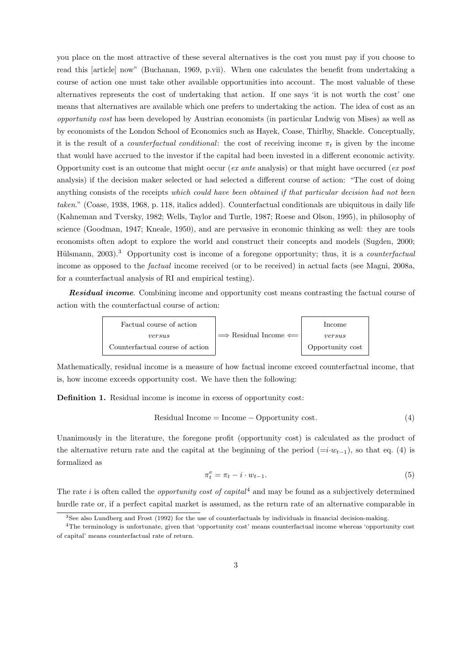you place on the most attractive of these several alternatives is the cost you must pay if you choose to read this [article] now" (Buchanan, 1969, p.vii). When one calculates the benefit from undertaking a course of action one must take other available opportunities into account. The most valuable of these alternatives represents the cost of undertaking that action. If one says 'it is not worth the cost' one means that alternatives are available which one prefers to undertaking the action. The idea of cost as an opportunity cost has been developed by Austrian economists (in particular Ludwig von Mises) as well as by economists of the London School of Economics such as Hayek, Coase, Thirlby, Shackle. Conceptually, it is the result of a *counterfactual conditional*: the cost of receiving income  $\pi_t$  is given by the income that would have accrued to the investor if the capital had been invested in a different economic activity. Opportunity cost is an outcome that might occur (ex ante analysis) or that might have occurred (ex post analysis) if the decision maker selected or had selected a different course of action: "The cost of doing anything consists of the receipts which could have been obtained if that particular decision had not been taken." (Coase, 1938, 1968, p. 118, italics added). Counterfactual conditionals are ubiquitous in daily life (Kahneman and Tversky, 1982; Wells, Taylor and Turtle, 1987; Roese and Olson, 1995), in philosophy of science (Goodman, 1947; Kneale, 1950), and are pervasive in economic thinking as well: they are tools economists often adopt to explore the world and construct their concepts and models (Sugden, 2000; Hülsmann, 2003).<sup>3</sup> Opportunity cost is income of a foregone opportunity; thus, it is a *counterfactual* income as opposed to the *factual* income received (or to be received) in actual facts (see Magni, 2008a, for a counterfactual analysis of RI and empirical testing).

**Residual income.** Combining income and opportunity cost means contrasting the factual course of action with the counterfactual course of action:



Mathematically, residual income is a measure of how factual income exceed counterfactual income, that is, how income exceeds opportunity cost. We have then the following:

Definition 1. Residual income is income in excess of opportunity cost:

$$
Residual Income = Income - Opportunity cost.
$$
\n
$$
(4)
$$

Unanimously in the literature, the foregone profit (opportunity cost) is calculated as the product of the alternative return rate and the capital at the beginning of the period  $(=i·w_{t-1})$ , so that eq. (4) is formalized as

$$
\pi_t^e = \pi_t - i \cdot w_{t-1}.\tag{5}
$$

The rate i is often called the *opportunity cost of capital*<sup>4</sup> and may be found as a subjectively determined hurdle rate or, if a perfect capital market is assumed, as the return rate of an alternative comparable in

<sup>3</sup>See also Lundberg and Frost (1992) for the use of counterfactuals by individuals in financial decision-making.

<sup>4</sup>The terminology is unfortunate, given that 'opportunity cost' means counterfactual income whereas 'opportunity cost of capital' means counterfactual rate of return.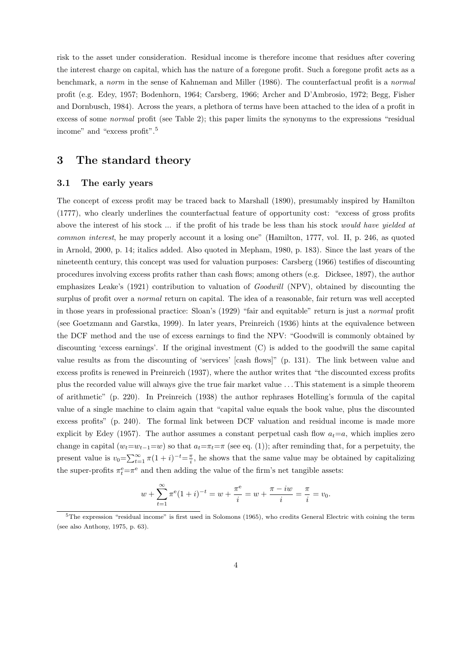risk to the asset under consideration. Residual income is therefore income that residues after covering the interest charge on capital, which has the nature of a foregone profit. Such a foregone profit acts as a benchmark, a norm in the sense of Kahneman and Miller (1986). The counterfactual profit is a normal profit (e.g. Edey, 1957; Bodenhorn, 1964; Carsberg, 1966; Archer and D'Ambrosio, 1972; Begg, Fisher and Dornbusch, 1984). Across the years, a plethora of terms have been attached to the idea of a profit in excess of some normal profit (see Table 2); this paper limits the synonyms to the expressions "residual income" and "excess profit".<sup>5</sup>

# 3 The standard theory

#### 3.1 The early years

The concept of excess profit may be traced back to Marshall (1890), presumably inspired by Hamilton (1777), who clearly underlines the counterfactual feature of opportunity cost: "excess of gross profits above the interest of his stock ... if the profit of his trade be less than his stock would have yielded at common interest, he may properly account it a losing one" (Hamilton, 1777, vol. II, p. 246, as quoted in Arnold, 2000, p. 14; italics added. Also quoted in Mepham, 1980, p. 183). Since the last years of the nineteenth century, this concept was used for valuation purposes: Carsberg (1966) testifies of discounting procedures involving excess profits rather than cash flows; among others (e.g. Dicksee, 1897), the author emphasizes Leake's (1921) contribution to valuation of Goodwill (NPV), obtained by discounting the surplus of profit over a *normal* return on capital. The idea of a reasonable, fair return was well accepted in those years in professional practice: Sloan's (1929) "fair and equitable" return is just a normal profit (see Goetzmann and Garstka, 1999). In later years, Preinreich (1936) hints at the equivalence between the DCF method and the use of excess earnings to find the NPV: "Goodwill is commonly obtained by discounting 'excess earnings'. If the original investment (C) is added to the goodwill the same capital value results as from the discounting of 'services' [cash flows]" (p. 131). The link between value and excess profits is renewed in Preinreich (1937), where the author writes that "the discounted excess profits plus the recorded value will always give the true fair market value . . . This statement is a simple theorem of arithmetic" (p. 220). In Preinreich (1938) the author rephrases Hotelling's formula of the capital value of a single machine to claim again that "capital value equals the book value, plus the discounted excess profits" (p. 240). The formal link between DCF valuation and residual income is made more explicit by Edey (1957). The author assumes a constant perpetual cash flow  $a_t=a$ , which implies zero change in capital  $(w_t=w_{t-1}=w)$  so that  $a_t=\pi_t=\pi$  (see eq. (1)); after reminding that, for a perpetuity, the present value is  $v_0 = \sum_{t=1}^{\infty} \pi (1+i)^{-t} = \frac{\pi}{i}$ , he shows that the same value may be obtained by capitalizing the super-profits  $\pi_t^e = \pi^e$  and then adding the value of the firm's net tangible assets:

$$
w + \sum_{t=1}^{\infty} \pi^e (1+i)^{-t} = w + \frac{\pi^e}{i} = w + \frac{\pi - iw}{i} = \frac{\pi}{i} = v_0.
$$

<sup>&</sup>lt;sup>5</sup>The expression "residual income" is first used in Solomons (1965), who credits General Electric with coining the term (see also Anthony, 1975, p. 63).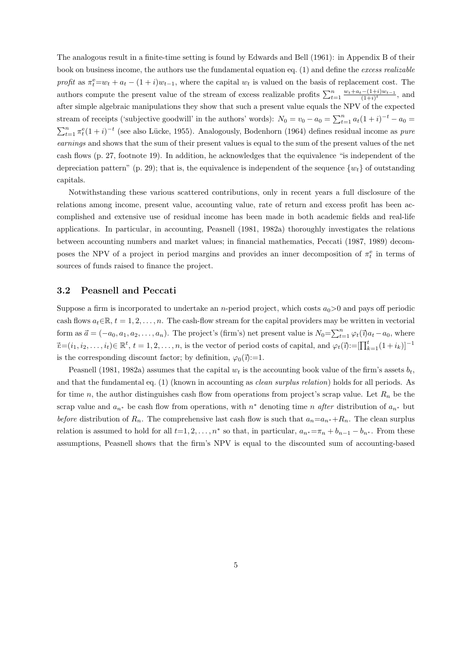The analogous result in a finite-time setting is found by Edwards and Bell (1961): in Appendix B of their book on business income, the authors use the fundamental equation eq. (1) and define the excess realizable profit as  $\pi_t^e=w_t + a_t - (1+i)w_{t-1}$ , where the capital  $w_t$  is valued on the basis of replacement cost. The authors compute the present value of the stream of excess realizable profits  $\sum_{t=1}^{n} \frac{w_t + a_t - (1+i)w_{t-1}}{(1+i)^t}$ , and after simple algebraic manipulations they show that such a present value equals the NPV of the expected stream of receipts ('subjective goodwill' in the authors' words):  $N_0 = v_0 - a_0 = \sum_{t=1}^n a_t (1+i)^{-t} - a_0 =$  $\sum_{t=1}^{n} \pi_t^e (1+i)^{-t}$  (see also Lücke, 1955). Analogously, Bodenhorn (1964) defines residual income as pure earnings and shows that the sum of their present values is equal to the sum of the present values of the net cash flows (p. 27, footnote 19). In addition, he acknowledges that the equivalence "is independent of the depreciation pattern" (p. 29); that is, the equivalence is independent of the sequence  $\{w_t\}$  of outstanding capitals.

Notwithstanding these various scattered contributions, only in recent years a full disclosure of the relations among income, present value, accounting value, rate of return and excess profit has been accomplished and extensive use of residual income has been made in both academic fields and real-life applications. In particular, in accounting, Peasnell (1981, 1982a) thoroughly investigates the relations between accounting numbers and market values; in financial mathematics, Peccati (1987, 1989) decomposes the NPV of a project in period margins and provides an inner decomposition of  $\pi_t^e$  in terms of sources of funds raised to finance the project.

## 3.2 Peasnell and Peccati

Suppose a firm is incorporated to undertake an *n*-period project, which costs  $a_0$  >0 and pays off periodic cash flows  $a_t \in \mathbb{R}$ ,  $t = 1, 2, \ldots, n$ . The cash-flow stream for the capital providers may be written in vectorial form as  $\vec{a} = (-a_0, a_1, a_2, \dots, a_n)$ . The project's (firm's) net present value is  $N_0 = \sum_{t=1}^n \varphi_t(\vec{a}) a_t - a_0$ , where  $\vec{u} = (i_1, i_2, \ldots, i_t) \in \mathbb{R}^t$ ,  $t = 1, 2, \ldots, n$ , is the vector of period costs of capital, and  $\varphi_t(\vec{v}) = \prod_{k=1}^t (1 + i_k)^{-1}$ is the corresponding discount factor; by definition,  $\varphi_0(\vec{v})=1$ .

Peasnell (1981, 1982a) assumes that the capital  $w_t$  is the accounting book value of the firm's assets  $b_t$ , and that the fundamental eq. (1) (known in accounting as clean surplus relation) holds for all periods. As for time n, the author distinguishes cash flow from operations from project's scrap value. Let  $R_n$  be the scrap value and  $a_{n*}$  be cash flow from operations, with  $n*$  denoting time n after distribution of  $a_{n*}$  but before distribution of  $R_n$ . The comprehensive last cash flow is such that  $a_n=a_{n^*}+R_n$ . The clean surplus relation is assumed to hold for all  $t=1, 2, \ldots, n^*$  so that, in particular,  $a_{n^*} = \pi_n + b_{n-1} - b_{n^*}$ . From these assumptions, Peasnell shows that the firm's NPV is equal to the discounted sum of accounting-based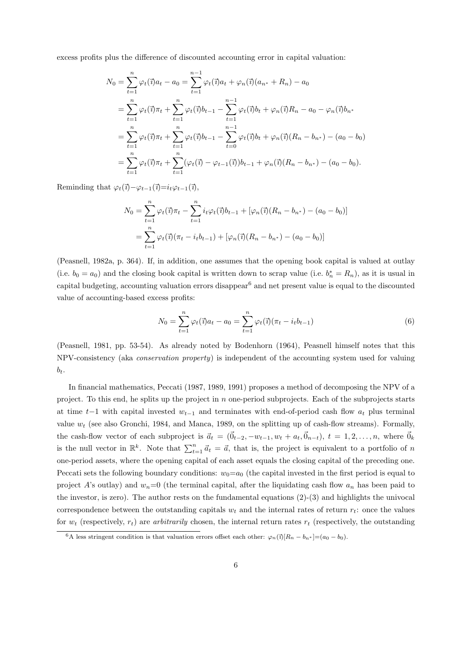excess profits plus the difference of discounted accounting error in capital valuation:

$$
N_0 = \sum_{t=1}^n \varphi_t(\vec{\imath}) a_t - a_0 = \sum_{t=1}^{n-1} \varphi_t(\vec{\imath}) a_t + \varphi_n(\vec{\imath}) (a_{n^*} + R_n) - a_0
$$
  
\n
$$
= \sum_{t=1}^n \varphi_t(\vec{\imath}) \pi_t + \sum_{t=1}^n \varphi_t(\vec{\imath}) b_{t-1} - \sum_{t=1}^{n-1} \varphi_t(\vec{\imath}) b_t + \varphi_n(\vec{\imath}) R_n - a_0 - \varphi_n(\vec{\imath}) b_{n^*}
$$
  
\n
$$
= \sum_{t=1}^n \varphi_t(\vec{\imath}) \pi_t + \sum_{t=1}^n \varphi_t(\vec{\imath}) b_{t-1} - \sum_{t=0}^{n-1} \varphi_t(\vec{\imath}) b_t + \varphi_n(\vec{\imath}) (R_n - b_{n^*}) - (a_0 - b_0)
$$
  
\n
$$
= \sum_{t=1}^n \varphi_t(\vec{\imath}) \pi_t + \sum_{t=1}^n (\varphi_t(\vec{\imath}) - \varphi_{t-1}(\vec{\imath})) b_{t-1} + \varphi_n(\vec{\imath}) (R_n - b_{n^*}) - (a_0 - b_0).
$$

Reminding that  $\varphi_t(\vec{\imath})-\varphi_{t-1}(\vec{\imath})=i_t\varphi_{t-1}(\vec{\imath}),$ 

$$
N_0 = \sum_{t=1}^n \varphi_t(\vec{\imath}) \pi_t - \sum_{t=1}^n i_t \varphi_t(\vec{\imath}) b_{t-1} + [\varphi_n(\vec{\imath}) (R_n - b_{n^*}) - (a_0 - b_0)]
$$
  
= 
$$
\sum_{t=1}^n \varphi_t(\vec{\imath}) (\pi_t - i_t b_{t-1}) + [\varphi_n(\vec{\imath}) (R_n - b_{n^*}) - (a_0 - b_0)]
$$

(Peasnell, 1982a, p. 364). If, in addition, one assumes that the opening book capital is valued at outlay (i.e.  $b_0 = a_0$ ) and the closing book capital is written down to scrap value (i.e.  $b_n^* = R_n$ ), as it is usual in capital budgeting, accounting valuation errors disappear<sup>6</sup> and net present value is equal to the discounted value of accounting-based excess profits:

$$
N_0 = \sum_{t=1}^n \varphi_t(\vec{\imath}) a_t - a_0 = \sum_{t=1}^n \varphi_t(\vec{\imath}) (\pi_t - i_t b_{t-1})
$$
\n(6)

(Peasnell, 1981, pp. 53-54). As already noted by Bodenhorn (1964), Peasnell himself notes that this NPV-consistency (aka conservation property) is independent of the accounting system used for valuing  $b_t$ .

In financial mathematics, Peccati (1987, 1989, 1991) proposes a method of decomposing the NPV of a project. To this end, he splits up the project in  $n$  one-period subprojects. Each of the subprojects starts at time t–1 with capital invested  $w_{t-1}$  and terminates with end-of-period cash flow  $a_t$  plus terminal value  $w_t$  (see also Gronchi, 1984, and Manca, 1989, on the splitting up of cash-flow streams). Formally, the cash-flow vector of each subproject is  $\vec{a}_t = (\vec{0}_{t-2}, -w_{t-1}, w_t + a_t, \vec{0}_{n-t}), t = 1, 2, \ldots, n$ , where  $\vec{0}_k$ is the null vector in  $\mathbb{R}^k$ . Note that  $\sum_{t=1}^n \vec{a}_t = \vec{a}$ , that is, the project is equivalent to a portfolio of n one-period assets, where the opening capital of each asset equals the closing capital of the preceding one. Peccati sets the following boundary conditions:  $w_0=a_0$  (the capital invested in the first period is equal to project A's outlay) and  $w_n=0$  (the terminal capital, after the liquidating cash flow  $a_n$  has been paid to the investor, is zero). The author rests on the fundamental equations  $(2)-(3)$  and highlights the univocal correspondence between the outstanding capitals  $w_t$  and the internal rates of return  $r_t$ : once the values for  $w_t$  (respectively,  $r_t$ ) are arbitrarily chosen, the internal return rates  $r_t$  (respectively, the outstanding

<sup>&</sup>lt;sup>6</sup>A less stringent condition is that valuation errors offset each other:  $\varphi_n(\vec{i})[R_n - b_{n^*}] = (a_0 - b_0).$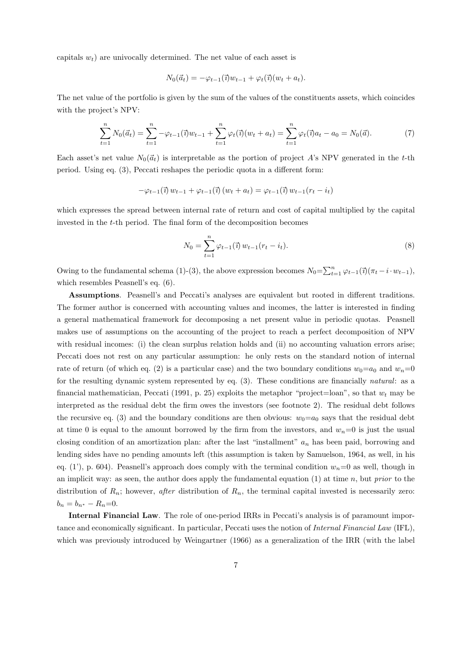capitals  $w_t$ ) are univocally determined. The net value of each asset is

$$
N_0(\vec{a}_t) = -\varphi_{t-1}(\vec{\imath})w_{t-1} + \varphi_t(\vec{\imath}) (w_t + a_t).
$$

The net value of the portfolio is given by the sum of the values of the constituents assets, which coincides with the project's NPV:

$$
\sum_{t=1}^{n} N_0(\vec{a}_t) = \sum_{t=1}^{n} -\varphi_{t-1}(\vec{i})w_{t-1} + \sum_{t=1}^{n} \varphi_t(\vec{i})(w_t + a_t) = \sum_{t=1}^{n} \varphi_t(\vec{i})a_t - a_0 = N_0(\vec{a}).
$$
\n(7)

Each asset's net value  $N_0(\vec{a}_t)$  is interpretable as the portion of project A's NPV generated in the t-th period. Using eq. (3), Peccati reshapes the periodic quota in a different form:

$$
-\varphi_{t-1}(\vec{v}) w_{t-1} + \varphi_{t-1}(\vec{v}) (w_t + a_t) = \varphi_{t-1}(\vec{v}) w_{t-1}(r_t - i_t)
$$

which expresses the spread between internal rate of return and cost of capital multiplied by the capital invested in the t-th period. The final form of the decomposition becomes

$$
N_0 = \sum_{t=1}^n \varphi_{t-1}(\vec{\imath}) w_{t-1}(r_t - i_t).
$$
\n(8)

Owing to the fundamental schema (1)-(3), the above expression becomes  $N_0 = \sum_{t=1}^n \varphi_{t-1}(\vec{i}) (\pi_t - i \cdot w_{t-1}),$ which resembles Peasnell's eq. (6).

Assumptions. Peasnell's and Peccati's analyses are equivalent but rooted in different traditions. The former author is concerned with accounting values and incomes, the latter is interested in finding a general mathematical framework for decomposing a net present value in periodic quotas. Peasnell makes use of assumptions on the accounting of the project to reach a perfect decomposition of NPV with residual incomes: (i) the clean surplus relation holds and (ii) no accounting valuation errors arise; Peccati does not rest on any particular assumption: he only rests on the standard notion of internal rate of return (of which eq. (2) is a particular case) and the two boundary conditions  $w_0=a_0$  and  $w_n=0$ for the resulting dynamic system represented by eq. (3). These conditions are financially natural: as a financial mathematician, Peccati (1991, p. 25) exploits the metaphor "project=loan", so that  $w_t$  may be interpreted as the residual debt the firm owes the investors (see footnote 2). The residual debt follows the recursive eq. (3) and the boundary conditions are then obvious:  $w_0=a_0$  says that the residual debt at time 0 is equal to the amount borrowed by the firm from the investors, and  $w_n=0$  is just the usual closing condition of an amortization plan: after the last "installment"  $a_n$  has been paid, borrowing and lending sides have no pending amounts left (this assumption is taken by Samuelson, 1964, as well, in his eq. (1'), p. 604). Peasnell's approach does comply with the terminal condition  $w_n=0$  as well, though in an implicit way: as seen, the author does apply the fundamental equation  $(1)$  at time n, but prior to the distribution of  $R_n$ ; however, *after* distribution of  $R_n$ , the terminal capital invested is necessarily zero:  $b_n = b_{n^*} - R_n = 0.$ 

Internal Financial Law. The role of one-period IRRs in Peccati's analysis is of paramount importance and economically significant. In particular, Peccati uses the notion of Internal Financial Law (IFL), which was previously introduced by Weingartner (1966) as a generalization of the IRR (with the label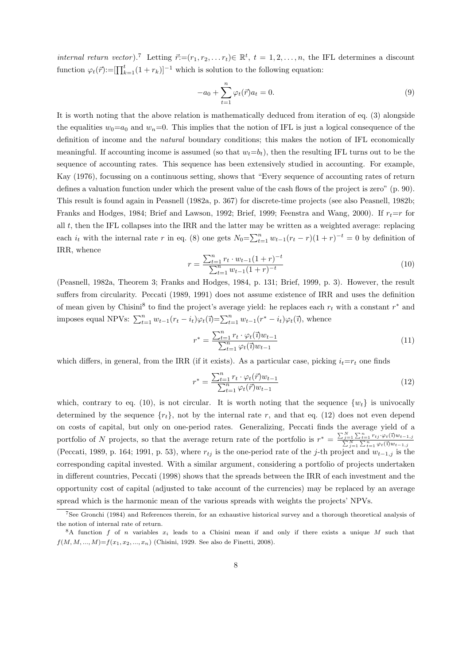*internal return vector*).<sup>7</sup> Letting  $\vec{r}$ := $(r_1, r_2, \ldots r_t) \in \mathbb{R}^t$ ,  $t = 1, 2, \ldots, n$ , the IFL determines a discount function  $\varphi_t(\vec{r}) := \left[\prod_{k=1}^t (1 + r_k)\right]^{-1}$  which is solution to the following equation:

$$
-a_0 + \sum_{t=1}^{n} \varphi_t(\vec{r}) a_t = 0.
$$
\n(9)

It is worth noting that the above relation is mathematically deduced from iteration of eq. (3) alongside the equalities  $w_0=a_0$  and  $w_n=0$ . This implies that the notion of IFL is just a logical consequence of the definition of income and the natural boundary conditions; this makes the notion of IFL economically meaningful. If accounting income is assumed (so that  $w_t=b_t$ ), then the resulting IFL turns out to be the sequence of accounting rates. This sequence has been extensively studied in accounting. For example, Kay (1976), focussing on a continuous setting, shows that "Every sequence of accounting rates of return defines a valuation function under which the present value of the cash flows of the project is zero" (p. 90). This result is found again in Peasnell (1982a, p. 367) for discrete-time projects (see also Peasnell, 1982b; Franks and Hodges, 1984; Brief and Lawson, 1992; Brief, 1999; Feenstra and Wang, 2000). If  $r_t=r$  for all  $t$ , then the IFL collapses into the IRR and the latter may be written as a weighted average: replacing each  $i_t$  with the internal rate r in eq. (8) one gets  $N_0 = \sum_{t=1}^n w_{t-1}(r_t - r)(1+r)^{-t} = 0$  by definition of IRR, whence

$$
r = \frac{\sum_{t=1}^{n} r_t \cdot w_{t-1} (1+r)^{-t}}{\sum_{t=1}^{n} w_{t-1} (1+r)^{-t}} \tag{10}
$$

(Peasnell, 1982a, Theorem 3; Franks and Hodges, 1984, p. 131; Brief, 1999, p. 3). However, the result suffers from circularity. Peccati (1989, 1991) does not assume existence of IRR and uses the definition of mean given by Chisini<sup>8</sup> to find the project's average yield: he replaces each  $r_t$  with a constant  $r^*$  and imposes equal NPVs:  $\sum_{t=1}^{n} w_{t-1}(r_t - i_t)\varphi_t(\vec{v}) = \sum_{t=1}^{n} w_{t-1}(r^* - i_t)\varphi_t(\vec{v})$ , whence

$$
r^* = \frac{\sum_{t=1}^n r_t \cdot \varphi_t(\vec{\imath}) w_{t-1}}{\sum_{t=1}^n \varphi_t(\vec{\imath}) w_{t-1}} \tag{11}
$$

which differs, in general, from the IRR (if it exists). As a particular case, picking  $i_t=r_t$  one finds

$$
r^* = \frac{\sum_{t=1}^n r_t \cdot \varphi_t(\vec{r}) w_{t-1}}{\sum_{t=1}^n \varphi_t(\vec{r}) w_{t-1}} \tag{12}
$$

which, contrary to eq. (10), is not circular. It is worth noting that the sequence  $\{w_t\}$  is univocally determined by the sequence  $\{r_t\}$ , not by the internal rate r, and that eq. (12) does not even depend on costs of capital, but only on one-period rates. Generalizing, Peccati finds the average yield of a portfolio of N projects, so that the average return rate of the portfolio is  $r^* = \frac{\sum_{j=1}^{N} \sum_{t=1}^{n} r_{tj} \cdot \varphi_t(\vec{v}) w_{t-1,j}}{\sum_{j=1}^{N} \sum_{t=1}^{n} r_{tj} \cdot \varphi_t(\vec{v}) w_{t-1,j}}$  $\sum_{j=1}^N \sum_{t=1}^n \varphi_t(\vec{i}) w_{t-1,j}$ (Peccati, 1989, p. 164; 1991, p. 53), where  $r_{tj}$  is the one-period rate of the j-th project and  $w_{t-1,j}$  is the corresponding capital invested. With a similar argument, considering a portfolio of projects undertaken in different countries, Peccati (1998) shows that the spreads between the IRR of each investment and the opportunity cost of capital (adjusted to take account of the currencies) may be replaced by an average spread which is the harmonic mean of the various spreads with weights the projects' NPVs.

<sup>7</sup>See Gronchi (1984) and References therein, for an exhaustive historical survey and a thorough theoretical analysis of the notion of internal rate of return.

<sup>&</sup>lt;sup>8</sup>A function f of n variables  $x_i$  leads to a Chisini mean if and only if there exists a unique M such that  $f(M, M, ..., M)=f(x_1, x_2, ..., x_n)$  (Chisini, 1929. See also de Finetti, 2008).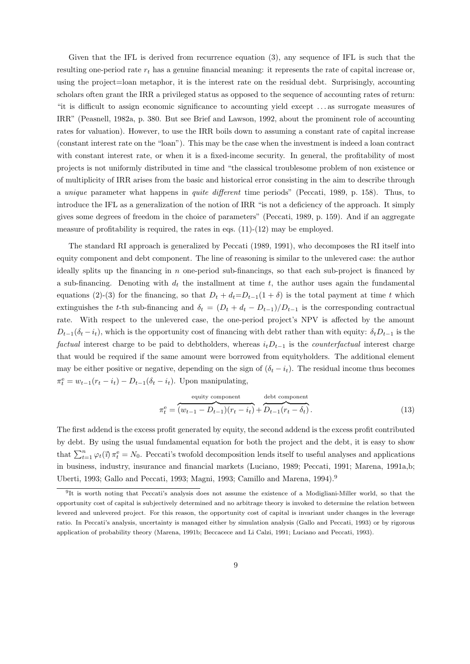Given that the IFL is derived from recurrence equation (3), any sequence of IFL is such that the resulting one-period rate  $r_t$  has a genuine financial meaning: it represents the rate of capital increase or, using the project=loan metaphor, it is the interest rate on the residual debt. Surprisingly, accounting scholars often grant the IRR a privileged status as opposed to the sequence of accounting rates of return: "it is difficult to assign economic significance to accounting yield except . . . as surrogate measures of IRR" (Peasnell, 1982a, p. 380. But see Brief and Lawson, 1992, about the prominent role of accounting rates for valuation). However, to use the IRR boils down to assuming a constant rate of capital increase (constant interest rate on the "loan"). This may be the case when the investment is indeed a loan contract with constant interest rate, or when it is a fixed-income security. In general, the profitability of most projects is not uniformly distributed in time and "the classical troublesome problem of non existence or of multiplicity of IRR arises from the basic and historical error consisting in the aim to describe through a unique parameter what happens in quite different time periods" (Peccati, 1989, p. 158). Thus, to introduce the IFL as a generalization of the notion of IRR "is not a deficiency of the approach. It simply gives some degrees of freedom in the choice of parameters" (Peccati, 1989, p. 159). And if an aggregate measure of profitability is required, the rates in eqs.  $(11)-(12)$  may be employed.

The standard RI approach is generalized by Peccati (1989, 1991), who decomposes the RI itself into equity component and debt component. The line of reasoning is similar to the unlevered case: the author ideally splits up the financing in  $n$  one-period sub-financings, so that each sub-project is financed by a sub-financing. Denoting with  $d_t$  the installment at time  $t$ , the author uses again the fundamental equations (2)-(3) for the financing, so that  $D_t + d_t=D_{t-1}(1+\delta)$  is the total payment at time t which extinguishes the t-th sub-financing and  $\delta_t = (D_t + d_t - D_{t-1})/D_{t-1}$  is the corresponding contractual rate. With respect to the unlevered case, the one-period project's NPV is affected by the amount  $D_{t-1}(\delta_t - i_t)$ , which is the opportunity cost of financing with debt rather than with equity:  $\delta_t D_{t-1}$  is the factual interest charge to be paid to debtholders, whereas  $i_tD_{t-1}$  is the *counterfactual* interest charge that would be required if the same amount were borrowed from equityholders. The additional element may be either positive or negative, depending on the sign of  $(\delta_t - i_t)$ . The residual income thus becomes  $\pi_t^e = w_{t-1}(r_t - i_t) - D_{t-1}(\delta_t - i_t)$ . Upon manipulating,

$$
\pi_t^e = \overbrace{(w_{t-1} - D_{t-1})(r_t - i_t)}^{\text{equity component}} + \overbrace{D_{t-1}(r_t - \delta_t)}^{\text{debt component}}.
$$
\n(13)

The first addend is the excess profit generated by equity, the second addend is the excess profit contributed by debt. By using the usual fundamental equation for both the project and the debt, it is easy to show that  $\sum_{t=1}^{n} \varphi_t(\vec{i}) \pi_t^e = N_0$ . Peccati's twofold decomposition lends itself to useful analyses and applications in business, industry, insurance and financial markets (Luciano, 1989; Peccati, 1991; Marena, 1991a,b; Uberti, 1993; Gallo and Peccati, 1993; Magni, 1993; Camillo and Marena, 1994).<sup>9</sup>

<sup>9</sup> It is worth noting that Peccati's analysis does not assume the existence of a Modigliani-Miller world, so that the opportunity cost of capital is subjectively determined and no arbitrage theory is invoked to determine the relation between levered and unlevered project. For this reason, the opportunity cost of capital is invariant under changes in the leverage ratio. In Peccati's analysis, uncertainty is managed either by simulation analysis (Gallo and Peccati, 1993) or by rigorous application of probability theory (Marena, 1991b; Beccacece and Li Calzi, 1991; Luciano and Peccati, 1993).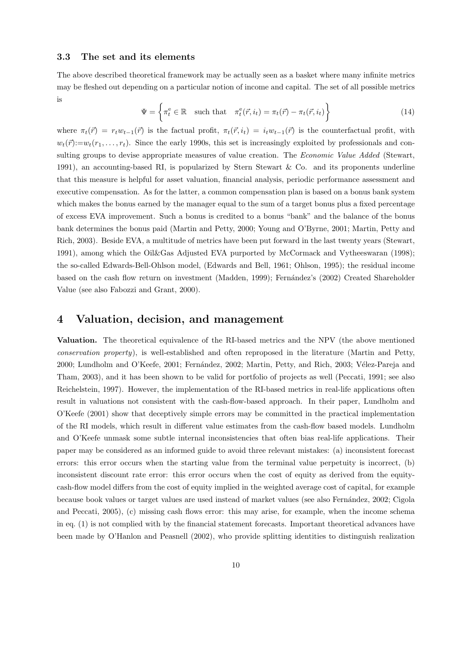### 3.3 The set and its elements

The above described theoretical framework may be actually seen as a basket where many infinite metrics may be fleshed out depending on a particular notion of income and capital. The set of all possible metrics is

$$
\Psi = \left\{ \pi_t^e \in \mathbb{R} \quad \text{such that} \quad \pi_t^e(\vec{r}, i_t) = \pi_t(\vec{r}) - \pi_t(\vec{r}, i_t) \right\} \tag{14}
$$

where  $\pi_t(\vec{r}) = r_t w_{t-1}(\vec{r})$  is the factual profit,  $\pi_t(\vec{r}, i_t) = i_t w_{t-1}(\vec{r})$  is the counterfactual profit, with  $w_t(\vec{r}) := w_t(r_1, \ldots, r_t)$ . Since the early 1990s, this set is increasingly exploited by professionals and consulting groups to devise appropriate measures of value creation. The Economic Value Added (Stewart, 1991), an accounting-based RI, is popularized by Stern Stewart & Co. and its proponents underline that this measure is helpful for asset valuation, financial analysis, periodic performance assessment and executive compensation. As for the latter, a common compensation plan is based on a bonus bank system which makes the bonus earned by the manager equal to the sum of a target bonus plus a fixed percentage of excess EVA improvement. Such a bonus is credited to a bonus "bank" and the balance of the bonus bank determines the bonus paid (Martin and Petty, 2000; Young and O'Byrne, 2001; Martin, Petty and Rich, 2003). Beside EVA, a multitude of metrics have been put forward in the last twenty years (Stewart, 1991), among which the Oil&Gas Adjusted EVA purported by McCormack and Vytheeswaran (1998); the so-called Edwards-Bell-Ohlson model, (Edwards and Bell, 1961; Ohlson, 1995); the residual income based on the cash flow return on investment (Madden, 1999); Fernández's (2002) Created Shareholder Value (see also Fabozzi and Grant, 2000).

## 4 Valuation, decision, and management

Valuation. The theoretical equivalence of the RI-based metrics and the NPV (the above mentioned conservation property), is well-established and often reproposed in the literature (Martin and Petty, 2000; Lundholm and O'Keefe, 2001; Fernández, 2002; Martin, Petty, and Rich, 2003; Vélez-Pareja and Tham, 2003), and it has been shown to be valid for portfolio of projects as well (Peccati, 1991; see also Reichelstein, 1997). However, the implementation of the RI-based metrics in real-life applications often result in valuations not consistent with the cash-flow-based approach. In their paper, Lundholm and O'Keefe (2001) show that deceptively simple errors may be committed in the practical implementation of the RI models, which result in different value estimates from the cash-flow based models. Lundholm and O'Keefe unmask some subtle internal inconsistencies that often bias real-life applications. Their paper may be considered as an informed guide to avoid three relevant mistakes: (a) inconsistent forecast errors: this error occurs when the starting value from the terminal value perpetuity is incorrect, (b) inconsistent discount rate error: this error occurs when the cost of equity as derived from the equitycash-flow model differs from the cost of equity implied in the weighted average cost of capital, for example because book values or target values are used instead of market values (see also Fernández, 2002; Cigola and Peccati, 2005), (c) missing cash flows error: this may arise, for example, when the income schema in eq. (1) is not complied with by the financial statement forecasts. Important theoretical advances have been made by O'Hanlon and Peasnell (2002), who provide splitting identities to distinguish realization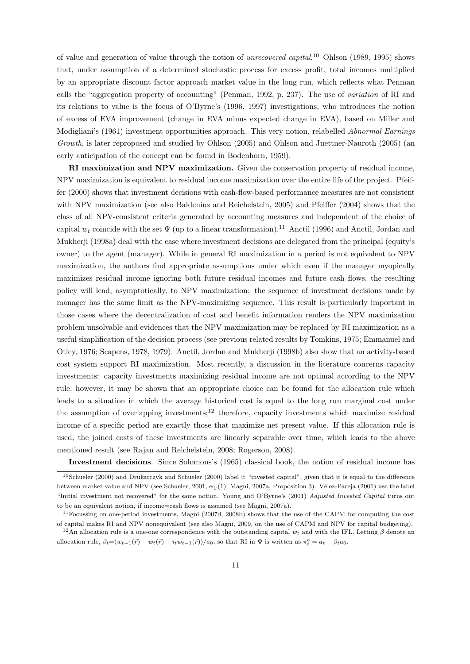of value and generation of value through the notion of *unrecovered capital*.<sup>10</sup> Ohlson (1989, 1995) shows that, under assumption of a determined stochastic process for excess profit, total incomes multiplied by an appropriate discount factor approach market value in the long run, which reflects what Penman calls the "aggregation property of accounting" (Penman, 1992, p. 237). The use of variation of RI and its relations to value is the focus of O'Byrne's (1996, 1997) investigations, who introduces the notion of excess of EVA improvement (change in EVA minus expected change in EVA), based on Miller and Modigliani's (1961) investment opportunities approach. This very notion, relabelled Abnormal Earnings Growth, is later reproposed and studied by Ohlson (2005) and Ohlson and Juettner-Nauroth (2005) (an early anticipation of the concept can be found in Bodenhorn, 1959).

RI maximization and NPV maximization. Given the conservation property of residual income, NPV maximization is equivalent to residual income maximization over the entire life of the project. Pfeiffer (2000) shows that investment decisions with cash-flow-based performance measures are not consistent with NPV maximization (see also Baldenius and Reichelstein, 2005) and Pfeiffer (2004) shows that the class of all NPV-consistent criteria generated by accounting measures and independent of the choice of capital  $w_t$  coincide with the set  $\Psi$  (up to a linear transformation).<sup>11</sup> Anctil (1996) and Anctil, Jordan and Mukherji (1998a) deal with the case where investment decisions are delegated from the principal (equity's owner) to the agent (manager). While in general RI maximization in a period is not equivalent to NPV maximization, the authors find appropriate assumptions under which even if the manager myopically maximizes residual income ignoring both future residual incomes and future cash flows, the resulting policy will lead, asymptotically, to NPV maximization: the sequence of investment decisions made by manager has the same limit as the NPV-maximizing sequence. This result is particularly important in those cases where the decentralization of cost and benefit information renders the NPV maximization problem unsolvable and evidences that the NPV maximization may be replaced by RI maximization as a useful simplification of the decision process (see previous related results by Tomkins, 1975; Emmanuel and Otley, 1976; Scapens, 1978, 1979). Anctil, Jordan and Mukherji (1998b) also show that an activity-based cost system support RI maximization. Most recently, a discussion in the literature concerns capacity investments: capacity investments maximizing residual income are not optimal according to the NPV rule; however, it may be shown that an appropriate choice can be found for the allocation rule which leads to a situation in which the average historical cost is equal to the long run marginal cost under the assumption of overlapping investments;<sup>12</sup> therefore, capacity investments which maximize residual income of a specific period are exactly those that maximize net present value. If this allocation rule is used, the joined costs of these investments are linearly separable over time, which leads to the above mentioned result (see Rajan and Reichelstein, 2008; Rogerson, 2008).

Investment decisions. Since Solomons's (1965) classical book, the notion of residual income has

<sup>10</sup>Schueler (2000) and Drukarczyk and Schueler (2000) label it "invested capital", given that it is equal to the difference between market value and NPV (see Schueler, 2001, eq.(1); Magni, 2007a, Proposition 3). Vélez-Pareja (2001) use the label "Initial investment not recovered" for the same notion. Young and O'Byrne's (2001) Adjusted Invested Capital turns out to be an equivalent notion, if income=cash flows is assumed (see Magni, 2007a).

<sup>11</sup>Focussing on one-period investments, Magni (2007d, 2008b) shows that the use of the CAPM for computing the cost of capital makes RI and NPV nonequivalent (see also Magni, 2009, on the use of CAPM and NPV for capital budgeting).

<sup>&</sup>lt;sup>12</sup>An allocation rule is a one-one correspondence with the outstanding capital  $w_t$  and with the IFL. Letting  $\beta$  denote an allocation rule,  $\beta_t = (w_{t-1}(\vec{r}) - w_t(\vec{r}) + i_t w_{t-1}(\vec{r}))/a_0$ , so that RI in  $\Psi$  is written as  $\pi_t^e = a_t - \beta_t a_0$ .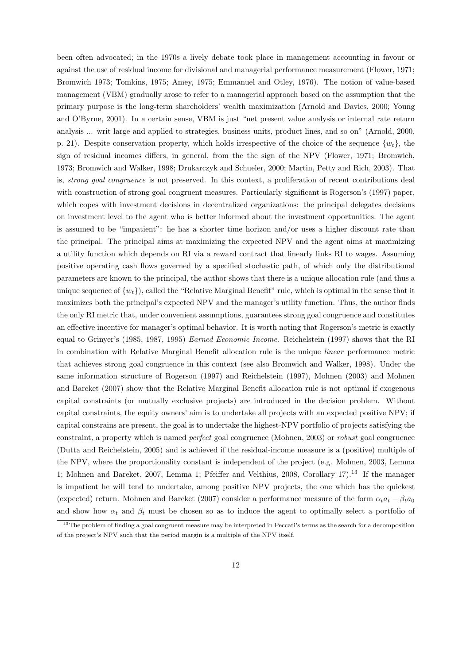been often advocated; in the 1970s a lively debate took place in management accounting in favour or against the use of residual income for divisional and managerial performance measurement (Flower, 1971; Bromwich 1973; Tomkins, 1975; Amey, 1975; Emmanuel and Otley, 1976). The notion of value-based management (VBM) gradually arose to refer to a managerial approach based on the assumption that the primary purpose is the long-term shareholders' wealth maximization (Arnold and Davies, 2000; Young and O'Byrne, 2001). In a certain sense, VBM is just "net present value analysis or internal rate return analysis ... writ large and applied to strategies, business units, product lines, and so on" (Arnold, 2000, p. 21). Despite conservation property, which holds irrespective of the choice of the sequence  $\{w_t\}$ , the sign of residual incomes differs, in general, from the the sign of the NPV (Flower, 1971; Bromwich, 1973; Bromwich and Walker, 1998; Drukarczyk and Schueler, 2000; Martin, Petty and Rich, 2003). That is, strong goal congruence is not preserved. In this context, a proliferation of recent contributions deal with construction of strong goal congruent measures. Particularly significant is Rogerson's (1997) paper, which copes with investment decisions in decentralized organizations: the principal delegates decisions on investment level to the agent who is better informed about the investment opportunities. The agent is assumed to be "impatient": he has a shorter time horizon and/or uses a higher discount rate than the principal. The principal aims at maximizing the expected NPV and the agent aims at maximizing a utility function which depends on RI via a reward contract that linearly links RI to wages. Assuming positive operating cash flows governed by a specified stochastic path, of which only the distributional parameters are known to the principal, the author shows that there is a unique allocation rule (and thus a unique sequence of  $\{w_t\}$ , called the "Relative Marginal Benefit" rule, which is optimal in the sense that it maximizes both the principal's expected NPV and the manager's utility function. Thus, the author finds the only RI metric that, under convenient assumptions, guarantees strong goal congruence and constitutes an effective incentive for manager's optimal behavior. It is worth noting that Rogerson's metric is exactly equal to Grinyer's (1985, 1987, 1995) Earned Economic Income. Reichelstein (1997) shows that the RI in combination with Relative Marginal Benefit allocation rule is the unique linear performance metric that achieves strong goal congruence in this context (see also Bromwich and Walker, 1998). Under the same information structure of Rogerson (1997) and Reichelstein (1997), Mohnen (2003) and Mohnen and Bareket (2007) show that the Relative Marginal Benefit allocation rule is not optimal if exogenous capital constraints (or mutually exclusive projects) are introduced in the decision problem. Without capital constraints, the equity owners' aim is to undertake all projects with an expected positive NPV; if capital constrains are present, the goal is to undertake the highest-NPV portfolio of projects satisfying the constraint, a property which is named perfect goal congruence (Mohnen, 2003) or robust goal congruence (Dutta and Reichelstein, 2005) and is achieved if the residual-income measure is a (positive) multiple of the NPV, where the proportionality constant is independent of the project (e.g. Mohnen, 2003, Lemma 1; Mohnen and Bareket, 2007, Lemma 1; Pfeiffer and Velthius, 2008, Corollary 17).<sup>13</sup> If the manager is impatient he will tend to undertake, among positive NPV projects, the one which has the quickest (expected) return. Mohnen and Bareket (2007) consider a performance measure of the form  $\alpha_t a_t - \beta_t a_0$ and show how  $\alpha_t$  and  $\beta_t$  must be chosen so as to induce the agent to optimally select a portfolio of

 $13$ The problem of finding a goal congruent measure may be interpreted in Peccati's terms as the search for a decomposition of the project's NPV such that the period margin is a multiple of the NPV itself.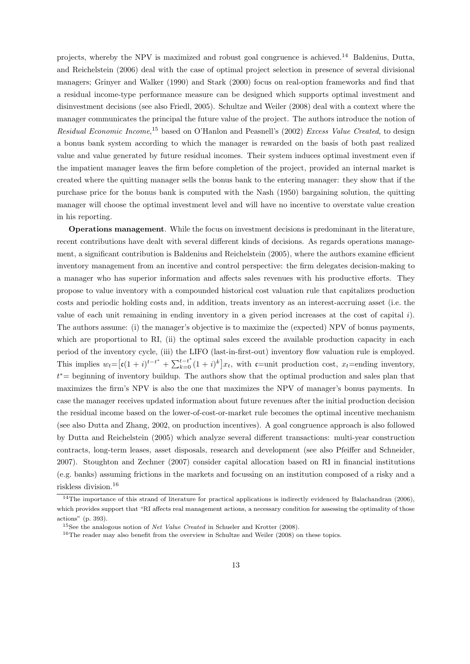projects, whereby the NPV is maximized and robust goal congruence is achieved.<sup>14</sup> Baldenius, Dutta, and Reichelstein (2006) deal with the case of optimal project selection in presence of several divisional managers; Grinyer and Walker (1990) and Stark (2000) focus on real-option frameworks and find that a residual income-type performance measure can be designed which supports optimal investment and disinvestment decisions (see also Friedl, 2005). Schultze and Weiler (2008) deal with a context where the manager communicates the principal the future value of the project. The authors introduce the notion of Residual Economic Income,<sup>15</sup> based on O'Hanlon and Peasnell's (2002) Excess Value Created, to design a bonus bank system according to which the manager is rewarded on the basis of both past realized value and value generated by future residual incomes. Their system induces optimal investment even if the impatient manager leaves the firm before completion of the project, provided an internal market is created where the quitting manager sells the bonus bank to the entering manager: they show that if the purchase price for the bonus bank is computed with the Nash (1950) bargaining solution, the quitting manager will choose the optimal investment level and will have no incentive to overstate value creation in his reporting.

Operations management. While the focus on investment decisions is predominant in the literature, recent contributions have dealt with several different kinds of decisions. As regards operations management, a significant contribution is Baldenius and Reichelstein (2005), where the authors examine efficient inventory management from an incentive and control perspective: the firm delegates decision-making to a manager who has superior information and affects sales revenues with his productive efforts. They propose to value inventory with a compounded historical cost valuation rule that capitalizes production costs and periodic holding costs and, in addition, treats inventory as an interest-accruing asset (i.e. the value of each unit remaining in ending inventory in a given period increases at the cost of capital  $i$ . The authors assume: (i) the manager's objective is to maximize the (expected) NPV of bonus payments, which are proportional to RI, (ii) the optimal sales exceed the available production capacity in each period of the inventory cycle, (iii) the LIFO (last-in-first-out) inventory flow valuation rule is employed. This implies  $w_t = [c(1+i)^{t-t^*} + \sum_{k=0}^{t-t^*} (1+i)^k] x_t$ , with c=unit production cost,  $x_t$ =ending inventory,  $t^*$  beginning of inventory buildup. The authors show that the optimal production and sales plan that maximizes the firm's NPV is also the one that maximizes the NPV of manager's bonus payments. In case the manager receives updated information about future revenues after the initial production decision the residual income based on the lower-of-cost-or-market rule becomes the optimal incentive mechanism (see also Dutta and Zhang, 2002, on production incentives). A goal congruence approach is also followed by Dutta and Reichelstein (2005) which analyze several different transactions: multi-year construction contracts, long-term leases, asset disposals, research and development (see also Pfeiffer and Schneider, 2007). Stoughton and Zechner (2007) consider capital allocation based on RI in financial institutions (e.g. banks) assuming frictions in the markets and focussing on an institution composed of a risky and a riskless division.<sup>16</sup>

 $14$ The importance of this strand of literature for practical applications is indirectly evidenced by Balachandran (2006), which provides support that "RI affects real management actions, a necessary condition for assessing the optimality of those actions" (p. 393).

<sup>&</sup>lt;sup>15</sup>See the analogous notion of *Net Value Created* in Schueler and Krotter  $(2008)$ .

<sup>16</sup>The reader may also benefit from the overview in Schultze and Weiler (2008) on these topics.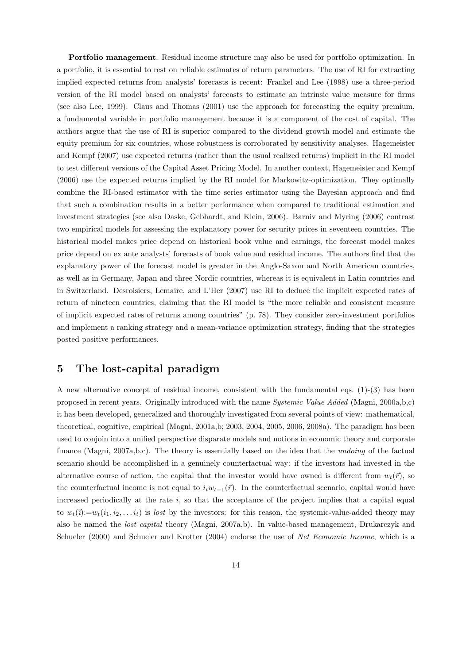Portfolio management. Residual income structure may also be used for portfolio optimization. In a portfolio, it is essential to rest on reliable estimates of return parameters. The use of RI for extracting implied expected returns from analysts' forecasts is recent: Frankel and Lee (1998) use a three-period version of the RI model based on analysts' forecasts to estimate an intrinsic value measure for firms (see also Lee, 1999). Claus and Thomas (2001) use the approach for forecasting the equity premium, a fundamental variable in portfolio management because it is a component of the cost of capital. The authors argue that the use of RI is superior compared to the dividend growth model and estimate the equity premium for six countries, whose robustness is corroborated by sensitivity analyses. Hagemeister and Kempf (2007) use expected returns (rather than the usual realized returns) implicit in the RI model to test different versions of the Capital Asset Pricing Model. In another context, Hagemeister and Kempf (2006) use the expected returns implied by the RI model for Markowitz-optimization. They optimally combine the RI-based estimator with the time series estimator using the Bayesian approach and find that such a combination results in a better performance when compared to traditional estimation and investment strategies (see also Daske, Gebhardt, and Klein, 2006). Barniv and Myring (2006) contrast two empirical models for assessing the explanatory power for security prices in seventeen countries. The historical model makes price depend on historical book value and earnings, the forecast model makes price depend on ex ante analysts' forecasts of book value and residual income. The authors find that the explanatory power of the forecast model is greater in the Anglo-Saxon and North American countries, as well as in Germany, Japan and three Nordic countries, whereas it is equivalent in Latin countries and in Switzerland. Desroisiers, Lemaire, and L'Her (2007) use RI to deduce the implicit expected rates of return of nineteen countries, claiming that the RI model is "the more reliable and consistent measure of implicit expected rates of returns among countries" (p. 78). They consider zero-investment portfolios and implement a ranking strategy and a mean-variance optimization strategy, finding that the strategies posted positive performances.

# 5 The lost-capital paradigm

A new alternative concept of residual income, consistent with the fundamental eqs. (1)-(3) has been proposed in recent years. Originally introduced with the name Systemic Value Added (Magni, 2000a,b,c) it has been developed, generalized and thoroughly investigated from several points of view: mathematical, theoretical, cognitive, empirical (Magni, 2001a,b; 2003, 2004, 2005, 2006, 2008a). The paradigm has been used to conjoin into a unified perspective disparate models and notions in economic theory and corporate finance (Magni, 2007a,b,c). The theory is essentially based on the idea that the undoing of the factual scenario should be accomplished in a genuinely counterfactual way: if the investors had invested in the alternative course of action, the capital that the investor would have owned is different from  $w_t(\vec{r})$ , so the counterfactual income is not equal to  $i_t w_{t-1}(\vec{r})$ . In the counterfactual scenario, capital would have increased periodically at the rate  $i$ , so that the acceptance of the project implies that a capital equal to  $w_t(\vec{i}):=w_t(i_1, i_2, \ldots i_t)$  is lost by the investors: for this reason, the systemic-value-added theory may also be named the lost capital theory (Magni, 2007a,b). In value-based management, Drukarczyk and Schueler (2000) and Schueler and Krotter (2004) endorse the use of Net Economic Income, which is a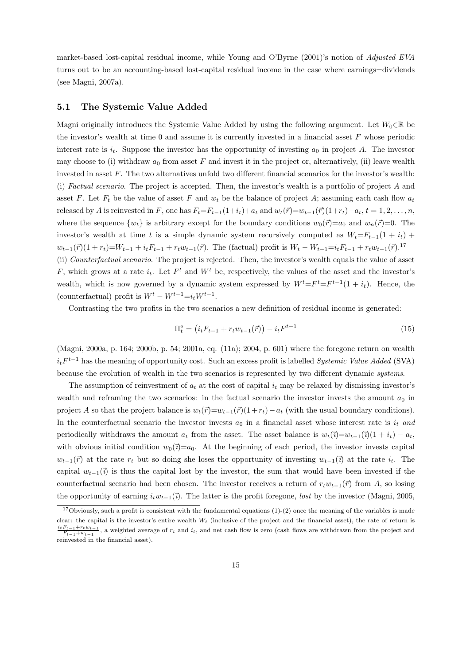market-based lost-capital residual income, while Young and O'Byrne (2001)'s notion of Adjusted EVA turns out to be an accounting-based lost-capital residual income in the case where earnings=dividends (see Magni, 2007a).

#### 5.1 The Systemic Value Added

(counterfactual) profit is  $W^t - W^{t-1} = i_t W^{t-1}$ .

Magni originally introduces the Systemic Value Added by using the following argument. Let  $W_0 \in \mathbb{R}$  be the investor's wealth at time  $0$  and assume it is currently invested in a financial asset  $F$  whose periodic interest rate is  $i_t$ . Suppose the investor has the opportunity of investing  $a_0$  in project A. The investor may choose to (i) withdraw  $a_0$  from asset F and invest it in the project or, alternatively, (ii) leave wealth invested in asset F. The two alternatives unfold two different financial scenarios for the investor's wealth: (i) Factual scenario. The project is accepted. Then, the investor's wealth is a portfolio of project  $A$  and asset F. Let  $F_t$  be the value of asset F and  $w_t$  be the balance of project A; assuming each cash flow  $a_t$ released by A is reinvested in F, one has  $F_t=F_{t-1}(1+i_t)+a_t$  and  $w_t(\vec{r})=w_{t-1}(\vec{r})(1+r_t)-a_t$ ,  $t=1,2,\ldots,n$ , where the sequence  $\{w_t\}$  is arbitrary except for the boundary conditions  $w_0(\vec{r})=a_0$  and  $w_n(\vec{r})=0$ . The investor's wealth at time t is a simple dynamic system recursively computed as  $W_t=F_{t-1}(1+i_t)$  +  $w_{t-1}(\vec{r})(1 + r_t) = W_{t-1} + i_t F_{t-1} + r_t w_{t-1}(\vec{r}).$  The (factual) profit is  $W_t - W_{t-1} = i_t F_{t-1} + r_t w_{t-1}(\vec{r}).$ <sup>17</sup> (ii) Counterfactual scenario. The project is rejected. Then, the investor's wealth equals the value of asset F, which grows at a rate  $i_t$ . Let  $F^t$  and  $W^t$  be, respectively, the values of the asset and the investor's wealth, which is now governed by a dynamic system expressed by  $W^t = F^t = F^{t-1}(1 + i_t)$ . Hence, the

Contrasting the two profits in the two scenarios a new definition of residual income is generated:

$$
\Pi_t^e = (i_t F_{t-1} + r_t w_{t-1}(\vec{r})) - i_t F^{t-1}
$$
\n(15)

(Magni, 2000a, p. 164; 2000b, p. 54; 2001a, eq. (11a); 2004, p. 601) where the foregone return on wealth  $i_t F^{t-1}$  has the meaning of opportunity cost. Such an excess profit is labelled *Systemic Value Added* (SVA) because the evolution of wealth in the two scenarios is represented by two different dynamic systems.

The assumption of reinvestment of  $a_t$  at the cost of capital  $i_t$  may be relaxed by dismissing investor's wealth and reframing the two scenarios: in the factual scenario the investor invests the amount  $a_0$  in project A so that the project balance is  $w_t(\vec{r})=w_{t-1}(\vec{r})(1 + r_t)-a_t$  (with the usual boundary conditions). In the counterfactual scenario the investor invests  $a_0$  in a financial asset whose interest rate is  $i_t$  and periodically withdraws the amount  $a_t$  from the asset. The asset balance is  $w_t(\vec{v})=w_{t-1}(\vec{v})(1 + i_t) - a_t$ , with obvious initial condition  $w_0(\vec{v})=a_0$ . At the beginning of each period, the investor invests capital  $w_{t-1}(\vec{r})$  at the rate  $r_t$  but so doing she loses the opportunity of investing  $w_{t-1}(\vec{v})$  at the rate  $i_t$ . The capital  $w_{t-1}(\vec{i})$  is thus the capital lost by the investor, the sum that would have been invested if the counterfactual scenario had been chosen. The investor receives a return of  $r_t w_{t-1}(\vec{r})$  from A, so losing the opportunity of earning  $i_t w_{t-1}(\vec{v})$ . The latter is the profit foregone, lost by the investor (Magni, 2005,

<sup>&</sup>lt;sup>17</sup>Obviously, such a profit is consistent with the fundamental equations  $(1)-(2)$  once the meaning of the variables is made clear: the capital is the investor's entire wealth  $W_t$  (inclusive of the project and the financial asset), the rate of return is  $\frac{i_t F_{t-1} + r_t w_{t-1}}{F_{t-1} + w_{t-1}}$ , a weighted average of  $r_t$  and  $i_t$ , and net cash flow is zero (cash flows are withdrawn from the project and reinvested in the financial asset).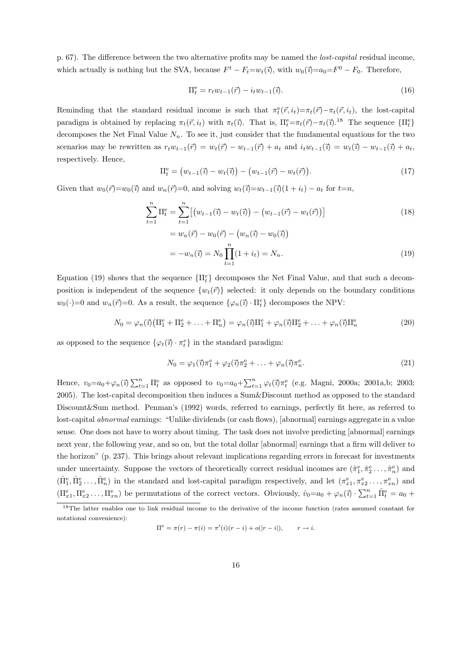p. 67). The difference between the two alternative profits may be named the lost-capital residual income, which actually is nothing but the SVA, because  $F^t - F_t = w_t(\vec{\imath})$ , with  $w_0(\vec{\imath}) = a_0 = F^0 - F_0$ . Therefore,

$$
\Pi_t^e = r_t w_{t-1}(\vec{r}) - i_t w_{t-1}(\vec{r}).\tag{16}
$$

Reminding that the standard residual income is such that  $\pi_t^e(\vec{r}, i_t) = \pi_t(\vec{r}) - \pi_t(\vec{r}, i_t)$ , the lost-capital paradigm is obtained by replacing  $\pi_t(\vec{r}, i_t)$  with  $\pi_t(\vec{v})$ . That is,  $\Pi_t^e = \pi_t(\vec{r}) - \pi_t(\vec{v})$ .<sup>18</sup> The sequence  ${\Pi_t^e}$ decomposes the Net Final Value  $N_n$ . To see it, just consider that the fundamental equations for the two scenarios may be rewritten as  $r_t w_{t-1}(\vec{r}) = w_t(\vec{r}) - w_{t-1}(\vec{r}) + a_t$  and  $i_t w_{t-1}(\vec{v}) = w_t(\vec{v}) - w_{t-1}(\vec{v}) + a_t$ respectively. Hence,

$$
\Pi_t^e = \big(w_{t-1}(\vec{\imath}) - w_t(\vec{\imath})\big) - \big(w_{t-1}(\vec{r}) - w_t(\vec{r})\big). \tag{17}
$$

Given that  $w_0(\vec{r})=w_0(\vec{v})$  and  $w_n(\vec{r})=0$ , and solving  $w_t(\vec{v})=w_{t-1}(\vec{v})(1+i_t)-a_t$  for  $t=n$ ,

$$
\sum_{t=1}^{n} \Pi_{t}^{e} = \sum_{t=1}^{n} \left[ \left( w_{t-1}(\vec{v}) - w_{t}(\vec{v}) \right) - \left( w_{t-1}(\vec{r}) - w_{t}(\vec{r}) \right) \right]
$$
\n
$$
= w_{n}(\vec{r}) - w_{0}(\vec{r}) - \left( w_{n}(\vec{v}) - w_{0}(\vec{v}) \right)
$$
\n
$$
= -w_{n}(\vec{v}) = N_{0} \prod_{t=1}^{n} (1 + i_{t}) = N_{n}.
$$
\n(19)

Equation (19) shows that the sequence  $\{\Pi_t^e\}$  decomposes the Net Final Value, and that such a decomposition is independent of the sequence  $\{w_t(\vec{r})\}$  selected: it only depends on the boundary conditions  $w_0(\cdot)=0$  and  $w_n(\vec{r})=0$ . As a result, the sequence  $\{\varphi_n(\vec{\imath})\cdot \Pi_t^e\}$  decomposes the NPV:

$$
N_0 = \varphi_n(\vec{\imath}) \left( \Pi_1^e + \Pi_2^e + \ldots + \Pi_n^e \right) = \varphi_n(\vec{\imath}) \Pi_1^e + \varphi_n(\vec{\imath}) \Pi_2^e + \ldots + \varphi_n(\vec{\imath}) \Pi_n^e \tag{20}
$$

as opposed to the sequence  $\{\varphi_t(\vec{\imath}) \cdot \pi_t^e\}$  in the standard paradigm:

$$
N_0 = \varphi_1(\vec{\imath})\pi_1^e + \varphi_2(\vec{\imath})\pi_2^e + \ldots + \varphi_n(\vec{\imath})\pi_n^e. \tag{21}
$$

Hence,  $v_0=a_0+\varphi_n(\vec{\imath})\sum_{t=1}^n\Pi_t^e$  as opposed to  $v_0=a_0+\sum_{t=1}^n\varphi_t(\vec{\imath})\pi_t^e$  (e.g. Magni, 2000a; 2001a,b; 2003; 2005). The lost-capital decomposition then induces a Sum&Discount method as opposed to the standard Discount&Sum method. Penman's (1992) words, referred to earnings, perfectly fit here, as referred to lost-capital abnormal earnings: "Unlike dividends (or cash flows), [abnormal] earnings aggregate in a value sense. One does not have to worry about timing. The task does not involve predicting [abnormal] earnings next year, the following year, and so on, but the total dollar [abnormal] earnings that a firm will deliver to the horizon" (p. 237). This brings about relevant implications regarding errors in forecast for investments under uncertainty. Suppose the vectors of theoretically correct residual incomes are  $(\hat{\pi}_1^e, \hat{\pi}_2^e, \ldots, \hat{\pi}_n^e)$  and  $(\hat{\Pi}_1^e, \hat{\Pi}_2^e, \ldots, \hat{\Pi}_n^e)$  in the standard and lost-capital paradigm respectively, and let  $(\pi_{x1}^e, \pi_{x2}^e, \ldots, \pi_{xn}^e)$  and  $(\Pi_{x_1}^e, \Pi_{x_2}^e, \ldots, \Pi_{x_n}^e)$  be permutations of the correct vectors. Obviously,  $\hat{v}_0 = a_0 + \varphi_n(\vec{v}) \cdot \sum_{t=1}^n \hat{\Pi}_t^e = a_0 + \varphi_n(\vec{v}) \cdot \sum_{t=1}^n \hat{\Pi}_t^e$ 

$$
\Pi^{e} = \pi(r) - \pi(i) = \pi'(i)(r - i) + o(|r - i|), \qquad r \to i.
$$

<sup>&</sup>lt;sup>18</sup>The latter enables one to link residual income to the derivative of the income function (rates assumed constant for notational convenience):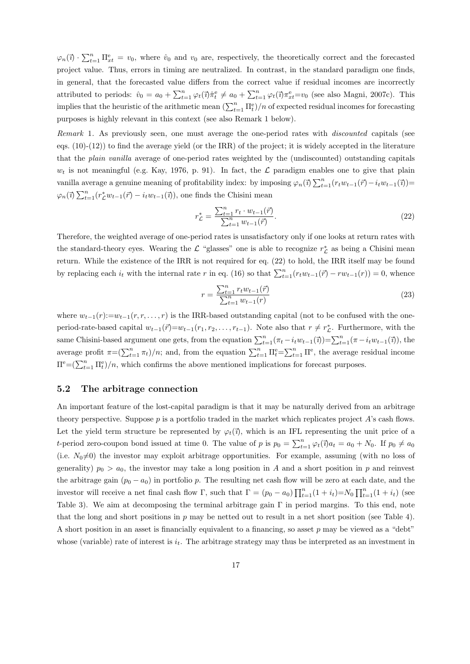$\varphi_n(\vec{\imath}) \cdot \sum_{t=1}^n \Pi_{xt}^e = v_0$ , where  $\hat{v}_0$  and  $v_0$  are, respectively, the theoretically correct and the forecasted project value. Thus, errors in timing are neutralized. In contrast, in the standard paradigm one finds, in general, that the forecasted value differs from the correct value if residual incomes are incorrectly attributed to periods:  $\hat{v}_0 = a_0 + \sum_{t=1}^n \varphi_t(\vec{\imath}) \hat{\pi}_t^e \neq a_0 + \sum_{t=1}^n \varphi_t(\vec{\imath}) \pi_{xt}^e = v_0$  (see also Magni, 2007c). This implies that the heuristic of the arithmetic mean  $(\sum_{t=1}^{n} \Pi_t^e)/n$  of expected residual incomes for forecasting purposes is highly relevant in this context (see also Remark 1 below).

Remark 1. As previously seen, one must average the one-period rates with *discounted* capitals (see eqs.  $(10)-(12)$ ) to find the average yield (or the IRR) of the project; it is widely accepted in the literature that the plain vanilla average of one-period rates weighted by the (undiscounted) outstanding capitals  $w_t$  is not meaningful (e.g. Kay, 1976, p. 91). In fact, the  $\mathcal L$  paradigm enables one to give that plain vanilla average a genuine meaning of profitability index: by imposing  $\varphi_n(\vec{v}) \sum_{t=1}^n (r_t w_{t-1}(\vec{r}) - i_t w_{t-1}(\vec{v}))$  $\varphi_n(\vec{\imath})\sum_{t=1}^n(r_{\mathcal{L}}^*w_{t-1}(\vec{r})-i_tw_{t-1}(\vec{\imath}))$ , one finds the Chisini mean

$$
r_{\mathcal{L}}^* = \frac{\sum_{t=1}^n r_t \cdot w_{t-1}(\vec{r})}{\sum_{t=1}^n w_{t-1}(\vec{r})}.
$$
\n(22)

Therefore, the weighted average of one-period rates is unsatisfactory only if one looks at return rates with the standard-theory eyes. Wearing the  $\mathcal{L}$  "glasses" one is able to recognize  $r_{\mathcal{L}}^*$  as being a Chisini mean return. While the existence of the IRR is not required for eq. (22) to hold, the IRR itself may be found by replacing each  $i_t$  with the internal rate r in eq. (16) so that  $\sum_{t=1}^{n} (r_t w_{t-1}(\vec{r}) - rw_{t-1}(r)) = 0$ , whence

$$
r = \frac{\sum_{t=1}^{n} r_t w_{t-1}(\vec{r})}{\sum_{t=1}^{n} w_{t-1}(r)}
$$
\n(23)

where  $w_{t-1}(r) := w_{t-1}(r, r, \ldots, r)$  is the IRR-based outstanding capital (not to be confused with the oneperiod-rate-based capital  $w_{t-1}(\vec{r})=w_{t-1}(r_1, r_2, \ldots, r_{t-1})$ . Note also that  $r \neq r_{\mathcal{L}}^*$ . Furthermore, with the same Chisini-based argument one gets, from the equation  $\sum_{t=1}^{n}(\pi_t-i_tw_{t-1}(\vec{a}))=\sum_{t=1}^{n}(\pi-i_tw_{t-1}(\vec{a}))$ , the average profit  $\pi = (\sum_{t=1}^n \pi_t)/n$ ; and, from the equation  $\sum_{t=1}^n \Pi_t^e = \sum_{t=1}^n \Pi^e$ , the average residual income  $\Pi^{\text{e}} = (\sum_{t=1}^{n} \Pi_t^{\text{e}})/n$ , which confirms the above mentioned implications for forecast purposes.

#### 5.2 The arbitrage connection

An important feature of the lost-capital paradigm is that it may be naturally derived from an arbitrage theory perspective. Suppose  $p$  is a portfolio traded in the market which replicates project  $A$ 's cash flows. Let the yield term structure be represented by  $\varphi_t(\vec{v})$ , which is an IFL representing the unit price of a t-period zero-coupon bond issued at time 0. The value of p is  $p_0 = \sum_{t=1}^n \varphi_t(\vec{i}) a_t = a_0 + N_0$ . If  $p_0 \neq a_0$ (i.e.  $N_0\neq 0$ ) the investor may exploit arbitrage opportunities. For example, assuming (with no loss of generality)  $p_0 > a_0$ , the investor may take a long position in A and a short position in p and reinvest the arbitrage gain  $(p_0 - a_0)$  in portfolio p. The resulting net cash flow will be zero at each date, and the investor will receive a net final cash flow Γ, such that  $\Gamma = (p_0 - a_0) \prod_{t=1}^n (1 + i_t) = N_0 \prod_{t=1}^n (1 + i_t)$  (see Table 3). We aim at decomposing the terminal arbitrage gain  $\Gamma$  in period margins. To this end, note that the long and short positions in  $p$  may be netted out to result in a net short position (see Table 4). A short position in an asset is financially equivalent to a financing, so asset  $p$  may be viewed as a "debt" whose (variable) rate of interest is  $i_t$ . The arbitrage strategy may thus be interpreted as an investment in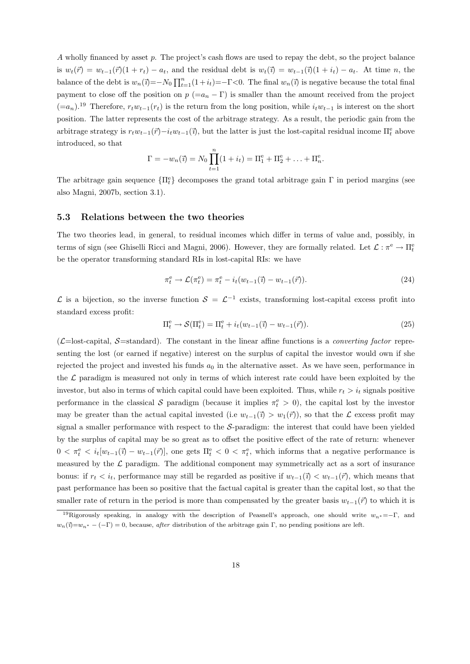A wholly financed by asset p. The project's cash flows are used to repay the debt, so the project balance is  $w_t(\vec{r}) = w_{t-1}(\vec{r})(1 + r_t) - a_t$ , and the residual debt is  $w_t(\vec{v}) = w_{t-1}(\vec{v})(1 + i_t) - a_t$ . At time n, the balance of the debt is  $w_n(\vec{v}) = -N_0 \prod_{t=1}^n (1+i_t) = -\Gamma \lt 0$ . The final  $w_n(\vec{v})$  is negative because the total final payment to close off the position on  $p (=a_n - \Gamma)$  is smaller than the amount received from the project  $(=a_n)^{19}$  Therefore,  $r_tw_{t-1}(r_t)$  is the return from the long position, while  $i_tw_{t-1}$  is interest on the short position. The latter represents the cost of the arbitrage strategy. As a result, the periodic gain from the arbitrage strategy is  $r_t w_{t-1}(\vec{r}) - i_t w_{t-1}(\vec{v})$ , but the latter is just the lost-capital residual income  $\Pi_t^e$  above introduced, so that

$$
\Gamma = -w_n(\vec{i}) = N_0 \prod_{t=1}^n (1 + i_t) = \Pi_1^e + \Pi_2^e + \ldots + \Pi_n^e.
$$

The arbitrage gain sequence  $\{\Pi_t^e\}$  decomposes the grand total arbitrage gain  $\Gamma$  in period margins (see also Magni, 2007b, section 3.1).

#### 5.3 Relations between the two theories

The two theories lead, in general, to residual incomes which differ in terms of value and, possibly, in terms of sign (see Ghiselli Ricci and Magni, 2006). However, they are formally related. Let  $\mathcal{L} : \pi^e \to \Pi_t^e$ be the operator transforming standard RIs in lost-capital RIs: we have

$$
\pi_t^e \to \mathcal{L}(\pi_t^e) = \pi_t^e - i_t(w_{t-1}(\vec{\tau}) - w_{t-1}(\vec{r})).\tag{24}
$$

 $\mathcal L$  is a bijection, so the inverse function  $\mathcal S = \mathcal L^{-1}$  exists, transforming lost-capital excess profit into standard excess profit:

$$
\Pi_t^e \to \mathcal{S}(\Pi_t^e) = \Pi_t^e + i_t(w_{t-1}(\vec{v}) - w_{t-1}(\vec{r})).
$$
\n
$$
(25)
$$

 $(\mathcal{L}=\text{lost-capital}, \mathcal{S}=\text{standard})$ . The constant in the linear affine functions is a *converting factor* representing the lost (or earned if negative) interest on the surplus of capital the investor would own if she rejected the project and invested his funds  $a_0$  in the alternative asset. As we have seen, performance in the  $\mathcal L$  paradigm is measured not only in terms of which interest rate could have been exploited by the investor, but also in terms of which capital could have been exploited. Thus, while  $r_t > i_t$  signals positive performance in the classical S paradigm (because it implies  $\pi_t^e > 0$ ), the capital lost by the investor may be greater than the actual capital invested (i.e  $w_{t-1}(\vec{v}) > w_1(\vec{r})$ ), so that the L excess profit may signal a smaller performance with respect to the  $S$ -paradigm: the interest that could have been yielded by the surplus of capital may be so great as to offset the positive effect of the rate of return: whenever  $0 < \pi_t^e < i_t[w_{t-1}(\vec{v}) - w_{t-1}(\vec{r})],$  one gets  $\Pi_t^e < 0 < \pi_t^e$ , which informs that a negative performance is measured by the  $\mathcal L$  paradigm. The additional component may symmetrically act as a sort of insurance bonus: if  $r_t < i_t$ , performance may still be regarded as positive if  $w_{t-1}(\vec{v}) < w_{t-1}(\vec{r})$ , which means that past performance has been so positive that the factual capital is greater than the capital lost, so that the smaller rate of return in the period is more than compensated by the greater basis  $w_{t-1}(\vec{r})$  to which it is

<sup>&</sup>lt;sup>19</sup>Rigorously speaking, in analogy with the description of Peasnell's approach, one should write  $w_{n*}=-\Gamma$ , and  $w_n(\vec{v})=w_{n^*} - (-\Gamma) = 0$ , because, after distribution of the arbitrage gain Γ, no pending positions are left.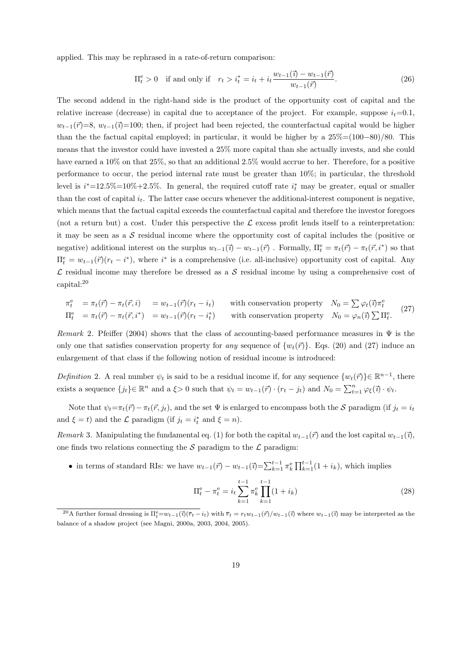applied. This may be rephrased in a rate-of-return comparison:

$$
\Pi_t^e > 0 \quad \text{if and only if} \quad r_t > i_t^* = i_t + i_t \frac{w_{t-1}(\vec{v}) - w_{t-1}(\vec{r})}{w_{t-1}(\vec{r})}.
$$
 (26)

The second addend in the right-hand side is the product of the opportunity cost of capital and the relative increase (decrease) in capital due to acceptance of the project. For example, suppose  $i_t=0.1$ ,  $w_{t-1}(\vec{r})=8$ ,  $w_{t-1}(\vec{r})=100$ ; then, if project had been rejected, the counterfactual capital would be higher than the the factual capital employed; in particular, it would be higher by a  $25\%=(100–80)/80$ . This means that the investor could have invested a 25% more capital than she actually invests, and she could have earned a 10% on that 25%, so that an additional 2.5% would accrue to her. Therefore, for a positive performance to occur, the period internal rate must be greater than 10%; in particular, the threshold level is  $i^*=12.5\% = 10\% + 2.5\%$ . In general, the required cutoff rate  $i_t^*$  may be greater, equal or smaller than the cost of capital  $i_t$ . The latter case occurs whenever the additional-interest component is negative, which means that the factual capital exceeds the counterfactual capital and therefore the investor foregoes (not a return but) a cost. Under this perspective the  $\mathcal L$  excess profit lends itself to a reinterpretation: it may be seen as a  $S$  residual income where the opportunity cost of capital includes the (positive or negative) additional interest on the surplus  $w_{t-1}(\vec{v}) - w_{t-1}(\vec{r})$ . Formally,  $\Pi_t^e = \pi_t(\vec{r}) - \pi_t(\vec{r}, i^*)$  so that  $\Pi_t^e = w_{t-1}(\vec{r})(r_t - i^*)$ , where  $i^*$  is a comprehensive (i.e. all-inclusive) opportunity cost of capital. Any  $\mathcal L$  residual income may therefore be dressed as a  $\mathcal S$  residual income by using a comprehensive cost of capital:<sup>20</sup>

$$
\begin{aligned}\n\pi_t^e &= \pi_t(\vec{r}) - \pi_t(\vec{r}, i) \\
\Pi_t^e &= \pi_t(\vec{r}) - \pi_t(\vec{r}, i^*) \\
&= w_{t-1}(\vec{r})(r_t - i_t^*) \\
\text{with conservation property} \quad N_0 = \sum \varphi_t(\vec{\imath}) \pi_t^e \\
N_0 &= \varphi_n(\vec{\imath}) \sum \Pi_t^e.\n\end{aligned} \tag{27}
$$

Remark 2. Pfeiffer (2004) shows that the class of accounting-based performance measures in  $\Psi$  is the only one that satisfies conservation property for any sequence of  $\{w_t(\vec{r})\}$ . Eqs. (20) and (27) induce an enlargement of that class if the following notion of residual income is introduced:

Definition 2. A real number  $\psi_t$  is said to be a residual income if, for any sequence  $\{w_t(\vec{r})\} \in \mathbb{R}^{n-1}$ , there exists a sequence  $\{j_t\} \in \mathbb{R}^n$  and a  $\xi > 0$  such that  $\psi_t = w_{t-1}(\vec{r}) \cdot (r_t - j_t)$  and  $N_0 = \sum_{t=1}^n \varphi_\xi(\vec{v}) \cdot \psi_t$ .

Note that  $\psi_t=\pi_t(\vec{r})-\pi_t(\vec{r},j_t)$ , and the set  $\Psi$  is enlarged to encompass both the S paradigm (if  $j_t = i_t$ and  $\xi = t$ ) and the  $\mathcal L$  paradigm (if  $j_t = i_t^*$  and  $\xi = n$ ).

Remark 3. Manipulating the fundamental eq. (1) for both the capital  $w_{t-1}(\vec{r})$  and the lost capital  $w_{t-1}(\vec{v})$ , one finds two relations connecting the  $S$  paradigm to the  $\mathcal L$  paradigm:

• in terms of standard RIs: we have  $w_{t-1}(\vec{r}) - w_{t-1}(\vec{v}) = \sum_{k=1}^{t-1} \pi_k^e \prod_{k=1}^{t-1} (1 + i_k)$ , which implies

$$
\Pi_t^{\text{e}} - \pi_t^{\text{e}} = i_t \sum_{k=1}^{t-1} \pi_k^{\text{e}} \prod_{k=1}^{t-1} (1 + i_k)
$$
\n(28)

<sup>&</sup>lt;sup>20</sup>A further formal dressing is  $\Pi_t^e=w_{t-1}(\vec{\imath}) (\bar{r}_t - i_t)$  with  $\bar{r}_t = r_t w_{t-1}(\vec{r})/w_{t-1}(\vec{\imath})$  where  $w_{t-1}(\vec{\imath})$  may be interpreted as the balance of a shadow project (see Magni, 2000a, 2003, 2004, 2005).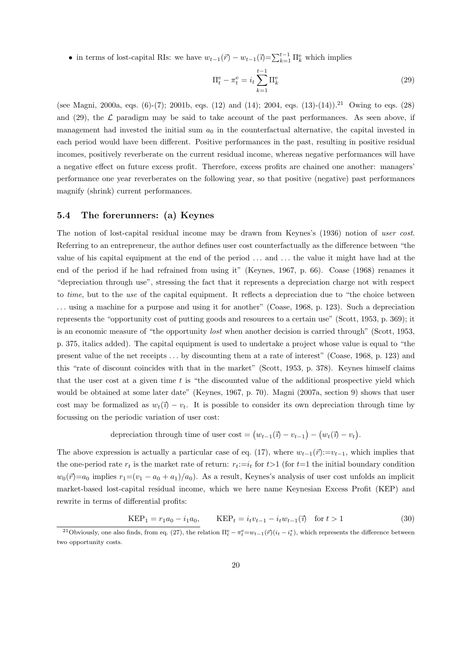• in terms of lost-capital RIs: we have  $w_{t-1}(\vec{r}) - w_{t-1}(\vec{\imath}) = \sum_{k=1}^{t-1} \Pi_k^e$  which implies

$$
\Pi_t^{\text{e}} - \pi_t^{\text{e}} = i_t \sum_{k=1}^{t-1} \Pi_k^{\text{e}}
$$
\n(29)

(see Magni, 2000a, eqs. (6)-(7); 2001b, eqs. (12) and (14); 2004, eqs. (13)-(14)).<sup>21</sup> Owing to eqs. (28) and  $(29)$ , the  $\mathcal L$  paradigm may be said to take account of the past performances. As seen above, if management had invested the initial sum  $a_0$  in the counterfactual alternative, the capital invested in each period would have been different. Positive performances in the past, resulting in positive residual incomes, positively reverberate on the current residual income, whereas negative performances will have a negative effect on future excess profit. Therefore, excess profits are chained one another: managers' performance one year reverberates on the following year, so that positive (negative) past performances magnify (shrink) current performances.

#### 5.4 The forerunners: (a) Keynes

The notion of lost-capital residual income may be drawn from Keynes's (1936) notion of user cost. Referring to an entrepreneur, the author defines user cost counterfactually as the difference between "the value of his capital equipment at the end of the period . .. and . .. the value it might have had at the end of the period if he had refrained from using it" (Keynes, 1967, p. 66). Coase (1968) renames it "depreciation through use", stressing the fact that it represents a depreciation charge not with respect to time, but to the use of the capital equipment. It reflects a depreciation due to "the choice between . .. using a machine for a purpose and using it for another" (Coase, 1968, p. 123). Such a depreciation represents the "opportunity cost of putting goods and resources to a certain use" (Scott, 1953, p. 369); it is an economic measure of "the opportunity lost when another decision is carried through" (Scott, 1953, p. 375, italics added). The capital equipment is used to undertake a project whose value is equal to "the present value of the net receipts . .. by discounting them at a rate of interest" (Coase, 1968, p. 123) and this "rate of discount coincides with that in the market" (Scott, 1953, p. 378). Keynes himself claims that the user cost at a given time  $t$  is "the discounted value of the additional prospective yield which would be obtained at some later date" (Keynes, 1967, p. 70). Magni (2007a, section 9) shows that user cost may be formalized as  $w_t(\vec{v}) - v_t$ . It is possible to consider its own depreciation through time by focussing on the periodic variation of user cost:

deprecision through time of user cost = 
$$
(w_{t-1}(\vec{i}) - v_{t-1}) - (w_t(\vec{i}) - v_t).
$$

The above expression is actually a particular case of eq. (17), where  $w_{t-1}(\vec{r}):=v_{t-1}$ , which implies that the one-period rate  $r_t$  is the market rate of return:  $r_t:=i_t$  for  $t>1$  (for  $t=1$  the initial boundary condition  $w_0(\vec{r})=a_0$  implies  $r_1=(v_1 - a_0 + a_1)/a_0$ . As a result, Keynes's analysis of user cost unfolds an implicit market-based lost-capital residual income, which we here name Keynesian Excess Profit (KEP) and rewrite in terms of differential profits:

$$
KEP_1 = r_1 a_0 - i_1 a_0, \qquad KEP_t = i_t v_{t-1} - i_t w_{t-1}(\vec{i}) \quad \text{for } t > 1 \tag{30}
$$

<sup>&</sup>lt;sup>21</sup>Obviously, one also finds, from eq. (27), the relation  $\Pi_t^e - \pi_t^e = w_{t-1}(\vec{r})(i_t - i_t^*)$ , which represents the difference between two opportunity costs.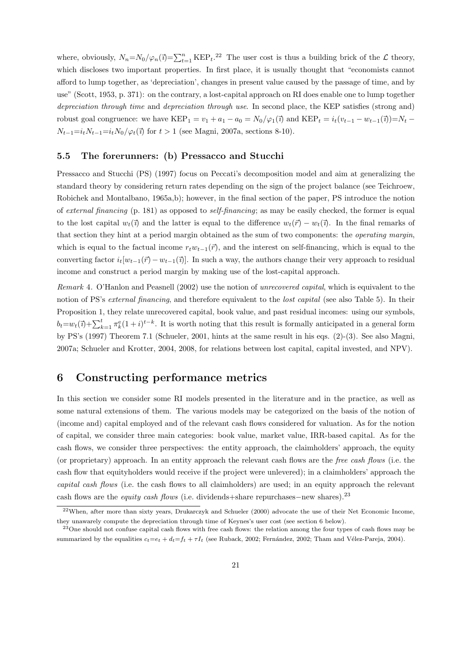where, obviously,  $N_n = N_0 / \varphi_n(\vec{\imath}) = \sum_{t=1}^n \text{KEP}_t^{22}$  The user cost is thus a building brick of the  $\mathcal L$  theory, which discloses two important properties. In first place, it is usually thought that "economists cannot afford to lump together, as 'depreciation', changes in present value caused by the passage of time, and by use" (Scott, 1953, p. 371): on the contrary, a lost-capital approach on RI does enable one to lump together depreciation through time and depreciation through use. In second place, the KEP satisfies (strong and) robust goal congruence: we have  $\text{KEP}_1 = v_1 + a_1 - a_0 = N_0/\varphi_1(\vec{i})$  and  $\text{KEP}_t = i_t(v_{t-1} - w_{t-1}(\vec{i})) = N_t - a_0$  $N_{t-1}=i_tN_{t-1}=i_tN_0/\varphi_t(\vec{v})$  for  $t>1$  (see Magni, 2007a, sections 8-10).

## 5.5 The forerunners: (b) Pressacco and Stucchi

Pressacco and Stucchi (PS) (1997) focus on Peccati's decomposition model and aim at generalizing the standard theory by considering return rates depending on the sign of the project balance (see Teichroew, Robichek and Montalbano, 1965a,b); however, in the final section of the paper, PS introduce the notion of external financing (p. 181) as opposed to self-financing; as may be easily checked, the former is equal to the lost capital  $w_t(\vec{r})$  and the latter is equal to the difference  $w_t(\vec{r}) - w_t(\vec{r})$ . In the final remarks of that section they hint at a period margin obtained as the sum of two components: the operating margin, which is equal to the factual income  $r_t w_{t-1}(\vec{r})$ , and the interest on self-financing, which is equal to the converting factor  $i_t[w_{t-1}(\vec{r})-w_{t-1}(\vec{v})]$ . In such a way, the authors change their very approach to residual income and construct a period margin by making use of the lost-capital approach.

Remark 4. O'Hanlon and Peasnell (2002) use the notion of unrecovered capital, which is equivalent to the notion of PS's external financing, and therefore equivalent to the *lost capital* (see also Table 5). In their Proposition 1, they relate unrecovered capital, book value, and past residual incomes: using our symbols,  $b_t = w_t(\vec{i}) + \sum_{k=1}^t \pi_k^e (1+i)^{t-k}$ . It is worth noting that this result is formally anticipated in a general form by PS's (1997) Theorem 7.1 (Schueler, 2001, hints at the same result in his eqs. (2)-(3). See also Magni, 2007a; Schueler and Krotter, 2004, 2008, for relations between lost capital, capital invested, and NPV).

# 6 Constructing performance metrics

In this section we consider some RI models presented in the literature and in the practice, as well as some natural extensions of them. The various models may be categorized on the basis of the notion of (income and) capital employed and of the relevant cash flows considered for valuation. As for the notion of capital, we consider three main categories: book value, market value, IRR-based capital. As for the cash flows, we consider three perspectives: the entity approach, the claimholders' approach, the equity (or proprietary) approach. In an entity approach the relevant cash flows are the free cash flows (i.e. the cash flow that equityholders would receive if the project were unlevered); in a claimholders' approach the capital cash flows (i.e. the cash flows to all claimholders) are used; in an equity approach the relevant cash flows are the equity cash flows (i.e. dividends+share repurchases−new shares).<sup>23</sup>

<sup>22</sup>When, after more than sixty years, Drukarczyk and Schueler (2000) advocate the use of their Net Economic Income, they unawarely compute the depreciation through time of Keynes's user cost (see section 6 below).

<sup>&</sup>lt;sup>23</sup>One should not confuse capital cash flows with free cash flows: the relation among the four types of cash flows may be summarized by the equalities  $c_t = e_t + d_t = f_t + \tau I_t$  (see Ruback, 2002; Fernández, 2002; Tham and Vélez-Pareja, 2004).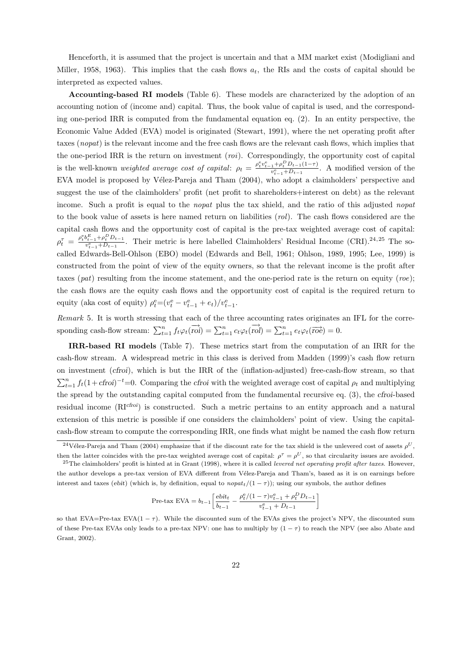Henceforth, it is assumed that the project is uncertain and that a MM market exist (Modigliani and Miller, 1958, 1963). This implies that the cash flows  $a_t$ , the RIs and the costs of capital should be interpreted as expected values.

Accounting-based RI models (Table 6). These models are characterized by the adoption of an accounting notion of (income and) capital. Thus, the book value of capital is used, and the corresponding one-period IRR is computed from the fundamental equation eq. (2). In an entity perspective, the Economic Value Added (EVA) model is originated (Stewart, 1991), where the net operating profit after taxes (nopat) is the relevant income and the free cash flows are the relevant cash flows, which implies that the one-period IRR is the return on investment (roi). Correspondingly, the opportunity cost of capital is the well-known *weighted average cost of capital*:  $\rho_t = \frac{\rho_t^e v_{t-1}^e + \rho_t^D D_{t-1}(1-\tau)}{v_{t-1}^e + D_{t-1}}$ . A modified version of the EVA model is proposed by Vélez-Pareja and Tham (2004), who adopt a claimholders' perspective and suggest the use of the claimholders' profit (net profit to shareholders+interest on debt) as the relevant income. Such a profit is equal to the *nopat* plus the tax shield, and the ratio of this adjusted *nopat* to the book value of assets is here named return on liabilities (rol). The cash flows considered are the capital cash flows and the opportunity cost of capital is the pre-tax weighted average cost of capital:  $\rho_t^{\tau} = \frac{\rho_t^{\epsilon} b_{t-1}^E + \rho_t^D D_{t-1}}{v_{t-1}^{\epsilon} + D_{t-1}}$ . Their metric is here labelled Claimholders' Residual Income (CRI).<sup>24,25</sup> The socalled Edwards-Bell-Ohlson (EBO) model (Edwards and Bell, 1961; Ohlson, 1989, 1995; Lee, 1999) is constructed from the point of view of the equity owners, so that the relevant income is the profit after taxes (pat) resulting from the income statement, and the one-period rate is the return on equity (roe); the cash flows are the equity cash flows and the opportunity cost of capital is the required return to equity (aka cost of equity)  $\rho_t^{\text{e}} = (v_t^{\text{e}} - v_{t-1}^{\text{e}} + e_t)/v_{t-1}^{\text{e}}$ .

Remark 5. It is worth stressing that each of the three accounting rates originates an IFL for the corresponding cash-flow stream:  $\sum_{t=1}^{n} f_t \varphi_t(\overrightarrow{roi}) = \sum_{t=1}^{n} c_t \varphi_t(\overrightarrow{rol}) = \sum_{t=1}^{n} e_t \varphi_t(\overrightarrow{roe}) = 0.$ 

IRR-based RI models (Table 7). These metrics start from the computation of an IRR for the cash-flow stream. A widespread metric in this class is derived from Madden (1999)'s cash flow return on investment (cfroi), which is but the IRR of the (inflation-adjusted) free-cash-flow stream, so that  $\sum_{t=1}^{n} f_t(1+cfroi)^{-t}$ =0. Comparing the cfroi with the weighted average cost of capital  $\rho_t$  and multiplying the spread by the outstanding capital computed from the fundamental recursive eq. (3), the cfroi-based residual income (RI<sup>cfroi</sup>) is constructed. Such a metric pertains to an entity approach and a natural extension of this metric is possible if one considers the claimholders' point of view. Using the capitalcash-flow stream to compute the corresponding IRR, one finds what might be named the cash flow return

$$
\text{Pre-tax EVA} = b_{t-1} \bigg[ \frac{ebit_t}{b_{t-1}} - \frac{\rho_t^{\text{e}} / (1-\tau) v_{t-1}^{\text{e}} + \rho_t^D D_{t-1}}{v_{t-1}^{\text{e}} + D_{t-1}} \bigg]
$$

<sup>&</sup>lt;sup>24</sup>Vélez-Pareja and Tham (2004) emphasize that if the discount rate for the tax shield is the unlevered cost of assets  $\rho^U$ , then the latter coincides with the pre-tax weighted average cost of capital:  $\rho^{\tau} = \rho^U$ , so that circularity issues are avoided.

 $^{25}$ The claimholders' profit is hinted at in Grant (1998), where it is called *levered net operating profit after taxes*. However, the author develops a pre-tax version of EVA different from Vélez-Pareja and Tham's, based as it is on earnings before interest and taxes (ebit) (which is, by definition, equal to  $nopat_t/(1 - \tau)$ ); using our symbols, the author defines

so that EVA=Pre-tax EVA( $1 - \tau$ ). While the discounted sum of the EVAs gives the project's NPV, the discounted sum of these Pre-tax EVAs only leads to a pre-tax NPV: one has to multiply by  $(1 - \tau)$  to reach the NPV (see also Abate and Grant, 2002).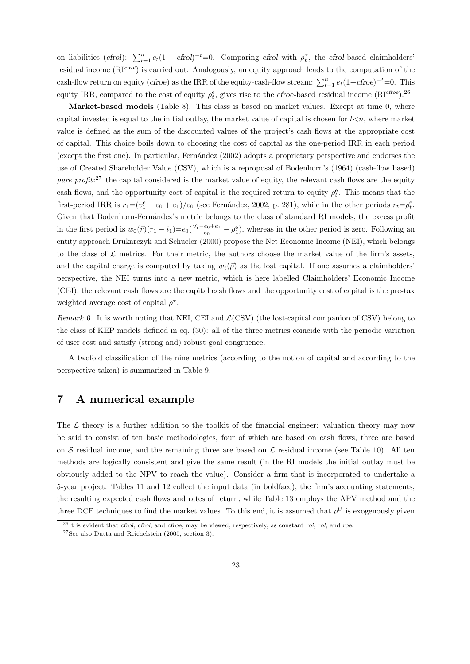on liabilities (cfrol):  $\sum_{t=1}^{n} c_t(1 + c$ frol)<sup>-t</sup>=0. Comparing cfrol with  $\rho_t^{\tau}$ , the cfrol-based claimholders' residual income ( $RI<sup>cfrol</sup>$ ) is carried out. Analogously, an equity approach leads to the computation of the cash-flow return on equity (*cfroe*) as the IRR of the equity-cash-flow stream:  $\sum_{t=1}^{n} e_t(1+ctroe)^{-t}=0$ . This equity IRR, compared to the cost of equity  $\rho_t^e$ , gives rise to the cfroe-based residual income (RI<sup>cfroe</sup>).<sup>26</sup>

Market-based models (Table 8). This class is based on market values. Except at time 0, where capital invested is equal to the initial outlay, the market value of capital is chosen for  $t \leq n$ , where market value is defined as the sum of the discounted values of the project's cash flows at the appropriate cost of capital. This choice boils down to choosing the cost of capital as the one-period IRR in each period (except the first one). In particular, Fernández (2002) adopts a proprietary perspective and endorses the use of Created Shareholder Value (CSV), which is a reproposal of Bodenhorn's (1964) (cash-flow based) pure profit:<sup>27</sup> the capital considered is the market value of equity, the relevant cash flows are the equity cash flows, and the opportunity cost of capital is the required return to equity  $\rho_t^e$ . This means that the first-period IRR is  $r_1=(v_1^e-e_0+e_1)/e_0$  (see Fernández, 2002, p. 281), while in the other periods  $r_t=\rho_t^e$ . Given that Bodenhorn-Fernández's metric belongs to the class of standard RI models, the excess profit in the first period is  $w_0(\vec{r})(r_1 - i_1) = e_0(\frac{v_1^e - e_0 + e_1}{e_0} - \rho_1^e)$ , whereas in the other period is zero. Following an entity approach Drukarczyk and Schueler (2000) propose the Net Economic Income (NEI), which belongs to the class of  $\mathcal L$  metrics. For their metric, the authors choose the market value of the firm's assets, and the capital charge is computed by taking  $w_t(\vec{\rho})$  as the lost capital. If one assumes a claimholders' perspective, the NEI turns into a new metric, which is here labelled Claimholders' Economic Income (CEI): the relevant cash flows are the capital cash flows and the opportunity cost of capital is the pre-tax weighted average cost of capital  $\rho^{\tau}$ .

Remark 6. It is worth noting that NEI, CEI and  $\mathcal{L}$ (CSV) (the lost-capital companion of CSV) belong to the class of KEP models defined in eq. (30): all of the three metrics coincide with the periodic variation of user cost and satisfy (strong and) robust goal congruence.

A twofold classification of the nine metrics (according to the notion of capital and according to the perspective taken) is summarized in Table 9.

# 7 A numerical example

The  $\mathcal L$  theory is a further addition to the toolkit of the financial engineer: valuation theory may now be said to consist of ten basic methodologies, four of which are based on cash flows, three are based on S residual income, and the remaining three are based on  $\mathcal L$  residual income (see Table 10). All ten methods are logically consistent and give the same result (in the RI models the initial outlay must be obviously added to the NPV to reach the value). Consider a firm that is incorporated to undertake a 5-year project. Tables 11 and 12 collect the input data (in boldface), the firm's accounting statements, the resulting expected cash flows and rates of return, while Table 13 employs the APV method and the three DCF techniques to find the market values. To this end, it is assumed that  $\rho^U$  is exogenously given

 $^{26}$ It is evident that cfroi, cfrol, and cfroe, may be viewed, respectively, as constant roi, rol, and roe.

<sup>27</sup>See also Dutta and Reichelstein (2005, section 3).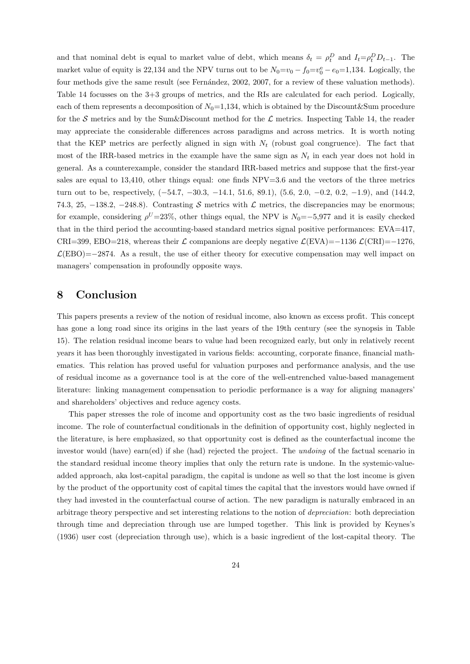and that nominal debt is equal to market value of debt, which means  $\delta_t = \rho_t^D$  and  $I_t = \rho_t^D D_{t-1}$ . The market value of equity is 22,134 and the NPV turns out to be  $N_0 = v_0 - f_0 = v_0^e - e_0 = 1,134$ . Logically, the four methods give the same result (see Fernández, 2002, 2007, for a review of these valuation methods). Table 14 focusses on the 3+3 groups of metrics, and the RIs are calculated for each period. Logically, each of them represents a decomposition of  $N_0$ =1,134, which is obtained by the Discount&Sum procedure for the S metrics and by the Sum&Discount method for the  $\mathcal L$  metrics. Inspecting Table 14, the reader may appreciate the considerable differences across paradigms and across metrics. It is worth noting that the KEP metrics are perfectly aligned in sign with  $N_t$  (robust goal congruence). The fact that most of the IRR-based metrics in the example have the same sign as  $N_t$  in each year does not hold in general. As a counterexample, consider the standard IRR-based metrics and suppose that the first-year sales are equal to 13,410, other things equal: one finds NPV=3.6 and the vectors of the three metrics turn out to be, respectively, (−54.7, −30.3, −14.1, 51.6, 89.1), (5.6, 2.0, −0.2, 0.2, −1.9), and (144.2, 74.3, 25,  $-138.2, -248.8$ ). Contrasting S metrics with L metrics, the discrepancies may be enormous; for example, considering  $\rho^{U}$ =23%, other things equal, the NPV is  $N_0$ =-5,977 and it is easily checked that in the third period the accounting-based standard metrics signal positive performances: EVA=417, CRI=399, EBO=218, whereas their  $\mathcal{L}$  companions are deeply negative  $\mathcal{L}(EVA)$ =−1136  $\mathcal{L}(CRI)$ =−1276,  $\mathcal{L}(EBO)=-2874$ . As a result, the use of either theory for executive compensation may well impact on managers' compensation in profoundly opposite ways.

# 8 Conclusion

This papers presents a review of the notion of residual income, also known as excess profit. This concept has gone a long road since its origins in the last years of the 19th century (see the synopsis in Table 15). The relation residual income bears to value had been recognized early, but only in relatively recent years it has been thoroughly investigated in various fields: accounting, corporate finance, financial mathematics. This relation has proved useful for valuation purposes and performance analysis, and the use of residual income as a governance tool is at the core of the well-entrenched value-based management literature: linking management compensation to periodic performance is a way for aligning managers' and shareholders' objectives and reduce agency costs.

This paper stresses the role of income and opportunity cost as the two basic ingredients of residual income. The role of counterfactual conditionals in the definition of opportunity cost, highly neglected in the literature, is here emphasized, so that opportunity cost is defined as the counterfactual income the investor would (have) earn(ed) if she (had) rejected the project. The *undoing* of the factual scenario in the standard residual income theory implies that only the return rate is undone. In the systemic-valueadded approach, aka lost-capital paradigm, the capital is undone as well so that the lost income is given by the product of the opportunity cost of capital times the capital that the investors would have owned if they had invested in the counterfactual course of action. The new paradigm is naturally embraced in an arbitrage theory perspective and set interesting relations to the notion of depreciation: both depreciation through time and depreciation through use are lumped together. This link is provided by Keynes's (1936) user cost (depreciation through use), which is a basic ingredient of the lost-capital theory. The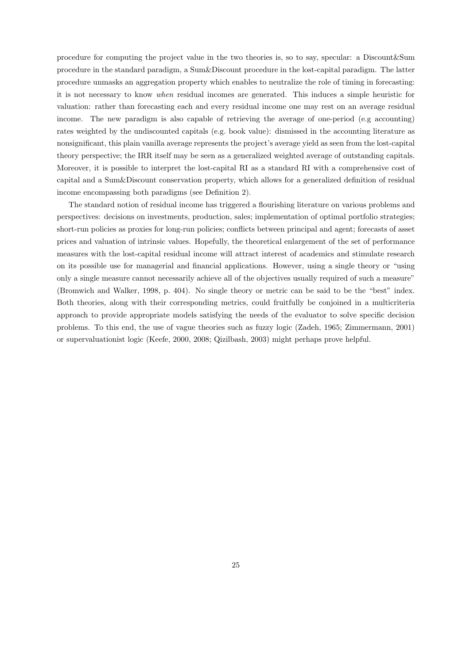procedure for computing the project value in the two theories is, so to say, specular: a Discount&Sum procedure in the standard paradigm, a Sum&Discount procedure in the lost-capital paradigm. The latter procedure unmasks an aggregation property which enables to neutralize the role of timing in forecasting: it is not necessary to know when residual incomes are generated. This induces a simple heuristic for valuation: rather than forecasting each and every residual income one may rest on an average residual income. The new paradigm is also capable of retrieving the average of one-period (e.g accounting) rates weighted by the undiscounted capitals (e.g. book value): dismissed in the accounting literature as nonsignificant, this plain vanilla average represents the project's average yield as seen from the lost-capital theory perspective; the IRR itself may be seen as a generalized weighted average of outstanding capitals. Moreover, it is possible to interpret the lost-capital RI as a standard RI with a comprehensive cost of capital and a Sum&Discount conservation property, which allows for a generalized definition of residual income encompassing both paradigms (see Definition 2).

The standard notion of residual income has triggered a flourishing literature on various problems and perspectives: decisions on investments, production, sales; implementation of optimal portfolio strategies; short-run policies as proxies for long-run policies; conflicts between principal and agent; forecasts of asset prices and valuation of intrinsic values. Hopefully, the theoretical enlargement of the set of performance measures with the lost-capital residual income will attract interest of academics and stimulate research on its possible use for managerial and financial applications. However, using a single theory or "using only a single measure cannot necessarily achieve all of the objectives usually required of such a measure" (Bromwich and Walker, 1998, p. 404). No single theory or metric can be said to be the "best" index. Both theories, along with their corresponding metrics, could fruitfully be conjoined in a multicriteria approach to provide appropriate models satisfying the needs of the evaluator to solve specific decision problems. To this end, the use of vague theories such as fuzzy logic (Zadeh, 1965; Zimmermann, 2001) or supervaluationist logic (Keefe, 2000, 2008; Qizilbash, 2003) might perhaps prove helpful.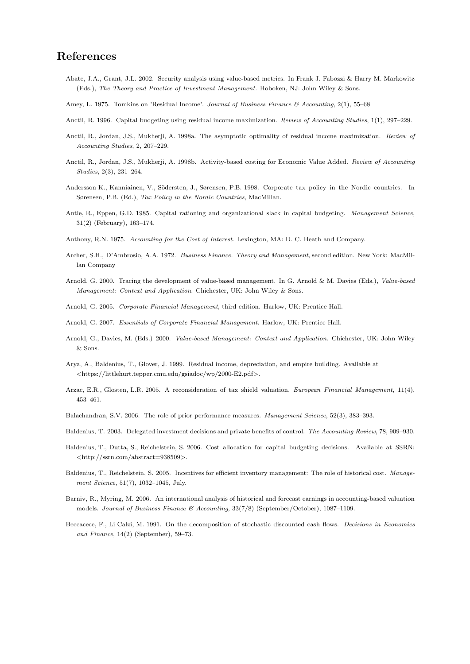# References

- Abate, J.A., Grant, J.L. 2002. Security analysis using value-based metrics. In Frank J. Fabozzi & Harry M. Markowitz (Eds.), *The Theory and Practice of Investment Management.* Hoboken, NJ: John Wiley & Sons.
- Amey, L. 1975. Tomkins on 'Residual Income'. *Journal of Business Finance & Accounting*, 2(1), 55–68
- Anctil, R. 1996. Capital budgeting using residual income maximization. *Review of Accounting Studies*, 1(1), 297–229.
- Anctil, R., Jordan, J.S., Mukherji, A. 1998a. The asymptotic optimality of residual income maximization. *Review of Accounting Studies*, 2, 207–229.
- Anctil, R., Jordan, J.S., Mukherji, A. 1998b. Activity-based costing for Economic Value Added. *Review of Accounting Studies*, 2(3), 231–264.
- Andersson K., Kanniainen, V., Södersten, J., Sørensen, P.B. 1998. Corporate tax policy in the Nordic countries. In Sørensen, P.B. (Ed.), *Tax Policy in the Nordic Countries*, MacMillan.
- Antle, R., Eppen, G.D. 1985. Capital rationing and organizational slack in capital budgeting. *Management Science*, 31(2) (February), 163–174.
- Anthony, R.N. 1975. *Accounting for the Cost of Interest*. Lexington, MA: D. C. Heath and Company.
- Archer, S.H., D'Ambrosio, A.A. 1972. *Business Finance. Theory and Management*, second edition. New York: MacMillan Company
- Arnold, G. 2000. Tracing the development of value-based management. In G. Arnold & M. Davies (Eds.), *Value-based Management: Context and Application*. Chichester, UK: John Wiley & Sons.
- Arnold, G. 2005. *Corporate Financial Management*, third edition. Harlow, UK: Prentice Hall.
- Arnold, G. 2007. *Essentials of Corporate Financial Management*. Harlow, UK: Prentice Hall.
- Arnold, G., Davies, M. (Eds.) 2000. *Value-based Management: Context and Application*. Chichester, UK: John Wiley & Sons.
- Arya, A., Baldenius, T., Glover, J. 1999. Residual income, depreciation, and empire building. Available at <https://littlehurt.tepper.cmu.edu/gsiadoc/wp/2000-E2.pdf>.
- Arzac, E.R., Glosten, L.R. 2005. A reconsideration of tax shield valuation, *European Financial Management*, 11(4), 453–461.
- Balachandran, S.V. 2006. The role of prior performance measures. *Management Science*, 52(3), 383–393.
- Baldenius, T. 2003. Delegated investment decisions and private benefits of control. *The Accounting Review*, 78, 909–930.
- Baldenius, T., Dutta, S., Reichelstein, S. 2006. Cost allocation for capital budgeting decisions. Available at SSRN: <http://ssrn.com/abstract=938509>.
- Baldenius, T., Reichelstein, S. 2005. Incentives for efficient inventory management: The role of historical cost. *Management Science*, 51(7), 1032–1045, July.
- Barniv, R., Myring, M. 2006. An international analysis of historical and forecast earnings in accounting-based valuation models. *Journal of Business Finance & Accounting*, 33(7/8) (September/October), 1087–1109.
- Beccacece, F., Li Calzi, M. 1991. On the decomposition of stochastic discounted cash flows. *Decisions in Economics and Finance*, 14(2) (September), 59–73.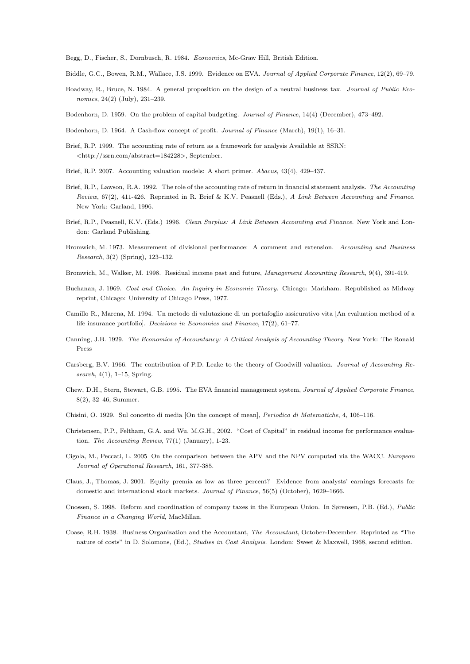Begg, D., Fischer, S., Dornbusch, R. 1984. *Economics*, Mc-Graw Hill, British Edition.

- Biddle, G.C., Bowen, R.M., Wallace, J.S. 1999. Evidence on EVA. *Journal of Applied Corporate Finance*, 12(2), 69–79.
- Boadway, R., Bruce, N. 1984. A general proposition on the design of a neutral business tax. *Journal of Public Economics*, 24(2) (July), 231–239.
- Bodenhorn, D. 1959. On the problem of capital budgeting. *Journal of Finance*, 14(4) (December), 473–492.
- Bodenhorn, D. 1964. A Cash-flow concept of profit. *Journal of Finance* (March), 19(1), 16–31.
- Brief, R.P. 1999. The accounting rate of return as a framework for analysis Available at SSRN: <http://ssrn.com/abstract=184228>, September.
- Brief, R.P. 2007. Accounting valuation models: A short primer. *Abacus*, 43(4), 429–437.
- Brief, R.P., Lawson, R.A. 1992. The role of the accounting rate of return in financial statement analysis. *The Accounting Review*, 67(2), 411-426. Reprinted in R. Brief & K.V. Peasnell (Eds.), *A Link Between Accounting and Finance*. New York: Garland, 1996.
- Brief, R.P., Peasnell, K.V. (Eds.) 1996. *Clean Surplus: A Link Between Accounting and Finance*. New York and London: Garland Publishing.
- Bromwich, M. 1973. Measurement of divisional performance: A comment and extension. *Accounting and Business Research*, 3(2) (Spring), 123–132.
- Bromwich, M., Walker, M. 1998. Residual income past and future, *Management Accounting Research*, 9(4), 391-419.
- Buchanan, J. 1969. *Cost and Choice. An Inquiry in Economic Theory*. Chicago: Markham. Republished as Midway reprint, Chicago: University of Chicago Press, 1977.
- Camillo R., Marena, M. 1994. Un metodo di valutazione di un portafoglio assicurativo vita [An evaluation method of a life insurance portfolio]. *Decisions in Economics and Finance*, 17(2), 61–77.
- Canning, J.B. 1929. *The Economics of Accountancy: A Critical Analysis of Accounting Theory*. New York: The Ronald Press
- Carsberg, B.V. 1966. The contribution of P.D. Leake to the theory of Goodwill valuation. *Journal of Accounting Research*, 4(1), 1–15, Spring.
- Chew, D.H., Stern, Stewart, G.B. 1995. The EVA financial management system, *Journal of Applied Corporate Finance*, 8(2), 32–46, Summer.
- Chisini, O. 1929. Sul concetto di media [On the concept of mean], *Periodico di Matematiche*, 4, 106–116.
- Christensen, P.P., Feltham, G.A. and Wu, M.G.H., 2002. "Cost of Capital" in residual income for performance evaluation. *The Accounting Review*, 77(1) (January), 1-23.
- Cigola, M., Peccati, L. 2005 On the comparison between the APV and the NPV computed via the WACC. *European Journal of Operational Research*, 161, 377-385.
- Claus, J., Thomas, J. 2001. Equity premia as low as three percent? Evidence from analysts' earnings forecasts for domestic and international stock markets. *Journal of Finance*, 56(5) (October), 1629–1666.
- Cnossen, S. 1998. Reform and coordination of company taxes in the European Union. In Sørensen, P.B. (Ed.), *Public Finance in a Changing World*, MacMillan.
- Coase, R.H. 1938. Business Organization and the Accountant, *The Accountant*, October-December. Reprinted as "The nature of costs" in D. Solomons, (Ed.), *Studies in Cost Analysis*. London: Sweet & Maxwell, 1968, second edition.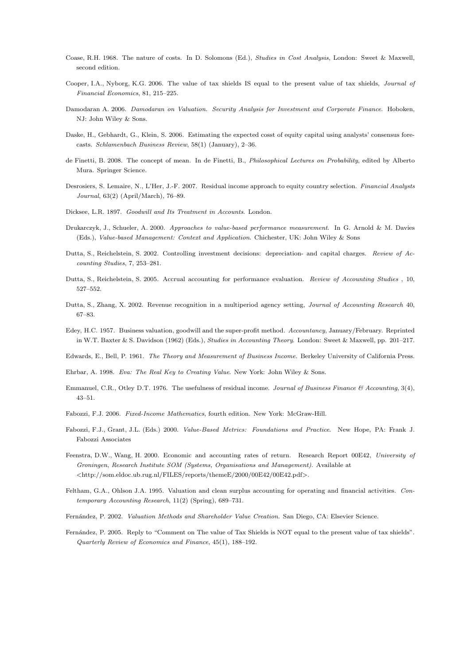- Coase, R.H. 1968. The nature of costs. In D. Solomons (Ed.), *Studies in Cost Analysis*, London: Sweet & Maxwell, second edition.
- Cooper, I.A., Nyborg, K.G. 2006. The value of tax shields IS equal to the present value of tax shields, *Journal of Financial Economics*, 81, 215–225.
- Damodaran A. 2006. *Damodaran on Valuation. Security Analysis for Investment and Corporate Finance*. Hoboken, NJ: John Wiley & Sons.
- Daske, H., Gebhardt, G., Klein, S. 2006. Estimating the expected cosst of equity capital using analysts' consensus forecasts. *Schlamenbach Business Review*, 58(1) (January), 2–36.
- de Finetti, B. 2008. The concept of mean. In de Finetti, B., *Philosophical Lectures on Probability*, edited by Alberto Mura. Springer Science.
- Desrosiers, S. Lemaire, N., L'Her, J.-F. 2007. Residual income approach to equity country selection. *Financial Analysts Journal*, 63(2) (April/March), 76–89.
- Dicksee, L.R. 1897. *Goodwill and Its Treatment in Accounts*. London.
- Drukarczyk, J., Schueler, A. 2000. *Approaches to value-based performance measurement*. In G. Arnold & M. Davies (Eds.), *Value-based Management: Context and Application*. Chichester, UK: John Wiley & Sons
- Dutta, S., Reichelstein, S. 2002. Controlling investment decisions: depreciation- and capital charges. *Review of Accounting Studies*, 7, 253–281.
- Dutta, S., Reichelstein, S. 2005. Accrual accounting for performance evaluation. *Review of Accounting Studies* , 10, 527–552.
- Dutta, S., Zhang, X. 2002. Revenue recognition in a multiperiod agency setting, *Journal of Accounting Research* 40, 67–83.
- Edey, H.C. 1957. Business valuation, goodwill and the super-profit method. *Accountancy*, January/February. Reprinted in W.T. Baxter & S. Davidson (1962) (Eds.), *Studies in Accounting Theory*. London: Sweet & Maxwell, pp. 201–217.
- Edwards, E., Bell, P. 1961. *The Theory and Measurement of Business Income.* Berkeley University of California Press.
- Ehrbar, A. 1998. *Eva: The Real Key to Creating Value*. New York: John Wiley & Sons.
- Emmanuel, C.R., Otley D.T. 1976. The usefulness of residual income. *Journal of Business Finance & Accounting*, 3(4), 43–51.
- Fabozzi, F.J. 2006. *Fixed-Income Mathematics*, fourth edition. New York: McGraw-Hill.
- Fabozzi, F.J., Grant, J.L. (Eds.) 2000. *Value-Based Metrics: Foundations and Practice*. New Hope, PA: Frank J. Fabozzi Associates
- Feenstra, D.W., Wang, H. 2000. Economic and accounting rates of return. Research Report 00E42, *University of Groningen*, *Research Institute SOM (Systems, Organisations and Management)*. Available at <http://som.eldoc.ub.rug.nl/FILES/reports/themeE/2000/00E42/00E42.pdf>.
- Feltham, G.A., Ohlson J.A. 1995. Valuation and clean surplus accounting for operating and financial activities. *Contemporary Accounting Research*, 11(2) (Spring), 689–731.
- Fern´andez, P. 2002. *Valuation Methods and Shareholder Value Creation.* San Diego, CA: Elsevier Science.
- Fernández, P. 2005. Reply to "Comment on The value of Tax Shields is NOT equal to the present value of tax shields". *Quarterly Review of Economics and Finance*, 45(1), 188–192.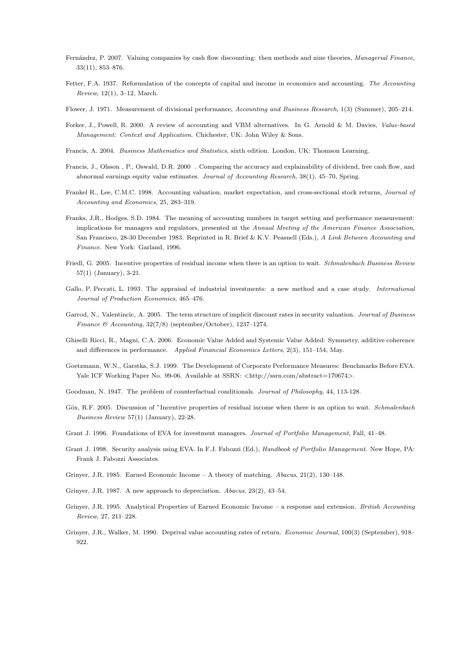- Fern´andez, P. 2007. Valuing companies by cash flow discounting: then methods and nine theories, *Managerial Finance*, 33(11), 853–876.
- Fetter, F.A. 1937. Reformulation of the concepts of capital and income in economics and accounting. *The Accounting Review*, 12(1), 3–12, March.
- Flower, J. 1971. Measurement of divisional performance, *Accounting and Business Research*, 1(3) (Summer), 205–214.
- Forker, J., Powell, R. 2000. A review of accounting and VBM alternatives. In G. Arnold & M. Davies, *Value-based Management: Context and Application*. Chichester, UK: John Wiley & Sons.
- Francis, A. 2004. *Business Mathematics and Statistics*, sixth edition. London, UK: Thomson Learning.
- Francis, J., Olsson , P., Oswald, D.R. 2000 . Comparing the accuracy and explainability of dividend, free cash flow, and abnormal earnings equity value estimates. *Journal of Accounting Research*, 38(1), 45–70, Spring.
- Frankel R., Lee, C.M.C. 1998. Accounting valuation, market expectation, and cross-sectional stock returns, *Journal of Accounting and Economics*, 25, 283–319.
- Franks, J.R., Hodges, S.D. 1984. The meaning of accounting numbers in target setting and performance measurement: implications for managers and regulators, presented at the *Annual Meeting of the American Finance Association*, San Francisco, 28-30 December 1983. Reprinted in R. Brief & K.V. Peasnell (Eds.), *A Link Between Accounting and Finance*. New York: Garland, 1996.
- Friedl, G. 2005. Incentive properties of residual income when there is an option to wait. *Schmalenbach Business Review* 57(1) (January), 3-21.
- Gallo, P. Peccati, L. 1993. The appraisal of industrial investments: a new method and a case study. *International Journal of Production Economics*, 465–476.
- Garrod, N., Valentincic, A. 2005. The term structure of implicit discount rates in security valuation. *Journal of Business Finance & Accounting*, 32(7/8) (september/October), 1237–1274.
- Ghiselli Ricci, R., Magni, C.A. 2006. Economic Value Added and Systemic Value Added: Symmetry, additive coherence and differences in performance. *Applied Financial Economics Letters*, 2(3), 151–154, May.
- Goetzmann, W.N., Garstka, S.J. 1999. The Development of Corporate Performance Measures: Benchmarks Before EVA. Yale ICF Working Paper No. 99-06. Available at SSRN: <http://ssrn.com/abstract=170674>.
- Goodman, N. 1947. The problem of counterfactual conditionals. *Journal of Philosophy*, 44, 113-128.
- Göx, R.F. 2005. Discussion of "Incentive properties of residual income when there is an option to wait. *Schmalenbach Business Review* 57(1) (January), 22-28.
- Grant J. 1996. Foundations of EVA for investment managers. *Journal of Portfolio Management*, Fall, 41–48.
- Grant J. 1998. Security analysis using EVA. In F.J. Fabozzi (Ed.), *Handbook of Portfolio Management*. New Hope, PA: Frank J. Fabozzi Associates.
- Grinyer, J.R. 1985. Earned Economic Income A theory of matching. *Abacus*, 21(2), 130–148.
- Grinyer, J.R. 1987. A new approach to depreciation. *Abacus*, 23(2), 43–54.
- Grinyer, J.R. 1995. Analytical Properties of Earned Economic Income a response and extension. *British Accounting Review*, 27, 211–228.
- Grinyer, J.R., Walker, M. 1990. Deprival value accounting rates of return. *Economic Journal*, 100(3) (September), 918– 922.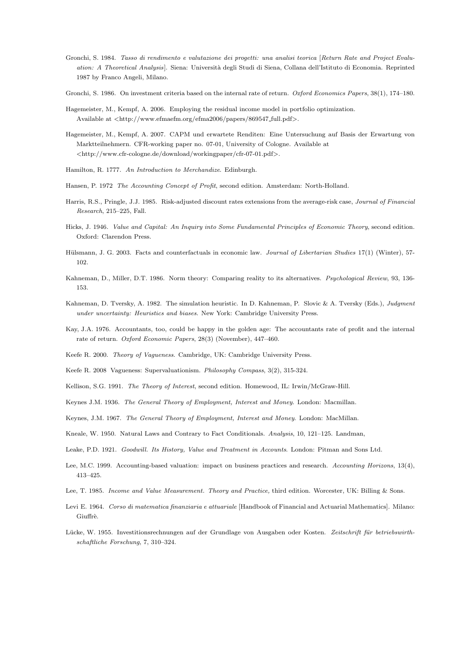- Gronchi, S. 1984. *Tasso di rendimento e valutazione dei progetti: una analisi teorica* [*Return Rate and Project Evaluation: A Theoretical Analysis*]. Siena: Universit`a degli Studi di Siena, Collana dell'Istituto di Economia. Reprinted 1987 by Franco Angeli, Milano.
- Gronchi, S. 1986. On investment criteria based on the internal rate of return. *Oxford Economics Papers*, 38(1), 174–180.
- Hagemeister, M., Kempf, A. 2006. Employing the residual income model in portfolio optimization. Available at <http://www.efmaefm.org/efma2006/papers/869547\_full.pdf>.
- Hagemeister, M., Kempf, A. 2007. CAPM und erwartete Renditen: Eine Untersuchung auf Basis der Erwartung von Marktteilnehmern. CFR-working paper no. 07-01, University of Cologne. Available at <http://www.cfr-cologne.de/download/workingpaper/cfr-07-01.pdf>.
- Hamilton, R. 1777. *An Introduction to Merchandize*. Edinburgh.
- Hansen, P. 1972 *The Accounting Concept of Profit*, second edition. Amsterdam: North-Holland.
- Harris, R.S., Pringle, J.J. 1985. Risk-adjusted discount rates extensions from the average-risk case, *Journal of Financial Research*, 215–225, Fall.
- Hicks, J. 1946. *Value and Capital: An Inquiry into Some Fundamental Principles of Economic Theory*, second edition. Oxford: Clarendon Press.
- Hülsmann, J. G. 2003. Facts and counterfactuals in economic law. *Journal of Libertarian Studies* 17(1) (Winter), 57-102.
- Kahneman, D., Miller, D.T. 1986. Norm theory: Comparing reality to its alternatives. *Psychological Review*, 93, 136- 153.
- Kahneman, D. Tversky, A. 1982. The simulation heuristic. In D. Kahneman, P. Slovic & A. Tversky (Eds.), *Judgment under uncertainty: Heuristics and biases*. New York: Cambridge University Press.
- Kay, J.A. 1976. Accountants, too, could be happy in the golden age: The accountants rate of profit and the internal rate of return. *Oxford Economic Papers*, 28(3) (November), 447–460.
- Keefe R. 2000. *Theory of Vagueness*. Cambridge, UK: Cambridge University Press.
- Keefe R. 2008 Vagueness: Supervaluationism. *Philosophy Compass*, 3(2), 315-324.
- Kellison, S.G. 1991. *The Theory of Interest*, second edition. Homewood, IL: Irwin/McGraw-Hill.
- Keynes J.M. 1936. *The General Theory of Employment, Interest and Money*. London: Macmillan.
- Keynes, J.M. 1967. *The General Theory of Employment, Interest and Money*. London: MacMillan.
- Kneale, W. 1950. Natural Laws and Contrary to Fact Conditionals. *Analysis*, 10, 121–125. Landman,
- Leake, P.D. 1921. *Goodwill. Its History, Value and Treatment in Accounts*. London: Pitman and Sons Ltd.
- Lee, M.C. 1999. Accounting-based valuation: impact on business practices and research. *Accounting Horizons*, 13(4), 413–425.
- Lee, T. 1985. *Income and Value Measurement. Theory and Practice,* third edition. Worcester, UK: Billing & Sons.
- Levi E. 1964. *Corso di matematica finanziaria e attuariale* [Handbook of Financial and Actuarial Mathematics]. Milano: Giuffrè.
- Lücke, W. 1955. Investitionsrechnungen auf der Grundlage von Ausgaben oder Kosten. Zeitschrift für betriebswirth*schaftliche Forschung*, 7, 310–324.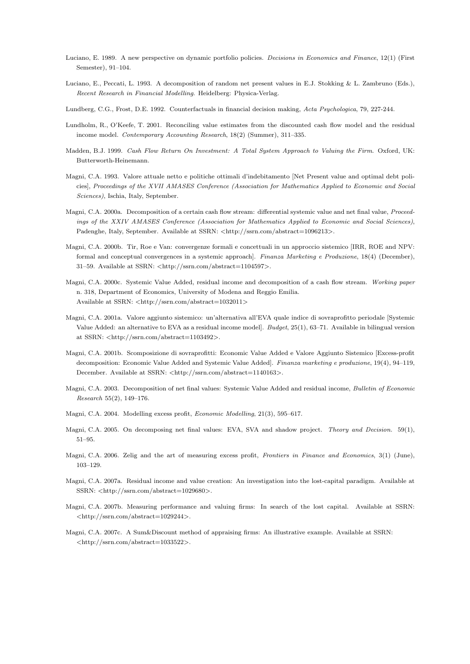- Luciano, E. 1989. A new perspective on dynamic portfolio policies. *Decisions in Economics and Finance*, 12(1) (First Semester), 91–104.
- Luciano, E., Peccati, L. 1993. A decomposition of random net present values in E.J. Stokking & L. Zambruno (Eds.), *Recent Research in Financial Modelling*. Heidelberg: Physica-Verlag.
- Lundberg, C.G., Frost, D.E. 1992. Counterfactuals in financial decision making, *Acta Psychologica*, 79, 227-244.
- Lundholm, R., O'Keefe, T. 2001. Reconciling value estimates from the discounted cash flow model and the residual income model. *Contemporary Accounting Research*, 18(2) (Summer), 311–335.
- Madden, B.J. 1999. *Cash Flow Return On Investment: A Total System Approach to Valuing the Firm*. Oxford, UK: Butterworth-Heinemann.
- Magni, C.A. 1993. Valore attuale netto e politiche ottimali d'indebitamento [Net Present value and optimal debt policies], *Proceedings of the XVII AMASES Conference (Association for Mathematics Applied to Economic and Social Sciences)*, Ischia, Italy, September.
- Magni, C.A. 2000a. Decomposition of a certain cash flow stream: differential systemic value and net final value, *Proceedings of the XXIV AMASES Conference (Association for Mathematics Applied to Economic and Social Sciences)*, Padenghe, Italy, September. Available at SSRN: <http://ssrn.com/abstract=1096213>.
- Magni, C.A. 2000b. Tir, Roe e Van: convergenze formali e concettuali in un approccio sistemico [IRR, ROE and NPV: formal and conceptual convergences in a systemic approach]. *Finanza Marketing e Produzione*, 18(4) (December), 31–59. Available at SSRN: <http://ssrn.com/abstract=1104597>.
- Magni, C.A. 2000c. Systemic Value Added, residual income and decomposition of a cash flow stream. *Working paper* n. 318, Department of Economics, University of Modena and Reggio Emilia. Available at SSRN: <http://ssrn.com/abstract=1032011>
- Magni, C.A. 2001a. Valore aggiunto sistemico: un'alternativa all'EVA quale indice di sovraprofitto periodale [Systemic Value Added: an alternative to EVA as a residual income model]. *Budget*, 25(1), 63–71. Available in bilingual version at SSRN: <http://ssrn.com/abstract=1103492>.
- Magni, C.A. 2001b. Scomposizione di sovraprofitti: Economic Value Added e Valore Aggiunto Sistemico [Excess-profit decomposition: Economic Value Added and Systemic Value Added]. *Finanza marketing e produzione*, 19(4), 94–119, December. Available at SSRN:  $\langle$ http://ssrn.com/abstract=1140163>.
- Magni, C.A. 2003. Decomposition of net final values: Systemic Value Added and residual income, *Bulletin of Economic Research* 55(2), 149–176.
- Magni, C.A. 2004. Modelling excess profit, *Economic Modelling*, 21(3), 595–617.
- Magni, C.A. 2005. On decomposing net final values: EVA, SVA and shadow project. *Theory and Decision.* 59(1), 51–95.
- Magni, C.A. 2006. Zelig and the art of measuring excess profit, *Frontiers in Finance and Economics*, 3(1) (June), 103–129.
- Magni, C.A. 2007a. Residual income and value creation: An investigation into the lost-capital paradigm. Available at SSRN: <http://ssrn.com/abstract=1029680>.
- Magni, C.A. 2007b. Measuring performance and valuing firms: In search of the lost capital. Available at SSRN: <http://ssrn.com/abstract=1029244>.
- Magni, C.A. 2007c. A Sum&Discount method of appraising firms: An illustrative example. Available at SSRN: <http://ssrn.com/abstract=1033522>.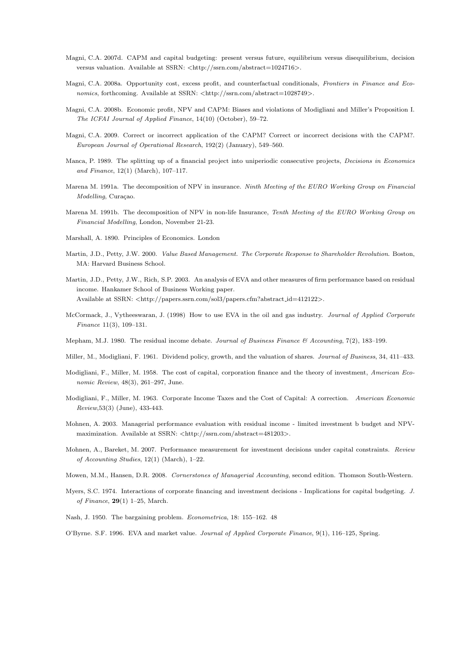- Magni, C.A. 2007d. CAPM and capital budgeting: present versus future, equilibrium versus disequilibrium, decision versus valuation. Available at SSRN:  $\langle$ http://ssrn.com/abstract=1024716>.
- Magni, C.A. 2008a. Opportunity cost, excess profit, and counterfactual conditionals, *Frontiers in Finance and Economics*, forthcoming. Available at SSRN: <http://ssrn.com/abstract=1028749>.
- Magni, C.A. 2008b. Economic profit, NPV and CAPM: Biases and violations of Modigliani and Miller's Proposition I. *The ICFAI Journal of Applied Finance*, 14(10) (October), 59–72.
- Magni, C.A. 2009. Correct or incorrect application of the CAPM? Correct or incorrect decisions with the CAPM?. *European Journal of Operational Research*, 192(2) (January), 549–560.
- Manca, P. 1989. The splitting up of a financial project into uniperiodic consecutive projects, *Decisions in Economics and Finance*, 12(1) (March), 107–117.
- Marena M. 1991a. The decomposition of NPV in insurance. *Ninth Meeting of the EURO Working Group on Financial Modelling*, Curaçao.
- Marena M. 1991b. The decomposition of NPV in non-life Insurance, *Tenth Meeting of the EURO Working Group on Financial Modelling*, London, November 21-23.
- Marshall, A. 1890. Principles of Economics. London
- Martin, J.D., Petty, J.W. 2000. *Value Based Management. The Corporate Response to Shareholder Revolution*. Boston, MA: Harvard Business School.
- Martin, J.D., Petty, J.W., Rich, S.P. 2003. An analysis of EVA and other measures of firm performance based on residual income. Hankamer School of Business Working paper. Available at SSRN:  $\langle$ http://papers.ssrn.com/sol3/papers.cfm?abstract\_id=412122>.
- McCormack, J., Vytheeswaran, J. (1998) How to use EVA in the oil and gas industry. *Journal of Applied Corporate Finance* 11(3), 109–131.
- Mepham, M.J. 1980. The residual income debate. *Journal of Business Finance & Accounting*, 7(2), 183–199.
- Miller, M., Modigliani, F. 1961. Dividend policy, growth, and the valuation of shares. *Journal of Business*, 34, 411–433.
- Modigliani, F., Miller, M. 1958. The cost of capital, corporation finance and the theory of investment, *American Economic Review*, 48(3), 261–297, June.
- Modigliani, F., Miller, M. 1963. Corporate Income Taxes and the Cost of Capital: A correction. *American Economic Review*,53(3) (June), 433-443.
- Mohnen, A. 2003. Managerial performance evaluation with residual income limited investment b budget and NPVmaximization. Available at SSRN:  $\langle$ http://ssrn.com/abstract=481203>.
- Mohnen, A., Bareket, M. 2007. Performance measurement for investment decisions under capital constraints. *Review of Accounting Studies*, 12(1) (March), 1–22.
- Mowen, M.M., Hansen, D.R. 2008. *Cornerstones of Managerial Accounting*, second edition. Thomson South-Western.
- Myers, S.C. 1974. Interactions of corporate financing and investment decisions Implications for capital budgeting. *J. of Finance*, 29(1) 1–25, March.
- Nash, J. 1950. The bargaining problem. *Econometrica*, 18: 155–162. 48
- O'Byrne. S.F. 1996. EVA and market value. *Journal of Applied Corporate Finance*, 9(1), 116–125, Spring.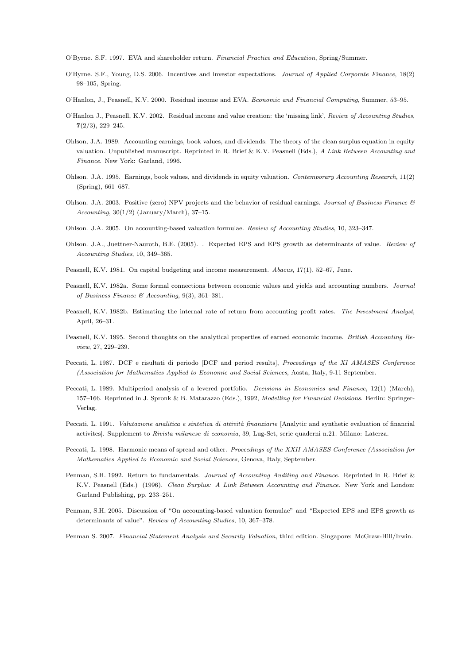O'Byrne. S.F. 1997. EVA and shareholder return. *Financial Practice and Education*, Spring/Summer.

- O'Byrne. S.F., Young, D.S. 2006. Incentives and investor expectations. *Journal of Applied Corporate Finance*, 18(2) 98–105, Spring.
- O'Hanlon, J., Peasnell, K.V. 2000. Residual income and EVA. *Economic and Financial Computing*, Summer, 53–95.
- O'Hanlon J., Peasnell, K.V. 2002. Residual income and value creation: the 'missing link', *Review of Accounting Studies*,  $7(2/3), 229 - 245.$
- Ohlson, J.A. 1989. Accounting earnings, book values, and dividends: The theory of the clean surplus equation in equity valuation. Unpublished manuscript. Reprinted in R. Brief & K.V. Peasnell (Eds.), *A Link Between Accounting and Finance*. New York: Garland, 1996.
- Ohlson. J.A. 1995. Earnings, book values, and dividends in equity valuation. *Contemporary Accounting Research*, 11(2) (Spring), 661–687.
- Ohlson. J.A. 2003. Positive (zero) NPV projects and the behavior of residual earnings. *Journal of Business Finance & Accounting*, 30(1/2) (January/March), 37–15.
- Ohlson. J.A. 2005. On accounting-based valuation formulae. *Review of Accounting Studies*, 10, 323–347.
- Ohlson. J.A., Juettner-Nauroth, B.E. (2005). . Expected EPS and EPS growth as determinants of value. *Review of Accounting Studies*, 10, 349–365.
- Peasnell, K.V. 1981. On capital budgeting and income measurement. *Abacus*, 17(1), 52–67, June.
- Peasnell, K.V. 1982a. Some formal connections between economic values and yields and accounting numbers. *Journal of Business Finance & Accounting*, 9(3), 361–381.
- Peasnell, K.V. 1982b. Estimating the internal rate of return from accounting profit rates. *The Investment Analyst*, April, 26–31.
- Peasnell, K.V. 1995. Second thoughts on the analytical properties of earned economic income. *British Accounting Review*, 27, 229–239.
- Peccati, L. 1987. DCF e risultati di periodo [DCF and period results], *Proceedings of the XI AMASES Conference (Association for Mathematics Applied to Economic and Social Sciences*, Aosta, Italy, 9-11 September.
- Peccati, L. 1989. Multiperiod analysis of a levered portfolio. *Decisions in Economics and Finance*, 12(1) (March), 157–166. Reprinted in J. Spronk & B. Matarazzo (Eds.), 1992, *Modelling for Financial Decisions*. Berlin: Springer-Verlag.
- Peccati, L. 1991. *Valutazione analitica e sintetica di attività finanziarie* [Analytic and synthetic evaluation of financial activites]. Supplement to *Rivista milanese di economia*, 39, Lug-Set, serie quaderni n.21. Milano: Laterza.
- Peccati, L. 1998. Harmonic means of spread and other. *Proceedings of the XXII AMASES Conference (Association for Mathematics Applied to Economic and Social Sciences*, Genova, Italy, September.
- Penman, S.H. 1992. Return to fundamentals. *Journal of Accounting Auditing and Finance*. Reprinted in R. Brief & K.V. Peasnell (Eds.) (1996). *Clean Surplus: A Link Between Accounting and Finance*. New York and London: Garland Publishing, pp. 233–251.
- Penman, S.H. 2005. Discussion of "On accounting-based valuation formulae" and "Expected EPS and EPS growth as determinants of value". *Review of Accounting Studies*, 10, 367–378.
- Penman S. 2007. *Financial Statement Analysis and Security Valuation*, third edition. Singapore: McGraw-Hill/Irwin.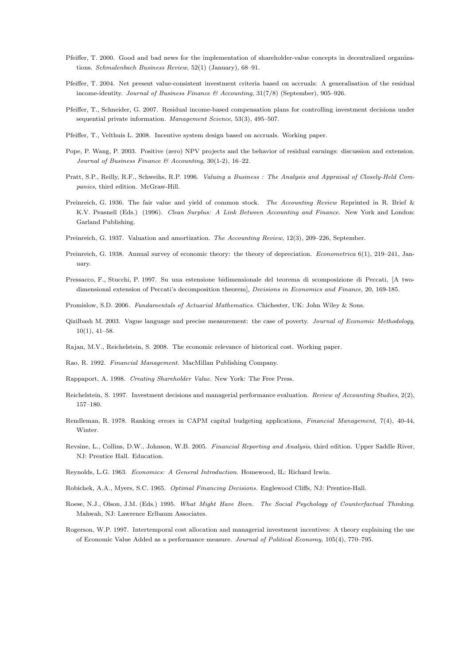- Pfeiffer, T. 2000. Good and bad news for the implementation of shareholder-value concepts in decentralized organizations. *Schmalenbach Business Review*, 52(1) (January), 68–91.
- Pfeiffer, T. 2004. Net present value-consistent investment criteria based on accruals: A generalisation of the residual income-identity. *Journal of Business Finance & Accounting*, 31(7/8) (September), 905–926.
- Pfeiffer, T., Schneider, G. 2007. Residual income-based compensation plans for controlling investment decisions under sequential private information. *Management Science*, 53(3), 495–507.
- Pfeiffer, T., Velthuis L. 2008. Incentive system design based on accruals. Working paper.
- Pope, P. Wang, P. 2003. Positive (zero) NPV projects and the behavior of residual earnings: discussion and extension. *Journal of Business Finance & Accounting*, 30(1-2), 16–22.
- Pratt, S.P., Reilly, R.F., Schweihs, R.P. 1996. *Valuing a Business : The Analysis and Appraisal of Closely-Held Companies*, third edition. McGraw-Hill.
- Preinreich, G. 1936. The fair value and yield of common stock. *The Accounting Review* Reprinted in R. Brief & K.V. Peasnell (Eds.) (1996). *Clean Surplus: A Link Between Accounting and Finance*. New York and London: Garland Publishing.
- Preinreich, G. 1937. Valuation and amortization. *The Accounting Review*, 12(3), 209–226, September.
- Preinreich, G. 1938. Annual survey of economic theory: the theory of depreciation. *Econometrica* 6(1), 219–241, January.
- Pressacco, F., Stucchi, P. 1997. Su una estensione bidimensionale del teorema di scomposizione di Peccati, [A twodimensional extension of Peccati's decomposition theorem], *Decisions in Economics and Finance*, 20, 169-185.
- Promislow, S.D. 2006. *Fundamentals of Actuarial Mathematics*. Chichester, UK: John Wiley & Sons.
- Qizilbash M. 2003. Vague language and precise measurement: the case of poverty. *Journal of Economic Methodology*, 10(1), 41–58.
- Rajan, M.V., Reichelstein, S. 2008. The economic relevance of historical cost. Working paper.
- Rao, R. 1992. *Financial Management*. MacMillan Publishing Company.
- Rappaport, A. 1998. *Creating Shareholder Value*. New York: The Free Press.
- Reichelstein, S. 1997. Investment decisions and managerial performance evaluation. *Review of Accounting Studies*, 2(2), 157–180.
- Rendleman, R. 1978. Ranking errors in CAPM capital budgeting applications, *Financial Management*, 7(4), 40-44, Winter.
- Revsine, L., Collins, D.W., Johnson, W.B. 2005. *Financial Reporting and Analysis*, third edition. Upper Saddle River, NJ: Prentice Hall. Education.
- Reynolds, L.G. 1963. *Economics: A General Introduction*. Homewood, IL: Richard Irwin.
- Robichek, A.A., Myers, S.C. 1965. *Optimal Financing Decisions*. Englewood Cliffs, NJ: Prentice-Hall.
- Roese, N.J., Olson, J.M. (Eds.) 1995. *What Might Have Been. The Social Psychology of Counterfactual Thinking*. Mahwah, NJ: Lawrence Erlbaum Associates.
- Rogerson, W.P. 1997. Intertemporal cost allocation and managerial investment incentives: A theory explaining the use of Economic Value Added as a performance measure. *Journal of Political Economy*, 105(4), 770–795.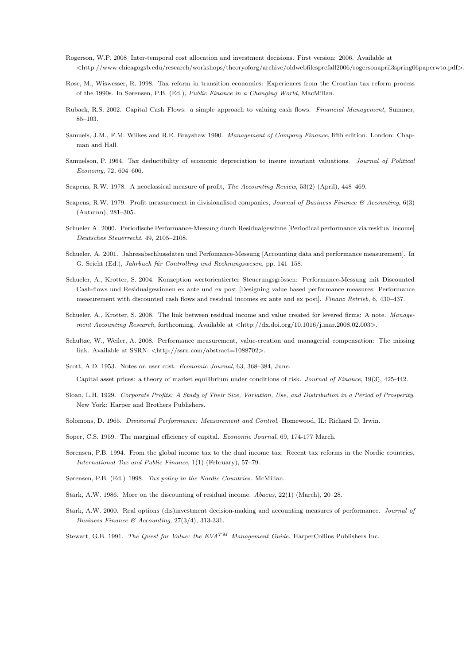- Rogerson, W.P. 2008 Inter-temporal cost allocation and investment decisions. First version: 2006. Available at  $<$ http://www.chicagogsb.edu/research/workshops/theoryoforg/archive/oldwebfilesprefall2006/rogersonapril3spring06paperwto.pdf>.
- Rose, M., Wiswesser, R. 1998. Tax reform in transition economies: Experiences from the Croatian tax reform process of the 1990s. In Sørensen, P.B. (Ed.), *Public Finance in a Changing World*, MacMillan.
- Ruback, R.S. 2002. Capital Cash Flows: a simple approach to valuing cash flows. *Financial Management*, Summer, 85–103.
- Samuels, J.M., F.M. Wilkes and R.E. Brayshaw 1990. *Management of Company Finance*, fifth edition. London: Chapman and Hall.
- Samuelson, P. 1964. Tax deductibility of economic depreciation to insure invariant valuations. *Journal of Political Economy*, 72, 604–606.
- Scapens, R.W. 1978. A neoclassical measure of profit, *The Accounting Review*, 53(2) (April), 448–469.
- Scapens, R.W. 1979. Profit measurement in divisionalised companies, *Journal of Business Finance & Accounting*, 6(3) (Autumn), 281–305.
- Schueler A. 2000. Periodische Performance-Messung durch Residualgewinne [Periodical performance via residual income] *Deutsches Steuerrecht*, 49, 2105–2108.
- Schueler, A. 2001. Jahresabschlussdaten und Perfomance-Messung [Accounting data and performance measurement]. In G. Seicht (Ed.), *Jahrbuch für Controlling und Rechnungswesen*, pp. 141–158.
- Schueler, A., Krotter, S. 2004. Konzeption wertorientierter Steuerungsgrössen: Performance-Messung mit Discounted Cash-flows und Residualgewinnen ex ante und ex post [Designing value based performance measures: Performance measurement with discounted cash flows and residual incomes ex ante and ex post]. *Finanz Retrieb*, 6, 430–437.
- Schueler, A., Krotter, S. 2008. The link between residual income and value created for levered firms: A note. *Management Accounting Research*, forthcoming. Available at  $\langle \text{http://dx.doi.org/10.1016/j.max.2008.02.003}\rangle$ .
- Schultze, W., Weiler, A. 2008. Performance measurement, value-creation and managerial compensation: The missing link. Available at SSRN: <http://ssrn.com/abstract=1088702>.
- Scott, A.D. 1953. Notes on user cost. *Economic Journal*, 63, 368–384, June.

Capital asset prices: a theory of market equilibrium under conditions of risk. *Journal of Finance*, 19(3), 425-442.

- Sloan, L.H. 1929. *Corporate Profits: A Study of Their Size, Variation, Use, and Distribution in a Period of Prosperity*. New York: Harper and Brothers Publishers.
- Solomons, D. 1965. *Divisional Performance: Measurement and Control*. Homewood, IL: Richard D. Irwin.
- Soper, C.S. 1959. The marginal efficiency of capital. *Economic Journal*, 69, 174-177 March.
- Sørensen, P.B. 1994. From the global income tax to the dual income tax: Recent tax reforms in the Nordic countries, *International Tax and Public Finance*, 1(1) (February), 57–79.
- Sørensen, P.B. (Ed.) 1998. *Tax policy in the Nordic Countries*. McMillan.
- Stark, A.W. 1986. More on the discounting of residual income. *Abacus*, 22(1) (March), 20–28.
- Stark, A.W. 2000. Real options (dis)investment decision-making and accounting measures of performance. *Journal of Business Finance & Accounting*, 27(3/4), 313-331.

Stewart, G.B. 1991. *The Quest for Value: the EVA*TM *Management Guide*. HarperCollins Publishers Inc.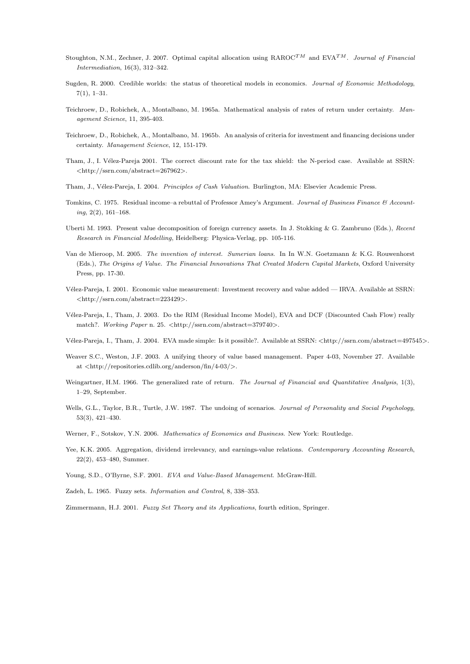- Stoughton, N.M., Zechner, J. 2007. Optimal capital allocation using RAROCTM and EVATM. *Journal of Financial Intermediation*, 16(3), 312–342.
- Sugden, R. 2000. Credible worlds: the status of theoretical models in economics. *Journal of Economic Methodology*, 7(1), 1–31.
- Teichroew, D., Robichek, A., Montalbano, M. 1965a. Mathematical analysis of rates of return under certainty. *Management Science*, 11, 395-403.
- Teichroew, D., Robichek, A., Montalbano, M. 1965b. An analysis of criteria for investment and financing decisions under certainty. *Management Science*, 12, 151-179.
- Tham, J., I. Vélez-Pareja 2001. The correct discount rate for the tax shield: the N-period case. Available at SSRN:  $\langle$ http://ssrn.com/abstract=267962>.
- Tham, J., V´elez-Pareja, I. 2004. *Principles of Cash Valuation*. Burlington, MA: Elsevier Academic Press.
- Tomkins, C. 1975. Residual income–a rebuttal of Professor Amey's Argument. *Journal of Business Finance & Accounting*, 2(2), 161–168.
- Uberti M. 1993. Present value decomposition of foreign currency assets. In J. Stokking & G. Zambruno (Eds.), *Recent Research in Financial Modelling*, Heidelberg: Physica-Verlag, pp. 105-116.
- Van de Mieroop, M. 2005. *The invention of interest. Sumerian loans*. In In W.N. Goetzmann & K.G. Rouwenhorst (Eds.), *The Origins of Value. The Financial Innovations That Created Modern Capital Markets*, Oxford University Press, pp. 17-30.
- V´elez-Pareja, I. 2001. Economic value measurement: Investment recovery and value added IRVA. Available at SSRN:  $\langle$ http://ssrn.com/abstract=223429>.
- V´elez-Pareja, I., Tham, J. 2003. Do the RIM (Residual Income Model), EVA and DCF (Discounted Cash Flow) really match?. *Working Paper* n. 25. <http://ssrn.com/abstract=379740>.
- V´elez-Pareja, I., Tham, J. 2004. EVA made simple: Is it possible?. Available at SSRN: <http://ssrn.com/abstract=497545>.
- Weaver S.C., Weston, J.F. 2003. A unifying theory of value based management. Paper 4-03, November 27. Available at <http://repositories.cdlib.org/anderson/fin/4-03/>.
- Weingartner, H.M. 1966. The generalized rate of return. *The Journal of Financial and Quantitative Analysis*, 1(3), 1–29, September.
- Wells, G.L., Taylor, B.R., Turtle, J.W. 1987. The undoing of scenarios. *Journal of Personality and Social Psychology*, 53(3), 421–430.
- Werner, F., Sotskov, Y.N. 2006. *Mathematics of Economics and Business*. New York: Routledge.
- Yee, K.K. 2005. Aggregation, dividend irrelevancy, and earnings-value relations. *Contemporary Accounting Research*, 22(2), 453–480, Summer.
- Young, S.D., O'Byrne, S.F. 2001. *EVA and Value-Based Management*. McGraw-Hill.
- Zadeh, L. 1965. Fuzzy sets. *Information and Control*, 8, 338–353.
- Zimmermann, H.J. 2001. *Fuzzy Set Theory and its Applications*, fourth edition, Springer.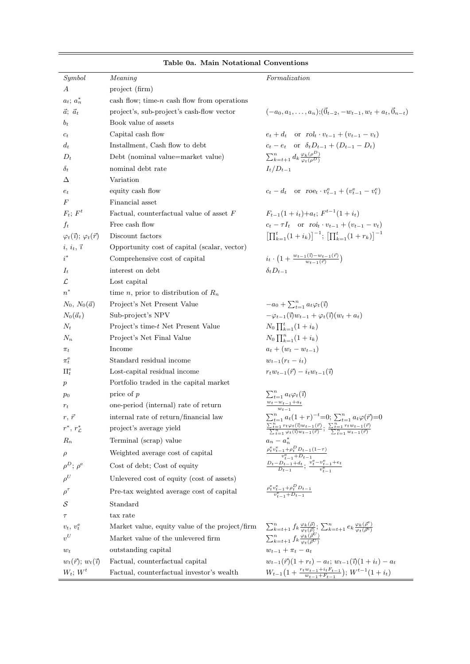| Symbol                                   | Meaning                                        | Formalization                                                                                                                                                                                                                                                                             |
|------------------------------------------|------------------------------------------------|-------------------------------------------------------------------------------------------------------------------------------------------------------------------------------------------------------------------------------------------------------------------------------------------|
| A                                        | project (firm)                                 |                                                                                                                                                                                                                                                                                           |
| $a_t$ ; $a_n^*$                          | cash flow; time- $n$ cash flow from operations |                                                                                                                                                                                                                                                                                           |
| $\vec{a}$ ; $\vec{a}_t$                  | project's, sub-project's cash-flow vector      | $(-a_0, a_1, \ldots, a_n); (\vec{0}_{t-2}, -w_{t-1}, w_t + a_t, \vec{0}_{n-t})$                                                                                                                                                                                                           |
| $b_t$                                    | Book value of assets                           |                                                                                                                                                                                                                                                                                           |
| $c_t$                                    | Capital cash flow                              | $e_t + d_t$ or $rol_t \cdot v_{t-1} + (v_{t-1} - v_t)$                                                                                                                                                                                                                                    |
| $d_t$                                    | Installment, Cash flow to debt                 | $c_t - e_t$ or $\delta_t D_{t-1} + (D_{t-1} - D_t)$                                                                                                                                                                                                                                       |
| $D_t$                                    | Debt (nominal value=market value)              | $\sum_{k=t+1}^{n} d_k \frac{\varphi_k(\rho^D)}{\varphi_t(\rho^D)}$                                                                                                                                                                                                                        |
| $\delta_t$                               | nominal debt rate                              | $I_t/D_{t-1}$                                                                                                                                                                                                                                                                             |
| Δ                                        | Variation                                      |                                                                                                                                                                                                                                                                                           |
| $e_t$                                    | equity cash flow                               | $c_t - d_t$ or $roe_t \cdot v_{t-1}^e + (v_{t-1}^e - v_t^e)$                                                                                                                                                                                                                              |
| F                                        | Financial asset                                |                                                                                                                                                                                                                                                                                           |
| $F_t$ ; $F^t$                            | Factual, counterfactual value of asset $F$     | $F_{t-1}(1+i_t)+a_t; F^{t-1}(1+i_t)$                                                                                                                                                                                                                                                      |
| $f_t$                                    | Free cash flow                                 | $c_t - \tau I_t$ or $\text{roi}_t \cdot v_{t-1} + (v_{t-1} - v_t)$                                                                                                                                                                                                                        |
| $\varphi_t(\vec{i}); \varphi_t(\vec{r})$ | Discount factors                               | $\left[\prod_{k=1}^{t}(1+i_k)\right]^{-1}$ ; $\left[\prod_{k=1}^{t}(1+r_k)\right]^{-1}$                                                                                                                                                                                                   |
| $i, i_t, \vec{i}$                        | Opportunity cost of capital (scalar, vector)   |                                                                                                                                                                                                                                                                                           |
| $i^*$                                    | Comprehensive cost of capital                  | $i_t \cdot (1 + \frac{w_{t-1}(\vec{r}) - w_{t-1}(\vec{r})}{w_{t-1}(\vec{r})})$                                                                                                                                                                                                            |
| $I_t$                                    | interest on debt                               | $\delta_t D_{t-1}$                                                                                                                                                                                                                                                                        |
| L                                        | Lost capital                                   |                                                                                                                                                                                                                                                                                           |
| $n^*$                                    | time <i>n</i> , prior to distribution of $R_n$ |                                                                                                                                                                                                                                                                                           |
| $N_0, N_0(\vec{a})$                      | Project's Net Present Value                    | $-a_0+\sum_{t=1}^n a_t\varphi_t(\vec{v})$                                                                                                                                                                                                                                                 |
| $N_0(\vec{a}_t)$                         | Sub-project's NPV                              | $-\varphi_{t-1}(\vec{i})w_{t-1} + \varphi_t(\vec{i})(w_t + a_t)$                                                                                                                                                                                                                          |
| $N_t$                                    | Project's time-t Net Present Value             | $N_0 \prod_{k=1}^t (1+i_k)$                                                                                                                                                                                                                                                               |
| $N_n$                                    | Project's Net Final Value                      | $N_0 \prod_{k=1}^n (1+i_k)$                                                                                                                                                                                                                                                               |
| $\pi_t$                                  | Income                                         | $a_t + (w_t - w_{t-1})$                                                                                                                                                                                                                                                                   |
| $\pi_t^e$                                | Standard residual income                       | $w_{t-1}(r_t - i_t)$                                                                                                                                                                                                                                                                      |
| $\Pi_t^e$                                | Lost-capital residual income                   | $r_t w_{t-1}(\vec{r}) - i_t w_{t-1}(\vec{v})$                                                                                                                                                                                                                                             |
| $\boldsymbol{p}$                         | Portfolio traded in the capital market         |                                                                                                                                                                                                                                                                                           |
| $p_0$                                    | price of $p$                                   |                                                                                                                                                                                                                                                                                           |
| $r_t$                                    | one-period (internal) rate of return           | $\frac{\sum_{t=1}^{n} a_t \varphi_t(\vec{\imath})}{\frac{w_t - w_{t-1} + a_t}{w_{t-1}}}$                                                                                                                                                                                                  |
| $r, \vec{r}$                             | internal rate of return/financial law          |                                                                                                                                                                                                                                                                                           |
| $r^*, r^*_{\mathcal{L}}$                 | project's average yield                        | $\frac{\sum_{t=1}^{n} a_t (1+r)^{-t}=0; \sum_{t=1}^{n} a_t \varphi(\vec{r})=0}{\frac{\sum_{t=1}^{n} r_t \varphi_t(\vec{\imath}) w_{t-1}(\vec{r})}{\sum_{t=1}^{n} \varphi_t(\vec{\imath}) w_{t-1}(\vec{r})}; \frac{\sum_{t=1}^{n} r_t w_{t-1}(\vec{r})}{\sum_{t=1}^{n} w_{t-1}(\vec{r})}}$ |
| $R_n$                                    | Terminal (scrap) value                         | $a_n-a_n^*$                                                                                                                                                                                                                                                                               |
|                                          | Weighted average cost of capital               | $\frac{\rho_t^{\rm e} v_{t-1}^{\rm e} + \rho_t^D D_{t-1}(1-\tau)}{v_{t-1}^{\rm e} + D_{t-1}}$                                                                                                                                                                                             |
| $\rho^D$ ; $\rho^e$                      | Cost of debt; Cost of equity                   | $\frac{D_t - D_{t-1} + d_t}{D_{t-1}}$ ; $\frac{v_t^e - v_{t-1}^e + e_t}{v_{t-1}^e}$                                                                                                                                                                                                       |
| $\rho^U$                                 | Unlevered cost of equity (cost of assets)      |                                                                                                                                                                                                                                                                                           |
| $\rho^{\prime}$                          | Pre-tax weighted average cost of capital       | $\frac{\rho_t^{\rm e} v_{t-1}^{\rm e} + \rho_t^D D_{t-1}}{v_{t-1}^{\rm e} + D_{t-1}}$                                                                                                                                                                                                     |
| S                                        | Standard                                       |                                                                                                                                                                                                                                                                                           |
| $\tau$                                   | tax rate                                       |                                                                                                                                                                                                                                                                                           |
| $v_t, v_t^e$                             | Market value, equity value of the project/firm |                                                                                                                                                                                                                                                                                           |
| $v^U$                                    | Market value of the unlevered firm             | $\frac{\sum_{k=t+1}^{n} f_k \frac{\varphi_k(\vec{\rho})}{\varphi_t(\vec{\rho})}; \sum_{k=t+1}^{n} e_k \frac{\varphi_k(\vec{\rho}^c)}{\varphi_t(\vec{\rho}^c)}}{\sum_{k=t+1}^{n} f_k \frac{\varphi_k(\vec{\rho}^f)}{\varphi_t(\vec{\rho}^f)}}$                                             |
| $w_t$                                    | outstanding capital                            | $w_{t-1} + \pi_t - a_t$                                                                                                                                                                                                                                                                   |
| $w_t(\vec{r}); w_t(\vec{v})$             | Factual, counterfactual capital                | $w_{t-1}(\vec{r})(1+r_t) - a_t; w_{t-1}(\vec{i})(1+i_t) - a_t$                                                                                                                                                                                                                            |
| $W_t$ ; $W^t$                            | Factual, counterfactual investor's wealth      | $W_{t-1}\left(1+\frac{r_t w_{t-1}+i_t F_{t-1}}{w_{t-1}+F_{t-1}}\right); W^{t-1}(1+i_t)$                                                                                                                                                                                                   |

#### Table 0a. Main Notational Conventions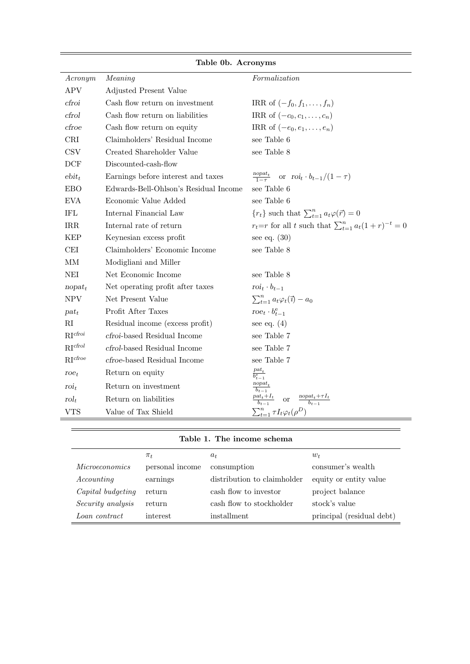| $A$ <i>cronym</i>           | Meaning                               | Formalization                                                                      |
|-----------------------------|---------------------------------------|------------------------------------------------------------------------------------|
| APV                         | Adjusted Present Value                |                                                                                    |
| cfroi                       | Cash flow return on investment        | IRR of $(-f_0, f_1, , f_n)$                                                        |
| cfrol                       | Cash flow return on liabilities       | IRR of $(-c_0, c_1, , c_n)$                                                        |
| $c$ froe                    | Cash flow return on equity            | IRR of $(-e_0, e_1, \ldots, e_n)$                                                  |
| CRI                         | Claimholders' Residual Income         | see Table 6                                                                        |
| $_{\mbox{\scriptsize CSV}}$ | Created Shareholder Value             | see Table $8$                                                                      |
| DCF                         | Discounted-cash-flow                  |                                                                                    |
| $ebit_t$                    | Earnings before interest and taxes    | $\frac{n_{\text{right}}}{1-\tau}$ or $\text{roi}_t \cdot b_{t-1}/(1-\tau)$         |
| <b>EBO</b>                  | Edwards-Bell-Ohlson's Residual Income | see Table 6                                                                        |
| <b>EVA</b>                  | Economic Value Added                  | see Table 6                                                                        |
| $\operatorname{IFL}$        | Internal Financial Law                | ${r_t}$ such that $\sum_{t=1}^n a_t \varphi(\vec{r}) = 0$                          |
| <b>IRR</b>                  | Internal rate of return               | $r_t = r$ for all t such that $\sum_{t=1}^n a_t (1+r)^{-t} = 0$                    |
| <b>KEP</b>                  | Keynesian excess profit               | see eq. $(30)$                                                                     |
| CEI                         | Claimholders' Economic Income         | see Table 8                                                                        |
| MM                          | Modigliani and Miller                 |                                                                                    |
| NEI                         | Net Economic Income                   | see Table 8                                                                        |
| $n_{\text{op}}$             | Net operating profit after taxes      | $roi_t \cdot b_{t-1}$                                                              |
| <b>NPV</b>                  | Net Present Value                     | $\sum_{t=1}^{n} a_t \varphi_t(\vec{i}) - a_0$                                      |
| $pat_t$                     | Profit After Taxes                    | $roe_t \cdot b_{t-1}^e$                                                            |
| $\mathbf{R}$                | Residual income (excess profit)       | see eq. $(4)$                                                                      |
| RI <sup>cfroi</sup>         | cfroi-based Residual Income           | see Table 7                                                                        |
| RI <sup>cfrol</sup>         | cfrol-based Residual Income           | see Table 7                                                                        |
| $RI^{cfree}$                | cfroe-based Residual Income           | see Table 7                                                                        |
| $roe_t$                     | Return on equity                      | $\frac{pat_t}{b_{t-1}^{\textrm{e}}}$                                               |
| $roi_t$                     | Return on investment                  | $n$ opa $t_t$                                                                      |
| $\mathrm{rol}_t$            | Return on liabilities                 | $\frac{\frac{t}{b_{t-1}}}{b_{t-1}}$ or $\frac{n\text{opat}_t + \tau I_t}{b_{t-1}}$ |
| <b>VTS</b>                  | Value of Tax Shield                   | $\sum_{t=1}^{n} \tau I_t \varphi_t(\rho^D)$                                        |

## Table 0b. Acronyms

|  | Table 1. The income schema |  |  |  |
|--|----------------------------|--|--|--|
|--|----------------------------|--|--|--|

|                       | $\pi_t$         | $a_t$                       | $w_t$                     |
|-----------------------|-----------------|-----------------------------|---------------------------|
| <i>Microeconomics</i> | personal income | consumption                 | consumer's wealth         |
| Accounting            | earnings        | distribution to claimholder | equity or entity value    |
| Capital budgeting     | return          | cash flow to investor       | project balance           |
| Security analysis     | return          | cash flow to stockholder    | stock's value             |
| Loan contract         | interest        | installment                 | principal (residual debt) |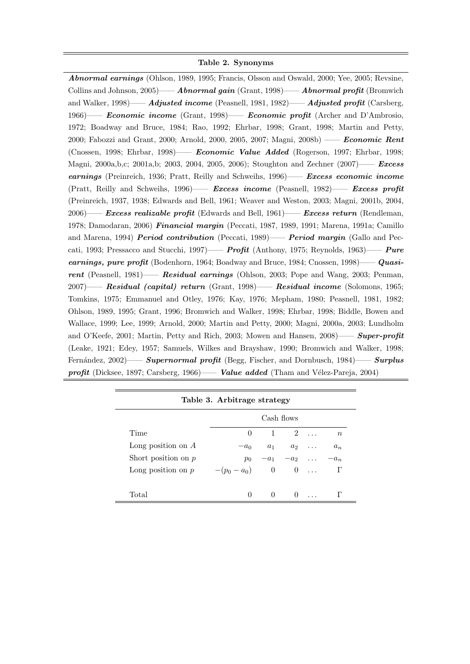#### Table 2. Synonyms

Abnormal earnings (Ohlson, 1989, 1995; Francis, Olsson and Oswald, 2000; Yee, 2005; Revsine, Collins and Johnson, 2005)—— **Abnormal gain** (Grant, 1998)—— **Abnormal profit** (Bromwich and Walker, 1998)—— **Adjusted income** (Peasnell, 1981, 1982)—— **Adjusted profit** (Carsberg, 1966)—— Economic income (Grant, 1998)—— Economic profit (Archer and D'Ambrosio, 1972; Boadway and Bruce, 1984; Rao, 1992; Ehrbar, 1998; Grant, 1998; Martin and Petty, 2000; Fabozzi and Grant, 2000; Arnold, 2000, 2005, 2007; Magni, 2008b) —— Economic Rent (Cnossen, 1998; Ehrbar, 1998)—— Economic Value Added (Rogerson, 1997; Ehrbar, 1998; Magni, 2000a,b,c; 2001a,b; 2003, 2004, 2005, 2006); Stoughton and Zechner (2007)—— Excess earnings (Preinreich, 1936; Pratt, Reilly and Schweihs, 1996)—— Excess economic income (Pratt, Reilly and Schweihs, 1996)—— Excess income (Peasnell, 1982)—— Excess profit (Preinreich, 1937, 1938; Edwards and Bell, 1961; Weaver and Weston, 2003; Magni, 2001b, 2004,  $2006$  — Excess realizable profit (Edwards and Bell, 1961)— Excess return (Rendleman, 1978; Damodaran, 2006) *Financial margin* (Peccati, 1987, 1989, 1991; Marena, 1991a; Camillo and Marena, 1994) Period contribution (Peccati, 1989)— Period margin (Gallo and Peccati, 1993; Pressacco and Stucchi, 1997)—— **Profit** (Anthony, 1975; Reynolds, 1963)—— **Pure** earnings, pure profit (Bodenhorn, 1964; Boadway and Bruce, 1984; Cnossen, 1998)—— Quasirent (Peasnell, 1981)— Residual earnings (Ohlson, 2003; Pope and Wang, 2003; Penman, 2007)—— Residual (capital) return (Grant, 1998)—— Residual income (Solomons, 1965; Tomkins, 1975; Emmanuel and Otley, 1976; Kay, 1976; Mepham, 1980; Peasnell, 1981, 1982; Ohlson, 1989, 1995; Grant, 1996; Bromwich and Walker, 1998; Ehrbar, 1998; Biddle, Bowen and Wallace, 1999; Lee, 1999; Arnold, 2000; Martin and Petty, 2000; Magni, 2000a, 2003; Lundholm and O'Keefe, 2001; Martin, Petty and Rich, 2003; Mowen and Hansen, 2008)—— Super-profit (Leake, 1921; Edey, 1957; Samuels, Wilkes and Brayshaw, 1990; Bromwich and Walker, 1998; Fernández, 2002)—— **Supernormal profit** (Begg, Fischer, and Dornbusch, 1984)—— **Surplus profit** (Dicksee, 1897; Carsberg, 1966)—— **Value added** (Tham and Vélez-Pareja, 2004)

| Table 3. Arbitrage strategy |                    |          |                         |  |        |
|-----------------------------|--------------------|----------|-------------------------|--|--------|
|                             | Cash flows         |          |                         |  |        |
| Time                        | $\Omega$           |          | $1 \quad 2 \quad \dots$ |  | $\,n$  |
| Long position on $A$        | $-a_0$             | $a_1$    | $a_2$                   |  | $a_n$  |
| Short position on $p$       | $p_0$              |          | $-a_1$ $-a_2$           |  | $-a_n$ |
| Long position on $p$        | $-(p_0 - a_0)$ 0 0 |          |                         |  |        |
| Total                       | $\Omega$           | $\Omega$ | $\theta$                |  |        |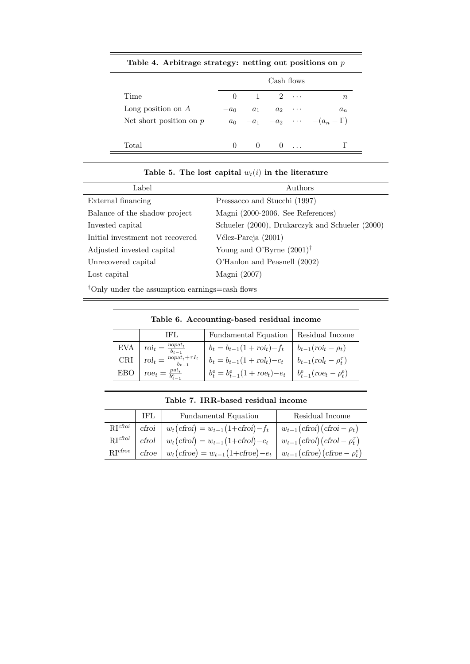|                           |          |                  | Cash flows     |           |                                           |
|---------------------------|----------|------------------|----------------|-----------|-------------------------------------------|
| Time                      | 0        |                  | 2              | $\ddotsc$ | $\boldsymbol{n}$                          |
| Long position on $A$      | $-a_0$   | $a_1$            | a <sub>2</sub> | $\cdots$  | $a_n$                                     |
| Net short position on $p$ | $a_0$    | $-a_1$           |                |           | $-a_2 \quad \cdots \quad -(a_n - \Gamma)$ |
| Total                     | $\theta$ | $\left( \right)$ | $\Omega$       | $\ldots$  | Г                                         |

Table 4. Arbitrage strategy: netting out positions on  $p$ 

## Table 5. The lost capital  $w_t(i)$  in the literature

| Label                            | Authors                                         |
|----------------------------------|-------------------------------------------------|
| External financing               | Pressacco and Stucchi (1997)                    |
| Balance of the shadow project    | Magni (2000-2006. See References)               |
| Invested capital                 | Schueler (2000), Drukarczyk and Schueler (2000) |
| Initial investment not recovered | Vélez-Pareja (2001)                             |
| Adjusted invested capital        | Young and O'Byrne $(2001)^{\dagger}$            |
| Unrecovered capital              | O'Hanlon and Peasnell (2002)                    |
| Lost capital                     | Magni (2007)                                    |
|                                  |                                                 |

†Only under the assumption earnings=cash flows

Table 6. Accounting-based residual income

| TFL.                                                                                  | Fundamental Equation   Residual Income                                   |  |
|---------------------------------------------------------------------------------------|--------------------------------------------------------------------------|--|
| EVA $\vert$ roi <sub>t</sub> = $\frac{n_{\text{opt}}}{b_{t-1}}$                       | $b_t = b_{t-1}(1 + \text{roi}_t) - f_t$ $b_{t-1}(\text{roi}_t - \rho_t)$ |  |
| $\text{CRI } \Big  \text{ } \text{rol}_t = \frac{\text{nopat}_t + \tau I_t}{b_{t-1}}$ | $b_t = b_{t-1}(1 + rol_t) - c_t$ $b_{t-1}(rol_t - \rho_t^{\tau})$        |  |
| $EBO \mid roe_t = \frac{pat_t}{b^e}$                                                  | $b_t^e = b_{t-1}^e (1 + roe_t) - e_t \mid b_{t-1}^e (roe_t - \rho_t^e)$  |  |

Table 7. IRR-based residual income

|                                | -IFL | Fundamental Equation                                                                   | Residual Income                                     |
|--------------------------------|------|----------------------------------------------------------------------------------------|-----------------------------------------------------|
| $\mathbf{R}$ <sup>rcfroi</sup> |      | cfroi $w_t(c$ froi $) = w_{t-1}(1 + c$ froi $) - f_t$                                  | $w_{t-1}(c$ froi $)(c$ froi $-\rho_t)$              |
|                                |      | $\text{RI}^{\text{criol}}$   cfrol   $w_t(\text{criol}) = w_{t-1}(1+\text{criol})-c_t$ | $w_{t-1}(\text{cfrol})(\text{cfrol}-\rho_t^{\tau})$ |
| $\mathrm{RI}^{cfree}$          |      | cfroe $w_t(c$ froe $) = w_{t-1}(1+ct$ roe $)-e_t$                                      | $w_{t-1}(ctroe)(ctroe - \rho_t^e)$                  |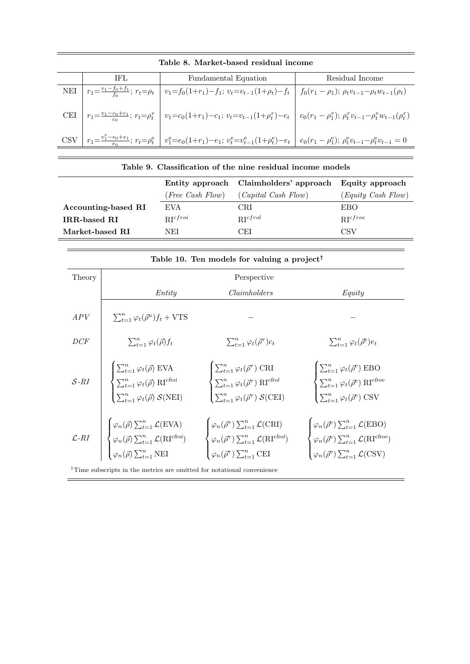| IFL | Fundamental Equation                                                                                                                                                                                                                                          | Residual Income |
|-----|---------------------------------------------------------------------------------------------------------------------------------------------------------------------------------------------------------------------------------------------------------------|-----------------|
|     | NEI $r_1 = \frac{v_1 - f_0 + f_1}{f_0}; r_t = \rho_t$ $v_1 = f_0(1+r_1) - f_1; v_t = v_{t-1}(1+\rho_t) - f_t$ $f_0(r_1 - \rho_1); \rho_t v_{t-1} - \rho_t w_{t-1}(\rho_t)$                                                                                    |                 |
|     | $\text{CEI } \left[ r_1 = \frac{v_1 - c_0 + c_1}{c_0}; \ r_t = \rho_t^{\tau} \right] \ r_1 = c_0 (1+r_1) - c_1; \ v_t = v_{t-1} (1+\rho_t^{\tau}) - c_t \right] \ c_0 (r_1 - \rho_1^{\tau}); \ \rho_t^{\tau} v_{t-1} - \rho_t^{\tau} w_{t-1} (\rho_t^{\tau})$ |                 |
|     | $\text{CSV}\ \Big \ r_1 = \frac{v_1^e - e_0 + e_1}{e_0};\ r_t = \rho_t^e\ \Big \ v_1^e = e_0(1+r_1) - e_1;\ v_t^e = v_{t-1}^e(1+\rho_t^e) - e_t\ \Big \ e_0(r_1-\rho_1^e);\ \rho_t^e v_{t-1} - \rho_t^e v_{t-1} = 0$                                          |                 |

Table 8. Market-based residual income

## Table 9. Classification of the nine residual income models

 $\overline{a}$ 

|                            |                           | Entity approach Claimholders' approach Equity approach |                    |
|----------------------------|---------------------------|--------------------------------------------------------|--------------------|
|                            | ( <i>Free Cash Flow</i> ) | (Capital Cash Flow)                                    | (Equity Cash Flow) |
| <b>Accounting-based RI</b> | EVA                       | $_{\rm CRI}$                                           | <b>EBO</b>         |
| IRR-based RI               | $RI^{cfroi}$              | $RI^{cfrol}$                                           | $RI^{cfroe}$       |
| Market-based RI            | NEI                       | CEI                                                    | CSV                |
|                            |                           |                                                        |                    |

| Table 10. Ten models for valuing a project <sup><math>\uparrow</math></sup> |                                                         |                                                                                                                                                                                                                                                                                                                                                                                                                                                                                |                                                                                                                                                                                                          |  |  |  |
|-----------------------------------------------------------------------------|---------------------------------------------------------|--------------------------------------------------------------------------------------------------------------------------------------------------------------------------------------------------------------------------------------------------------------------------------------------------------------------------------------------------------------------------------------------------------------------------------------------------------------------------------|----------------------------------------------------------------------------------------------------------------------------------------------------------------------------------------------------------|--|--|--|
| Theory                                                                      | Perspective                                             |                                                                                                                                                                                                                                                                                                                                                                                                                                                                                |                                                                                                                                                                                                          |  |  |  |
|                                                                             | Entity                                                  | Claimholders                                                                                                                                                                                                                                                                                                                                                                                                                                                                   | Equity                                                                                                                                                                                                   |  |  |  |
| APV                                                                         | $\sum_{t=1}^n \varphi_t(\vec{\rho}^u) f_t + \text{VTS}$ |                                                                                                                                                                                                                                                                                                                                                                                                                                                                                |                                                                                                                                                                                                          |  |  |  |
| DCF                                                                         | $\sum_{t=1}^n \varphi_t(\vec{\rho}) f_t$                | $\sum_{t=1}^n \varphi_t(\vec{\rho}^\tau) c_t$                                                                                                                                                                                                                                                                                                                                                                                                                                  | $\sum_{t=1}^n \varphi_t(\vec{\rho}^e) e_t$                                                                                                                                                               |  |  |  |
| $S$ - $RI$                                                                  |                                                         | $\begin{cases} \sum_{t=1}^n \varphi_t(\vec{\rho}) \text{ EVA} \\ \sum_{t=1}^n \varphi_t(\vec{\rho}) \text{ Rl}^{\text{croi}} \\ \sum_{t=1}^n \varphi_t(\vec{\rho}) \text{ S(NEI)} \end{cases} \qquad \begin{cases} \sum_{t=1}^n \varphi_t(\vec{\rho}^\tau) \text{ CRI} \\ \sum_{t=1}^n \varphi_t(\vec{\rho}^\tau) \text{ Rl}^{\text{criol}} \\ \sum_{t=1}^n \varphi_t(\vec{\rho}^\tau) \text{ S(CEI)} \end{cases}$                                                             | $\begin{cases} \sum_{t=1}^{n} \varphi_t(\bar{\rho}^e) \text{ EBO} \\ \sum_{t=1}^{n} \varphi_t(\bar{\rho}^e) \text{ RI}^{c\text{froe}} \\ \sum_{t=1}^{n} \varphi_t(\bar{\rho}^e) \text{ CSV} \end{cases}$ |  |  |  |
|                                                                             |                                                         | $\mathcal{L}\text{-}RI \quad\nonumber \\ \begin{array}{c}\n\mathcal{L}\text{-}RI \\ \end{array}\n\quad\nonumber \\ \begin{array}{c}\n\varphi_n(\vec{\rho}) \sum_{t=1}^n \mathcal{L}(\text{EVA}) \\ \varphi_n(\vec{\rho}) \sum_{t=1}^n \mathcal{L}(\text{RI}^{\text{cfroi}}) \\ \varphi_n(\vec{\rho}) \sum_{t=1}^n \mathcal{L}(\text{RI}^{\text{cfroi}}) \\ \end{array}\n\quad\n\left\{\n\begin{array}{c}\n\varphi_n(\vec{\rho}^\tau) \sum_{t=1}^n \mathcal{L}(\text{CRI}) \\ $ |                                                                                                                                                                                                          |  |  |  |

 $^\dagger\text{Time subscripts}$  in the metrics are omitted for notational convenience

 $\equiv$ 

 $\overline{\phantom{a}}$ 

 $\equiv$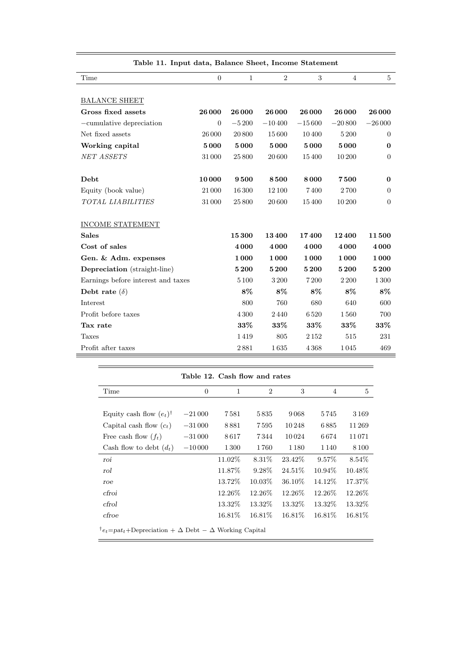| Table 11. Input data, Balance Sheet, Income Statement |                |              |                |          |                |                |
|-------------------------------------------------------|----------------|--------------|----------------|----------|----------------|----------------|
| Time                                                  | $\overline{0}$ | $\mathbf{1}$ | $\overline{2}$ | 3        | $\overline{4}$ | $\overline{5}$ |
|                                                       |                |              |                |          |                |                |
| <b>BALANCE SHEET</b>                                  |                |              |                |          |                |                |
| Gross fixed assets                                    | 26 000         | 26 000       | 26 000         | 26 000   | 26 000         | 26 000         |
| $-cumulative depreciation$                            | $\overline{0}$ | $-5200$      | $-10400$       | $-15600$ | $-20800$       | $-26000$       |
| Net fixed assets                                      | 26 000         | 20800        | 15600          | 10400    | 5200           | $\theta$       |
| Working capital                                       | 5000           | 5000         | 5000           | 5000     | 5000           | $\mathbf{0}$   |
| <b>NET ASSETS</b>                                     | 31 000         | 25800        | 20600          | 15400    | 10 200         | $\overline{0}$ |
|                                                       |                |              |                |          |                |                |
| Debt                                                  | 10000          | 9500         | 8500           | 8000     | 7500           | $\bf{0}$       |
| Equity (book value)                                   | 21 000         | 16300        | 12 100         | 7400     | 2700           | $\theta$       |
| <b>TOTAL LIABILITIES</b>                              | 31000          | 25800        | 20 600         | 15400    | 10 200         | $\overline{0}$ |
|                                                       |                |              |                |          |                |                |
| <b>INCOME STATEMENT</b>                               |                |              |                |          |                |                |
| <b>Sales</b>                                          |                | 15300        | 13400          | 17400    | 12400          | 11500          |
| Cost of sales                                         |                | 4000         | 4000           | 4000     | 4000           | 4000           |
| Gen. & Adm. expenses                                  |                | 1000         | 1000           | 1000     | 1000           | 1000           |
| Depreciation (straight-line)                          |                | 5200         | 5200           | 5200     | 5200           | 5200           |
| Earnings before interest and taxes                    |                | 5100         | 3200           | 7 2 0 0  | 2 2 0 0        | 1300           |
| Debt rate $(\delta)$                                  |                | 8%           | 8%             | 8%       | 8%             | 8%             |
| Interest                                              |                | 800          | 760            | 680      | 640            | 600            |
| Profit before taxes                                   |                | 4 3 0 0      | 2440           | 6520     | $1\,560$       | 700            |
| Tax rate                                              |                | 33%          | $33\%$         | $33\%$   | 33%            | 33%            |
| Taxes                                                 |                | 1419         | 805            | 2152     | 515            | 231            |
| Profit after taxes                                    |                | 2881         | 1635           | 4368     | 1045           | 469            |

e.

 $\qquad \qquad$ 

| Table 12. Cash flow and rates                                                                           |          |              |                |           |           |           |  |
|---------------------------------------------------------------------------------------------------------|----------|--------------|----------------|-----------|-----------|-----------|--|
| Time                                                                                                    | $\Omega$ | $\mathbf{1}$ | $\overline{2}$ | 3         | 4         | 5         |  |
|                                                                                                         |          |              |                |           |           |           |  |
| Equity cash flow $(e_t)^\dagger$                                                                        | $-21000$ | 7581         | 5835           | 9068      | 5745      | 3 1 6 9   |  |
| Capital cash flow $(c_t)$                                                                               | $-31000$ | 8881         | 7595           | 10248     | 6885      | 11 269    |  |
| Free cash flow $(f_t)$                                                                                  | $-31000$ | 8617         | 7344           | 10024     | 6674      | 11071     |  |
| Cash flow to debt $(d_t)$                                                                               | $-10000$ | 1300         | 1760           | 1180      | 1 1 4 0   | 8 1 0 0   |  |
| roi                                                                                                     |          | 11.02\%      | 8.31\%         | 23.42\%   | $9.57\%$  | 8.54\%    |  |
| rol                                                                                                     |          | 11.87\%      | $9.28\%$       | 24.51\%   | $10.94\%$ | 10.48\%   |  |
| roe                                                                                                     |          | 13.72\%      | $10.03\%$      | 36.10\%   | 14.12\%   | 17.37%    |  |
| cfroi                                                                                                   |          | 12.26\%      | 12.26\%        | 12.26\%   | 12.26\%   | 12.26\%   |  |
| cfrol                                                                                                   |          | 13.32\%      | 13.32\%        | 13.32\%   | 13.32\%   | 13.32%    |  |
| cfroe                                                                                                   |          | $16.81\%$    | $16.81\%$      | $16.81\%$ | $16.81\%$ | $16.81\%$ |  |
| <sup>†</sup> $e_t = pat_t + \text{Depreciation} + \Delta \text{ Debt} - \Delta \text{ Working Capital}$ |          |              |                |           |           |           |  |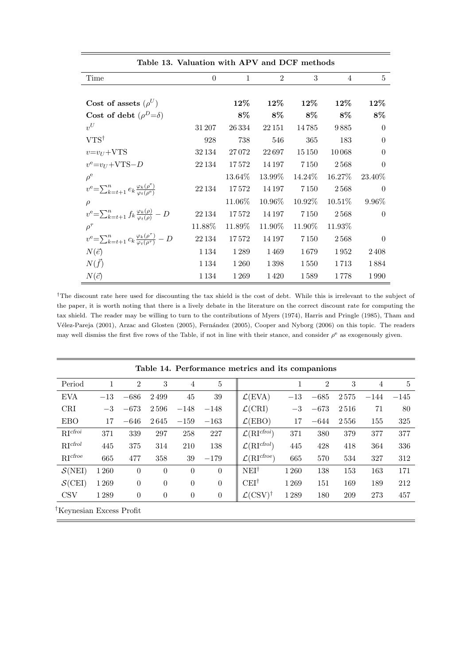| Table 13. Valuation with APV and DCF methods                                         |          |              |                |           |                |                |
|--------------------------------------------------------------------------------------|----------|--------------|----------------|-----------|----------------|----------------|
| Time                                                                                 | $\theta$ | $\mathbf{1}$ | $\overline{2}$ | 3         | $\overline{4}$ | $\overline{5}$ |
|                                                                                      |          |              |                |           |                |                |
| Cost of assets $(\rho^U)$                                                            |          | $12\%$       | $12\%$         | $12\%$    | $12\%$         | $12\%$         |
| Cost of debt $(\rho^D=\delta)$                                                       |          | 8%           | $8\%$          | $8\%$     | $8\%$          | 8%             |
| $v^U$                                                                                | 31 207   | 26334        | 22 15 1        | 14785     | 9885           | $\overline{0}$ |
| VTS <sup>†</sup>                                                                     | 928      | 738          | 546            | 365       | 183            | $\Omega$       |
| $v = v_U + VTS$                                                                      | 32 134   | 27072        | 22697          | 15 15 0   | 10068          | $\Omega$       |
| $v^e = v_U + VTS - D$                                                                | 22 134   | 17572        | 14 197         | 7150      | 2568           | $\Omega$       |
| $\rho^{\rm e}$                                                                       |          | 13.64\%      | 13.99%         | 14.24\%   | 16.27\%        | 23.40\%        |
| $v^e = \sum_{k=t+1}^n e_k \frac{\varphi_k(\rho^e)}{\varphi_t(\rho^e)}$               | 22 134   | 17572        | 14 197         | 7150      | 2568           | $\overline{0}$ |
| $\rho$                                                                               |          | 11.06%       | 10.96%         | $10.92\%$ | 10.51%         | $9.96\%$       |
| $v^{\text{e}} = \sum_{k=t+1}^{n} f_k \frac{\varphi_k(\rho)}{\varphi_k(\rho)} - D$    | 22 134   | 17572        | 14 197         | 7150      | 2568           | $\Omega$       |
| $\rho^{\tau}$                                                                        | 11.88%   | 11.89%       | 11.90\%        | 11.90%    | 11.93%         |                |
| $v^e = \sum_{k=t+1}^n c_k \frac{\varphi_k(\rho^{\tau})}{\varphi_t(\rho^{\tau})} - D$ | 22 134   | 17572        | 14 197         | 7150      | 2568           | $\Omega$       |
| $N(\vec{e})$                                                                         | 1134     | 1289         | 1469           | 1679      | 1952           | 2408           |
| $N(\bar{f})$                                                                         | 1 1 3 4  | 1 2 6 0      | 1398           | 1550      | 1713           | 1884           |
| $N(\vec{c})$                                                                         | 1 1 3 4  | 1 2 6 9      | 1420           | 1589      | 1778           | 1990           |

†The discount rate here used for discounting the tax shield is the cost of debt. While this is irrelevant to the subject of the paper, it is worth noting that there is a lively debate in the literature on the correct discount rate for computing the tax shield. The reader may be willing to turn to the contributions of Myers (1974), Harris and Pringle (1985), Tham and Vélez-Pareja (2001), Arzac and Glosten (2005), Fernández (2005), Cooper and Nyborg (2006) on this topic. The readers may well dismiss the first five rows of the Table, if not in line with their stance, and consider  $\rho^e$  as exogenously given.

| Table 14. Performance metrics and its companions |         |                |          |                  |                  |                                           |         |                |      |        |        |
|--------------------------------------------------|---------|----------------|----------|------------------|------------------|-------------------------------------------|---------|----------------|------|--------|--------|
| Period                                           |         | $\overline{2}$ | 3        | 4                | $\overline{5}$   |                                           |         | $\overline{2}$ | 3    | 4      | 5      |
| <b>EVA</b>                                       | $-13$   | $-686$         | 2499     | 45               | 39               | $\mathcal{L}(EVA)$                        | $-13$   | $-685$         | 2575 | $-144$ | $-145$ |
| <b>CRI</b>                                       | $-3$    | $-673$         | 2596     | $-148$           | $-148$           | $\mathcal{L}(\text{CRI})$                 | $-3$    | $-673$         | 2516 | 71     | 80     |
| <b>EBO</b>                                       | 17      | $-646$         | 2645     | $-159$           | $-163$           | $\mathcal{L}(EBO)$                        | 17      | $-644$         | 2556 | 155    | 325    |
| RI <sup>cfroi</sup>                              | 371     | 339            | 297      | 258              | 227              | $\mathcal{L}(\mathrm{RI}^{cfroi})$        | 371     | 380            | 379  | 377    | 377    |
| RI <sup>criol</sup>                              | 445     | 375            | 314      | 210              | 138              | $\mathcal{L}(\mathrm{RI}^{cfrol})$        | 445     | 428            | 418  | 364    | 336    |
| $\mathbf{RI}^{cfree}$                            | 665     | 477            | 358      | 39               | $-179$           | $\mathcal{L}(\mathrm{RI}^{c\text{froe}})$ | 665     | 570            | 534  | 327    | 312    |
| $\mathcal{S}(NEI)$                               | 1 2 6 0 | $\theta$       | $\theta$ | $\boldsymbol{0}$ | $\boldsymbol{0}$ | $NEI^{\dagger}$                           | 1 2 6 0 | 138            | 153  | 163    | 171    |
| $\mathcal{S}(\text{CEI})$                        | 1269    | $\theta$       | $\theta$ | $\boldsymbol{0}$ | $\boldsymbol{0}$ | $CEI^{\dagger}$                           | 1269    | 151            | 169  | 189    | 212    |
| <b>CSV</b>                                       | 1 2 8 9 | $\theta$       | $\theta$ | $\boldsymbol{0}$ | $\boldsymbol{0}$ | $\mathcal{L}(\mathrm{CSV})^{\dagger}$     | 1289    | 180            | 209  | 273    | 457    |
| <sup>†</sup> Keynesian Excess Profit             |         |                |          |                  |                  |                                           |         |                |      |        |        |